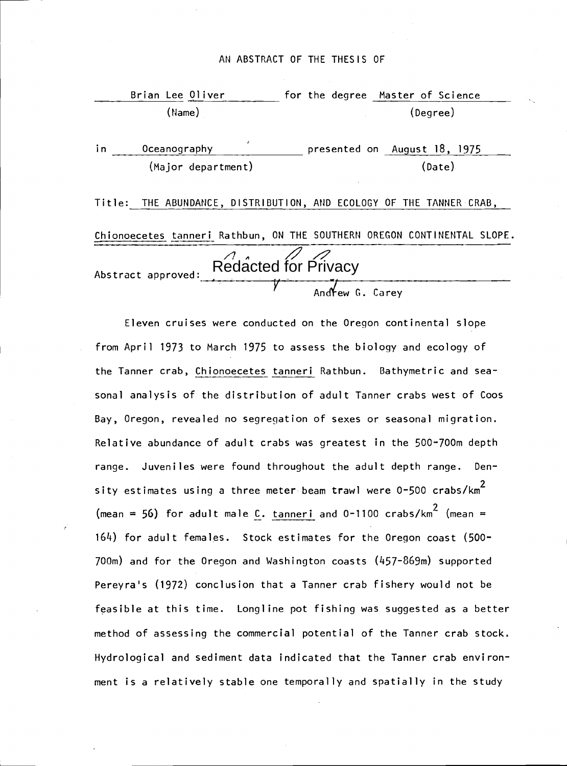### AN ABSTRACT OF THE THESIS OF

|     | Brian Lee Oliver   | for the degree Master of Science                                        |  |
|-----|--------------------|-------------------------------------------------------------------------|--|
|     | $(\text{Name})$    | (Degree)                                                                |  |
| in. | Oceanography       | presented on August 18, 1975                                            |  |
|     | (Major department) | (Date)                                                                  |  |
|     |                    | Title: THE ABUNDANCE, DISTRIBUTION, AND ECOLOGY OF THE TANNER CRAB,     |  |
|     |                    | Chionoecetes tanneri Rathbun, ON THE SOUTHERN OREGON CONTINENTAL SLOPE. |  |
|     | Abstract approved: | Redacted for Privacy                                                    |  |

 $Andew 6. Carev$ 

Eleven cruises were conducted on the Oregon continental slope from April 1973 to March 1975 to assess the biology and ecology of the Tanner crab, Chionoecetes tanneri Rathbun. Bathymetric and seasonal analysis of the distribution of adult Tanner crabs west of Coos Bay, Oregon, revealed no segregation of sexes or seasonal migration. Relative abundance of adult crabs was greatest in the 500-700m depth range. Juveniles were found throughout the adult depth range. Density estimates using a three meter beam trawl were  $0-500$  crabs/km $^2$ (mean = 56) for adult male C. tanneri and  $0-1100$  crabs/km<sup>2</sup> (mean = 1614) for adult females. Stock estimates for the Oregon coast (500- 700m) and for the Oregon and Washington coasts (457-869m) supported Pereyra's (1972) conclusion that a Tanner crab fishery would not be feasible at this time. Longline pot fishing was suggested as a better method of assessing the commercial potential of the Tanner crab stock. Hydrological and sediment data indicated that the Tanner crab environment is a relatively stable one temporally and spatially in the study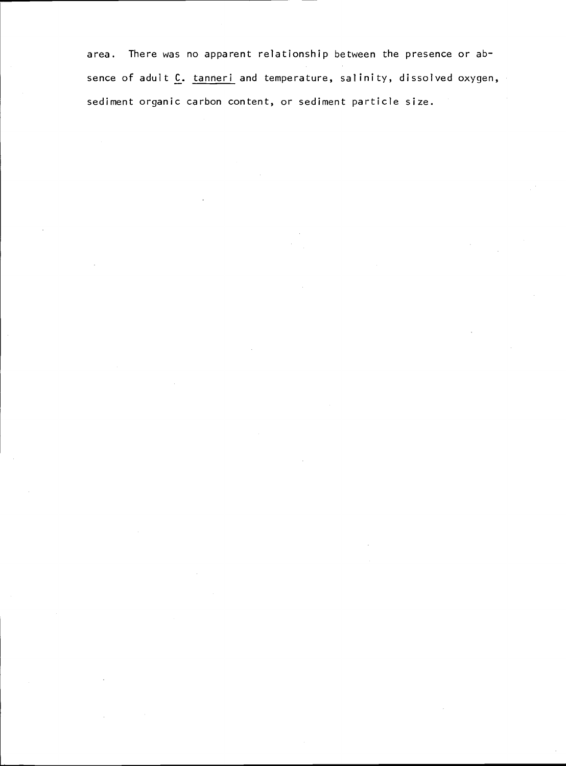area. There was no apparent relationship between the presence or absence of adult C. tanneri and temperature, salinity, dissolved oxygen, sediment organic carbon content, or sediment particle size.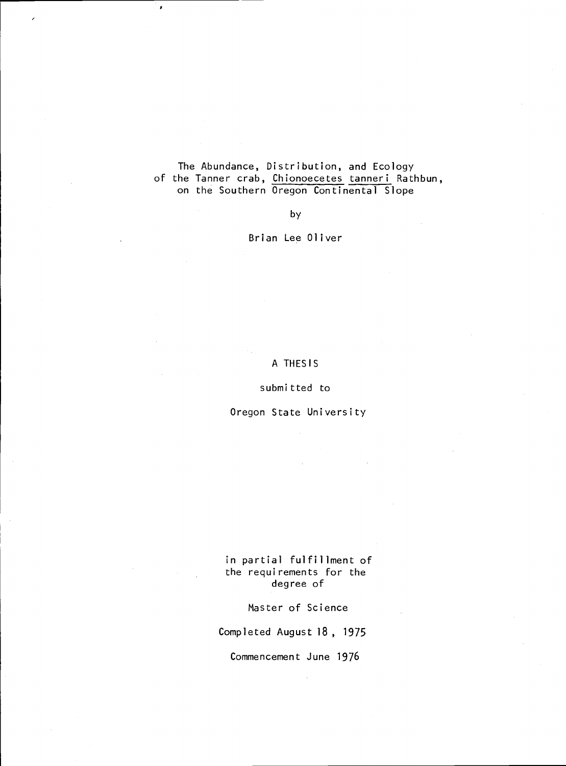### The Abundance, Distribution, and Ecology of the Tanner crab, Chionoecetes tanneri Rathbun, on the Southern Oregon Continental Slope

þ

by

Brian Lee Oliver

### A THESIS

### submitted to

### Oregon State University

in partial fulfillment of the requirements for the degree of

Master of Science

Completed August 18 , 1975

Commencement June 1976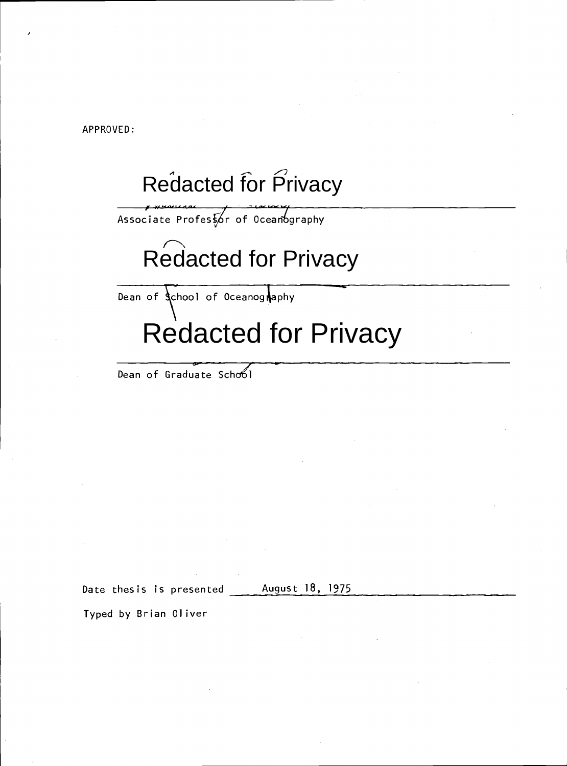APPROVED:

/

# Redacted for Privacy

Associate Professor of Oceanography

# Redacted for Privacy

Dean of *School* of Oceanography

# Redacted for Privacy

Dean of Graduate School

Date thesis is presented August 18, 1975

Typed by Brian Oliver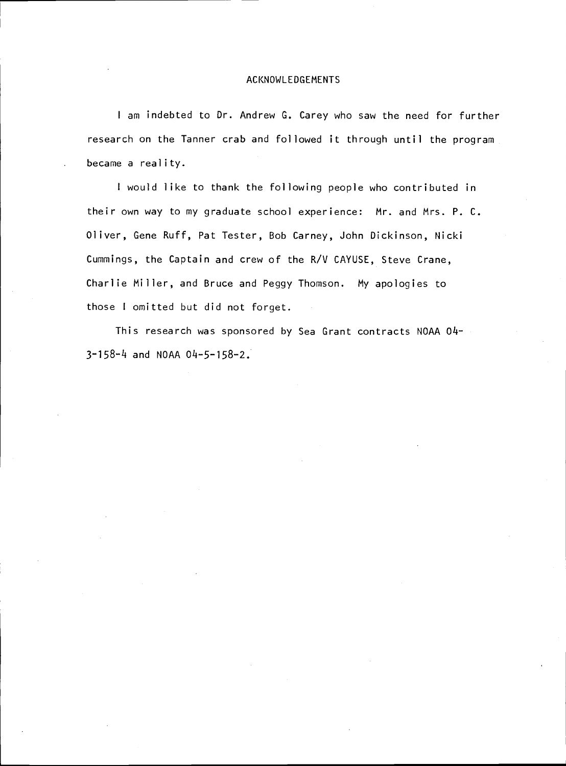### ACKNOWLEDGEMENTS

<sup>I</sup> am indebted to Dr. Andrew G. Carey who saw the need for further research on the Tanner crab and followed it through until the program became a reality.

<sup>I</sup> would like to thank the following people who contributed in their own way to my graduate school experience: Mr. and Mrs. P. C. Oliver, Gene Ruff, Pat Tester, Bob Carney, John Dickinson, Nicki Cummings, the Captain and crew of the R/V CAYUSE, Steve Crane, Charlie Miller, and Bruce and Peggy Thomson. My apologies to those <sup>I</sup> omitted but did not forget.

This research was sponsored by Sea Grant contracts NOAA 04- 3-158-4 and NOAA 04-5-158-2.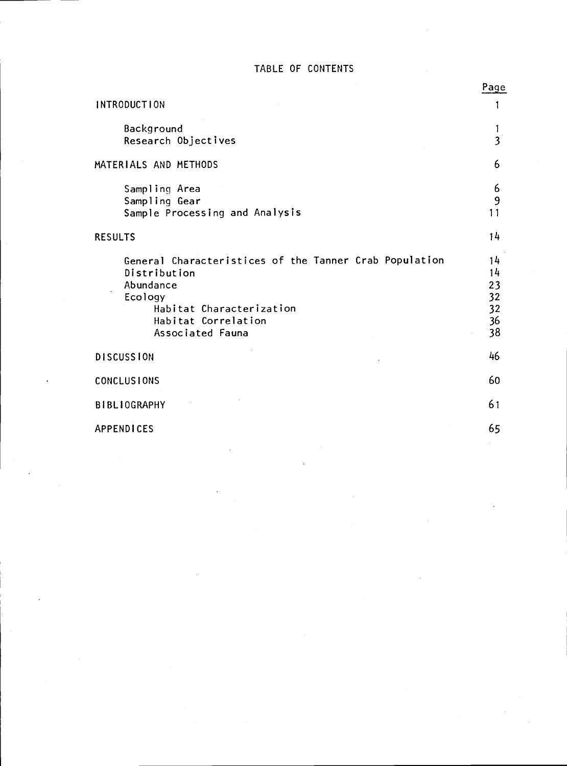### TABLE OF CONTENTS

|                                                                                                                                                                       | Page                                   |
|-----------------------------------------------------------------------------------------------------------------------------------------------------------------------|----------------------------------------|
| <b>INTRODUCTION</b>                                                                                                                                                   | 1                                      |
| Background<br>Research Objectives                                                                                                                                     | 1<br>$\overline{3}$                    |
| MATERIALS AND METHODS                                                                                                                                                 | 6                                      |
| Sampling Area<br>Sampling Gear<br>Sample Processing and Analysis                                                                                                      | 6<br>9<br>11                           |
| <b>RESULTS</b>                                                                                                                                                        | 14                                     |
| General Characteristices of the Tanner Crab Population<br>Distribution<br>Abundance<br>Ecology<br>Habitat Characterization<br>Habitat Correlation<br>Associated Fauna | 14<br>14<br>23<br>32<br>32<br>36<br>38 |
| <b>DISCUSSION</b>                                                                                                                                                     | 46                                     |
| <b>CONCLUSIONS</b>                                                                                                                                                    | 60                                     |
| <b>BIBLIOGRAPHY</b>                                                                                                                                                   | 61                                     |
| <b>APPENDICES</b>                                                                                                                                                     | 65                                     |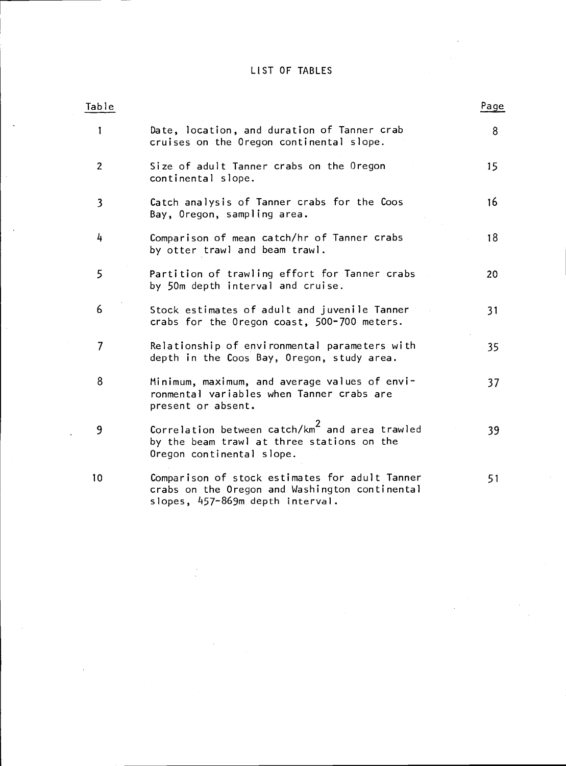### LIST OF TABLES

l,

| Table          |                                                                                                                                       | Page |
|----------------|---------------------------------------------------------------------------------------------------------------------------------------|------|
| 1              | Date, location, and duration of Tanner crab<br>cruises on the Oregon continental slope.                                               | 8    |
| $\overline{c}$ | Size of adult Tanner crabs on the Oregon<br>continental slope.                                                                        | 15   |
| 3              | Catch analysis of Tanner crabs for the Coos<br>Bay, Oregon, sampling area.                                                            | 16   |
| 4              | Comparison of mean catch/hr of Tanner crabs<br>by otter trawl and beam trawl.                                                         | 18   |
| 5              | Partition of trawling effort for Tanner crabs<br>by 50m depth interval and cruise.                                                    | 20   |
| 6              | Stock estimates of adult and juvenile Tanner<br>crabs for the Oregon coast, 500-700 meters.                                           | 31   |
| 7              | Relationship of environmental parameters with<br>depth in the Coos Bay, Oregon, study area.                                           | 35   |
| 8              | Minimum, maximum, and average values of envi-<br>ronmental variables when Tanner crabs are<br>present or absent.                      | 37   |
| 9              | Correlation between catch/km <sup>2</sup> and area trawled<br>by the beam trawl at three stations on the<br>Oregon continental slope. | 39   |
| 10             | Comparison of stock estimates for adult Tanner<br>crabs on the Oregon and Washington continental<br>slopes, 457-869m depth interval.  | 51   |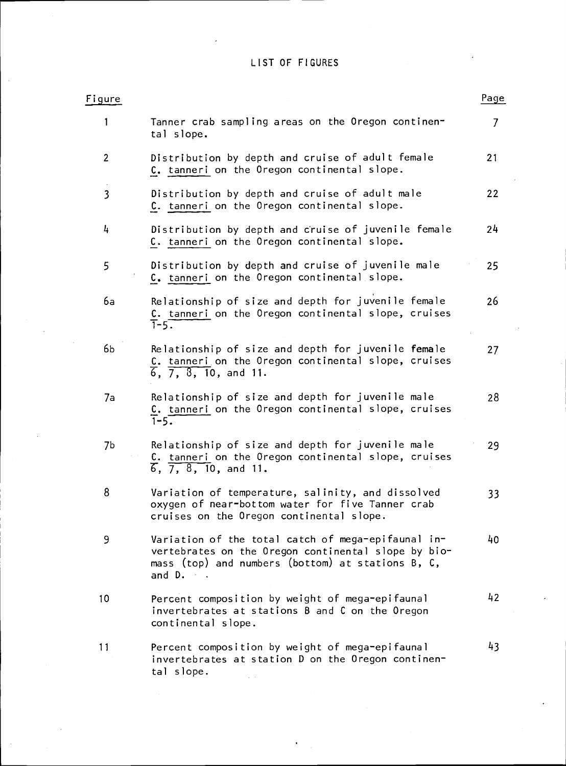## LIST OF FIGURES

| Figure                  |                                                                                                                                                                                           | Page           |
|-------------------------|-------------------------------------------------------------------------------------------------------------------------------------------------------------------------------------------|----------------|
| 1                       | Tanner crab sampling areas on the Oregon continen-<br>tal slope.                                                                                                                          | $\overline{7}$ |
| $\overline{2}$          | Distribution by depth and cruise of adult female<br>C. tanneri on the Oregon continental slope.                                                                                           | 21             |
| $\overline{\mathbf{3}}$ | Distribution by depth and cruise of adult male<br>C. tanneri on the Oregon continental slope.                                                                                             | 22             |
| 4                       | Distribution by depth and cruise of juvenile female<br>C. tanneri on the Oregon continental slope.                                                                                        | 24             |
| 5                       | Distribution by depth and cruise of juvenile male<br>C. tanneri on the Oregon continental slope.                                                                                          | 25             |
| 6a                      | Relationship of size and depth for juvenile female<br>C. tanneri on the Oregon continental slope, cruises<br>$T-5$ .                                                                      | 26             |
| 6Ь                      | Relationship of size and depth for juvenile female<br>C. tanneri on the Oregon continental slope, cruises<br>$\overline{6}$ , $\overline{7}$ , $\overline{8}$ , $\overline{10}$ , and 11. | 27             |
| 7a                      | Relationship of size and depth for juvenile male<br>C. tanneri on the Oregon continental slope, cruises<br>$\overline{1} - 5.$                                                            | 28             |
| 7b                      | Relationship of size and depth for juvenile male<br>C. tanneri on the Oregon continental slope, cruises<br>$\overline{6}$ , $\overline{7}$ , $\overline{8}$ , $\overline{10}$ , and 11.   | 29             |
| 8                       | Variation of temperature, salinity, and dissolved<br>oxygen of near-bottom water for five Tanner crab<br>cruises on the Oregon continental slope.                                         | 33             |
| 9                       | Variation of the total catch of mega-epifaunal in-<br>vertebrates on the Oregon continental slope by bio-<br>mass (top) and numbers (bottom) at stations B, C,<br>and D.                  | 40             |
| 10                      | Percent composition by weight of mega-epifaunal<br>invertebrates at stations B and C on the Oregon<br>continental slope.                                                                  | 42             |
| 11                      | Percent composition by weight of mega-epifaunal<br>invertebrates at station D on the Oregon continen-<br>tal slope.                                                                       | 43             |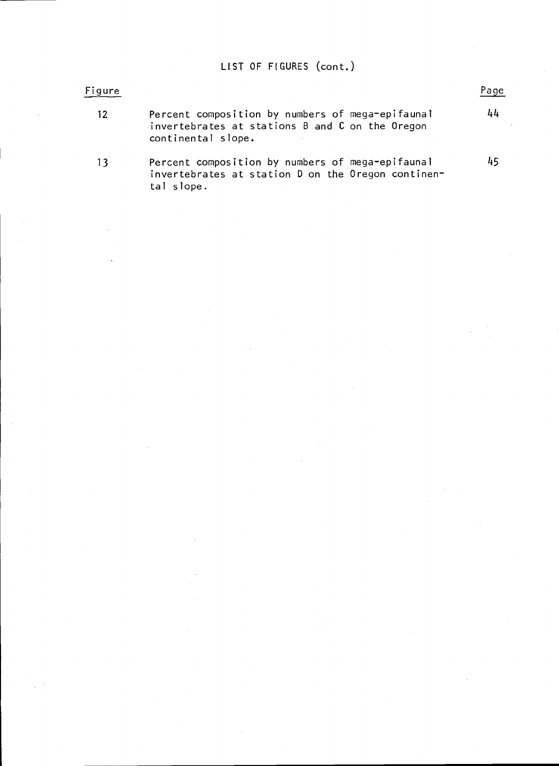## LIST OF FIGURES (cont.)

## Figure Page **Page 2018** 12 Percent composition by numbers of mega-epifaunal <sup>414</sup> invertebrates at stations B and C on the Oregon continental slope. 13 Percent composition by numbers of mega-epifaunal 45 invertebrates at station D on the Oregon continental slope.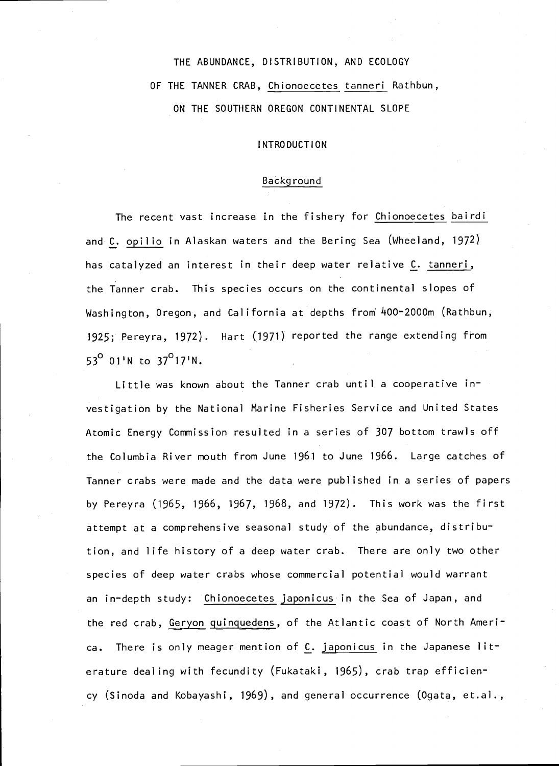# THE ABUNDANCE, DISTRIBUTION, AND ECOLOGY OF THE TANNER CRAB, Chionoecetes tanneri Rathbun, ON THE SOUTHERN OREGON CONTINENTAL SLOPE

### INTRODUCTION

### Backg round

The recent vast increase in the fishery for Chionoecetes bairdi and C. opilio in Alaskan waters and the Bering Sea (Wheeland, 1972) has catalyzed an interest in their deep water relative C. tanneri, the Tanner crab. This species occurs on the continental slopes of Washington, Oregon, and California at depths from 400-2000m (Rathbun, 1925; Pereyra, 1972). Hart (1971) reported the range extending from  $53^{\circ}$  01'N to 37<sup>o</sup>17'N.

Little was known about the Tanner crab until a cooperative investigation by the National Marine Fisheries Service and United States Atomic Energy Commission resulted in a series of 307 bottom trawls off the Columbia River mouth from June 1961 to June 1966. Large catches of Tanner crabs were made and the data were published in a series of papers by Pereyra (1965, 1966, 1967, 1968, and 1972). This work was the first attempt at a comprehensive seasonal study of the abundance, distribution, and life history of a deep water crab. There are only two other species of deep water crabs whose commercial potential would warrant an in-depth study: Chionoecetes japonicus in the Sea of Japan, and the red crab, Geryon guinguedens, of the Atlantic coast of North America. There is only meager mention of C. japonicus in the Japanese literature dealing with fecundity (Fukataki, 1965), crab trap efficiency (Sinoda and Kobayashi, 1969), and general occurrence (Ogata, et.aI.,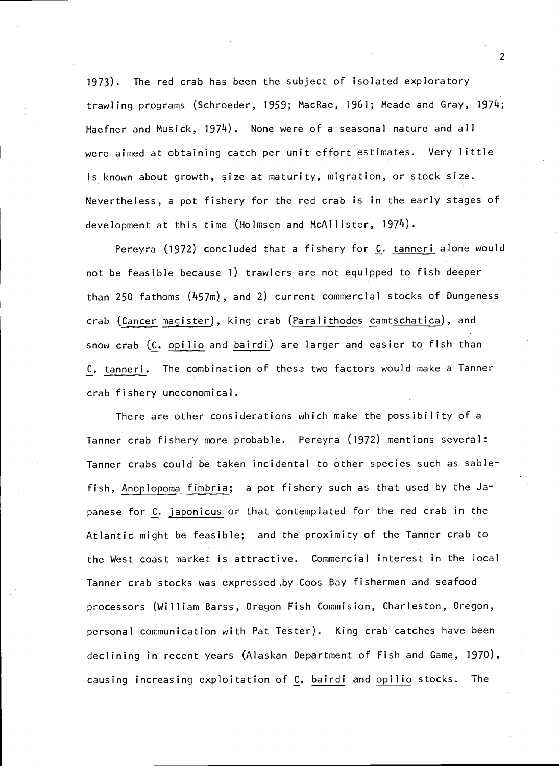1973). The red crab has been the subject of isolated exploratory trawling programs (Schroeder, 1959; MacRae, 1961; Meade and Gray, 1974; Haefner and Musick, 1974). None were of a seasonal nature and all were aimed at obtaining catch per unit effort estimates. Very little is known about growth, size at maturity, migration, or stock size. Nevertheless, a pot fishery for the red crab is in the early stages of development at this time (Holmsen and McAllister, 1974).

Pereyra (1972) concluded that a fishery for C. tanneri alone would not be feasible because 1) trawlers are not equipped to fish deeper than 250 fathoms  $(457m)$ , and 2) current commercial stocks of Dungeness crab (Cancer magister), king crab (Paralithodes camtschatica), and snow crab (C. opilio and bairdi) are larger and easier to fish than C. tanneri. The combination of these two factors would make a Tanner crab fishery uneconomical.

There are other considerations which make the possibility of a Tanner crab fishery more probable. Pereyra (1972) mentions several Tanner crabs could be taken incidental to other species such as sablefish, Anoplopoma fimbria; a pot fishery such as that used by the Japanese for C. japonicus or that contemplated for the red crab in the Atlantic might be feasible; and the proximity of the Tanner crab to the West coast market is attractive. Commercial interest in the local Tanner crab stocks was expressed %by Coos Bay fishermen and seafood processors (William Barss, 0rgon Fish Commision, Charleston, Oregon, personal communication with Pat Tester). King crab catches have been declining in recent years (Alaskan Department of Fish and Game, 1970), causing increasing exploitation of C. bairdi and opilio stocks. The

 $\overline{2}$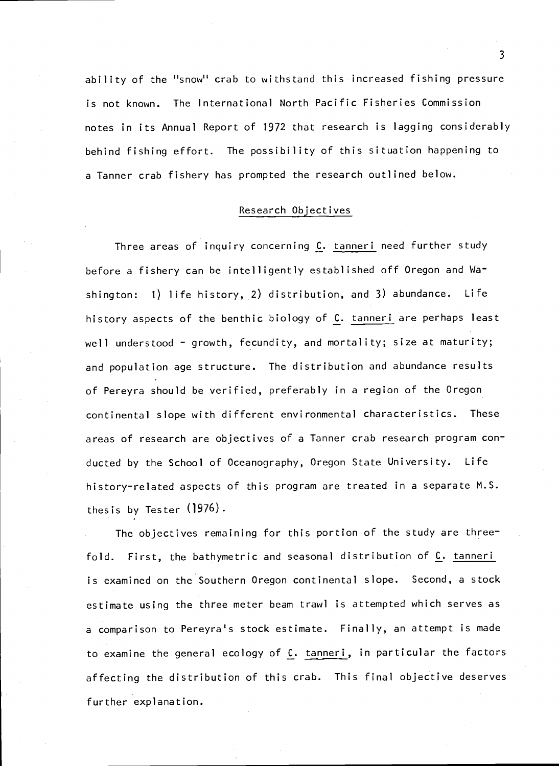ability of the "snow" crab to withstand this increased fishing pressure is not known. The International North Pacific Fisheries Commission notes in its Annual Report of 1972 that research is lagging considerably behind fishing effort. The possibility of this situation happening to a Tanner crab fishery has prompted the research outlined below.

### Research Objectives

Three areas of inquiry concerning C. tanneri need further study before a fishery can be intelligently established off Oregon and Washington:  $1)$  life history, 2) distribution, and 3) abundance. Life history aspects of the benthic biology of C. tanneri are perhaps least well understood - growth, fecundity, and mortality; size at maturity; and population age structure. The distribution and abundance results of Pereyra should be verified, preferably in a region of the Oregon continental slope with different environmental characteristics. These areas of research are objectives of a Tanner crab research program conducted by the School of Oceanography, Oregon State University. Life history-related aspects of this program are treated in a separate M.S. thesis by Tester (1976).

The objectives remaining for this portion of the study are threefold. First, the bathymetric and seasonal distribution of  $C$ . tanneri is examined on the Southern Oregon continental slope. Second, a stock estimate using the three meter beam trawl is attempted which serves as a comparison to Pereyra's stock estimate. Finally, an attempt is made to examine the general ecology of C. tanneri, in particular the factors affecting the distribution of this crab. This final objective deserves further explanation.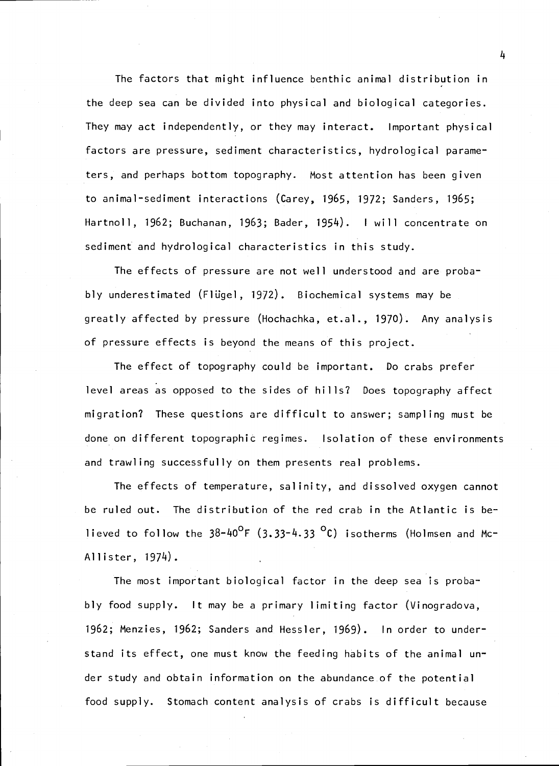The factors that might influence benthic animal distribution in the deep sea can be divided into physical and biological categories. They may act independently, or they may interact. Important physical factors are pressure, sediment characteristics, hydrological parameters, and perhaps bottom topography. Most attention has been given to animal-sediment interactions (Carey, 1965, 1972; Sanders, 1965; Hartnoll, 1962; Buchanan, 1963; Bader, 1954). <sup>I</sup> will concentrate on sediment and hydrological characteristics in this study.

The effects of pressure are not well understood and are probably underestimated (Filigel, 1972). Biochemical systems may be greatly affected by pressure (Hochachka, et.al., 1970). Any analysis of pressure effects is beyond the means of this project.

The effect of topography could be important. Do crabs prefer level areas as opposed to the sides of hills? Does topography affect migration? These questions are difficult to answer; sampling must be done on different topographic regimes. Isolation of these environments and trawling successfully on them presents real problems.

The effects of temperature, salinity, and dissolved oxygen cannot be ruled out. The distribution of the red crab in the Atlantic is believed to follow the  $38-40^{\circ}$ F (3.33-4.33  $^{\circ}$ C) isotherms (Holmsen and Mc-Allister, 1974).

The most important biological factor in the deep sea is probably food supply. It may be a primary limiting factor (Vinogradova, 1962; Menzies, 1962; Sanders and Hessler, 1969). In order to understand its effect, one must know the feeding habits of the animal under study and obtain information on the abundance of the potential food supply. Stomach content analysis of crabs is difficult because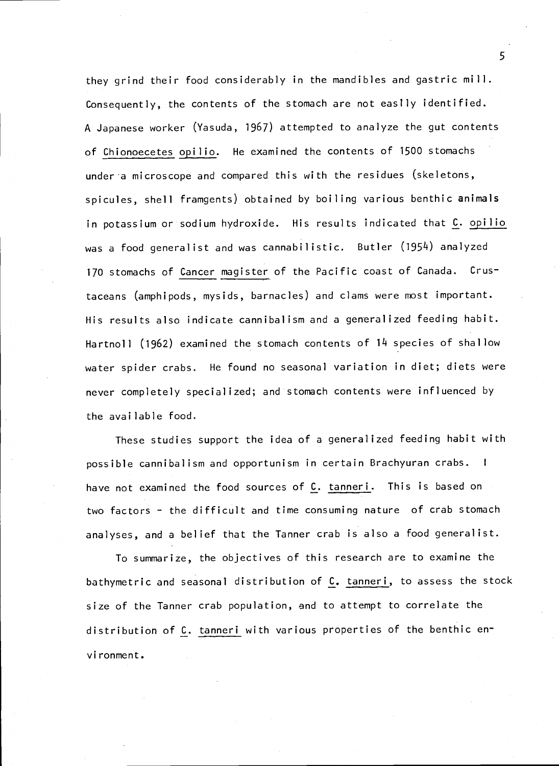they grind their food considerably in the mandibles and gastric mill. Consequently, the contents of the stomach are not easily identified. A Japanese worker (Yasuda, 1967) attempted to analyze the gut contents of Chionoecetes opilio. He examined the contents of 1500 stomachs under a microscope and compared this with the residues (skeletons, spicules, shell framgents) obtained by boiling various benthic animals in potassium or sodium hydroxide. His results indicated that C. opilio was a food generalist and was cannabilistic. Butler (1954) analyzed 170 stomachs of Cancer magister of the Pacific coast of Canada. Crustaceans (amphipods, mysids, barnacles) and clams were most important. His results also indicate cannibalism and a generalized feeding habit. Hartnoll (1962) examined the stomach contents of 14 species of shallow water spider crabs. He found no seasonal variation in diet; diets were never completely specialized; and stomach contents were influenced by the available food.

These studies support the idea of a generalized feeding habit with possible cannibalism and opportunism in certain Brachyuran crabs. <sup>I</sup> have not examined the food sources of C. tanneri. This is based on two factors - the difficult and time consuming nature of crab stomach analyses, and a belief that the Tanner crab is also a food generalist.

To summarize, the objectives of this research are to examine the bathymetric and seasonal distribution of C. tanneri, to assess the stock size of the Tanner crab population, and to attempt to correlate the distribution of C. tanneri with various properties of the benthic envi ronment.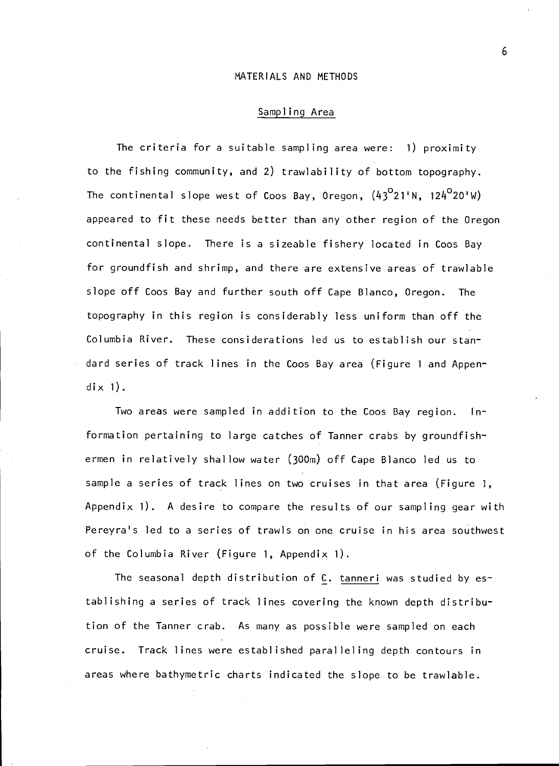### MATERIALS AND METHODS

### Sampling Area

The criteria for a suitable sampling area were: 1) proximity to the fishing community, and 2) trawlability of bottom topography. The continental slope west of Coos Bay, Oregon,  $(43^{\circ}21^{\circ}N, 124^{\circ}20^{\circ}W)$ appeared to fit these needs better than any other region of the Oregon continental slope. There is a sizeable fishery located in Coos Bay for groundfish and shrimp, and there are extensive areas of trawlable slope off Coos Bay and further south off Cape Blanco, Oregon. The topography in this region is considerably less uniform than off the Columbia River. These considerations led us to establish our standard series of track lines in the Coos Bay area (Figure <sup>1</sup> and Appen- $\operatorname{d}$ ix 1).

Two areas were sampled in addition to the Coos Bay region. Information pertaining to large catches of Tanner crabs by groundfishermen in relatively shallow water (300m) off Cape Blanco led us to sample a series of track lines on two cruises in that area (Figure 1, Appendix  $1$ ). A desire to compare the results of our sampling gear with Pereyra's led to a series of trawls on one cruise in his area southwest of the Columbia River (Figure 1, Appendix 1).

The seasonal depth distribution of C. tanneri was studied by establishing a series of track lines covering the known depth distribution of the Tanner crab. As many as possible were sampled on each cruise. Track lines were established paralleling depth contours in areas where bathymetric charts indicated the slope to be trawlable.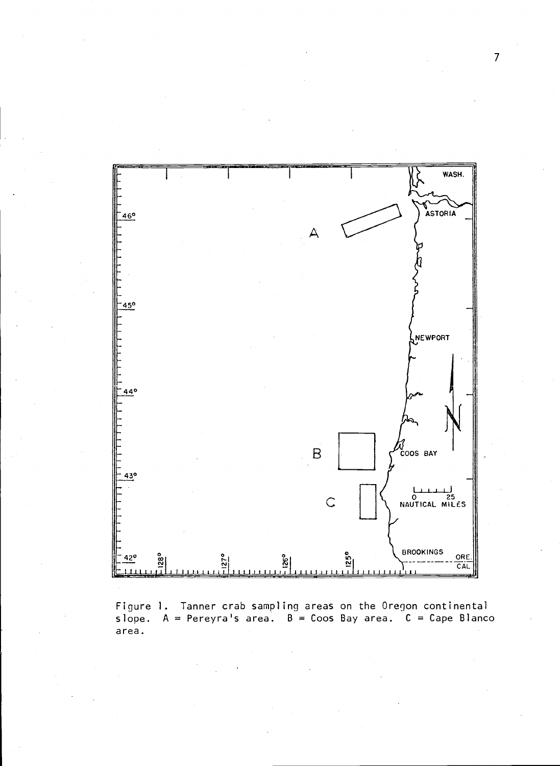

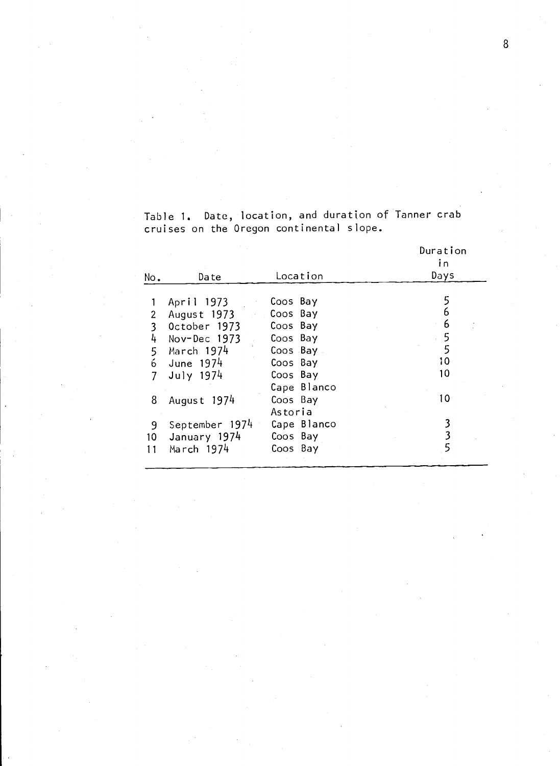|  | Table 1. Date, location, and duration of lanner crab |  |  |  |
|--|------------------------------------------------------|--|--|--|
|  | cruises on the Oregon continental slope.             |  |  |  |

|     |                |             | Duration<br>īn |
|-----|----------------|-------------|----------------|
| No. | Date           | Location    | Days           |
|     |                |             |                |
|     | April 1973     | Coos Bay    |                |
| 2   | August 1973    | Coos Bay    | 6              |
| 3   | October 1973   | Coos Bay    | 6              |
| 4   | Nov-Dec 1973   | Coos Bay    | 5              |
| 5   | March 1974     | Coos Bay    | 5              |
| 6   | June 1974      | Coos Bay    | 10             |
|     | July 1974      | Coos Bay    | 10             |
|     |                | Cape Blanco |                |
| 8   | August 1974    | Coos Bay    | 10             |
|     |                | Astoria     |                |
| 9   | September 1974 | Cape Blanco |                |
| 10  | January 1974   | Coos Bay    |                |
| 11  | March 1974     | Coos Bay    |                |
|     |                |             |                |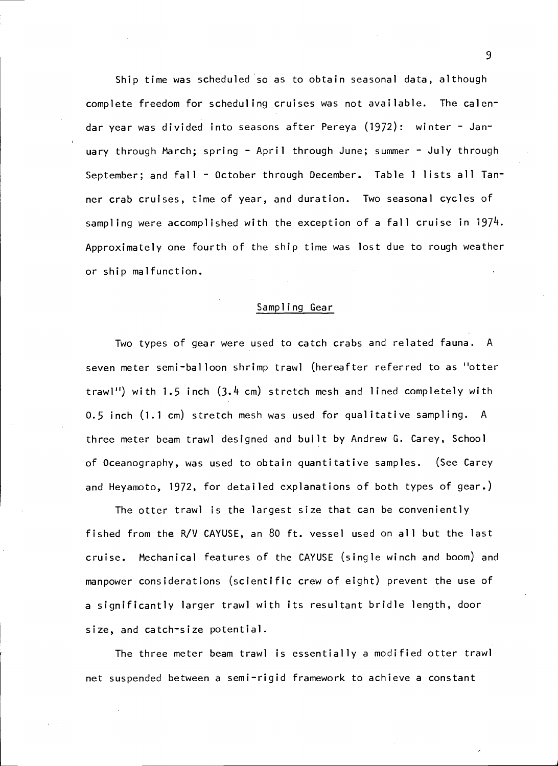Ship time was scheduled so as to obtain seasonal data, although complete freedom for scheduling cruises was not available. The calendar year was divided into seasons after Pereya (1972): winter - January through March; spring - April through June; summer - July through September; and fall - October through December. Table 1 lists all Tanner crab cruises, time of year, and duration. Two seasonal cycles of sampling were accomplished with the exception of a fall cruise in 1974. Approximately one fourth of the ship time was lost due to rough weather or ship malfunction.

### Sampling Gear

Two types of gear were used to catch crabs and related fauna. A seven meter semi-balloon shrimp trawl (hereafter referred to as "otter trawl") with 1.5 inch (3.4 cm) stretch mesh and lined completely with 0.5 inch (1.1 cm) stretch mesh was used for qualitative sampling. A three meter beam trawl designed and built by Andrew G. Carey, School of Oceanography, was used to obtain quantitative samples. (See Carey and Heyamoto, 1972, for detailed explanations of both types of gear.)

The otter trawl is the largest size that can be conveniently fished from the R/V CAVUSE, an 80 ft. vessel used on all but the last cruise. Mechanical features of the CAYUSE (single winch and boom) and manpower considerations (scientific crew of eight) prevent the use of a significantly larger trawl with its resultant bridle length, door size, and catch-size potential.

The three meter beam trawl is essentially a modified otter trawl net suspended between a semi-rigid framework to achieve a constant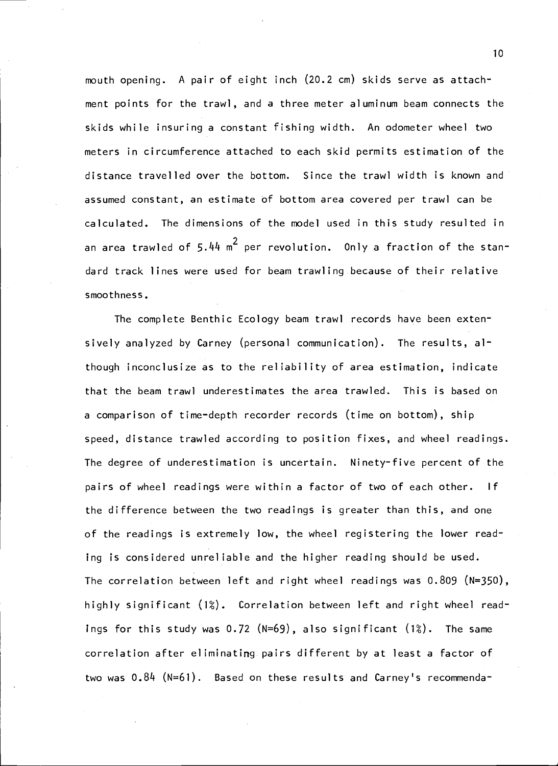mouth opening. A pair of eight inch (20.2 cm) skids serve as attachment points for the trawl, and a three meter aluminum beam connects the skids while insuring a constant fishing width. An odometer wheel two meters in circumference attached to each skid permits estimation of the distance travelled over the bottom. Since the trawl width is known and assumed constant, an estimate of bottom area covered per trawl can be calculated. The dimensions of the model used in this study resulted in an area trawled of 5.44  $m^2$  per revolution. Only a fraction of the standard track lines were used for beam trawling because of their relative smoothness.

The complete Benthic Ecology beam trawl records have been extensively analyzed by Carney (personal communication). The results, although inconclusize as to the reliability of area estimation, indicate that the beam trawl underestimates the area trawled. This is based on a comparison of time-depth recorder records (time on bottom), ship speed, distance trawled according to position fixes, and wheel readings. The degree of underestimation is uncertain. Ninety-five percent of the pairs of wheel readings were within a factor of two of each other. If the difference between the two readings is greater than this, and one of the readings is extremely low, the wheel registering the lower reading is considered unreliable and the higher reading should be used. The correlation between left and right wheel readings was  $0.809$  (N=350), highly significant (1%). Correlation between left and right wheel readings for this study was  $0.72$  (N=69), also significant  $(1%)$ . The same correlation after eliminating pairs different by at least a factor of two was  $0.84$  (N=61). Based on these results and Carney's recommenda-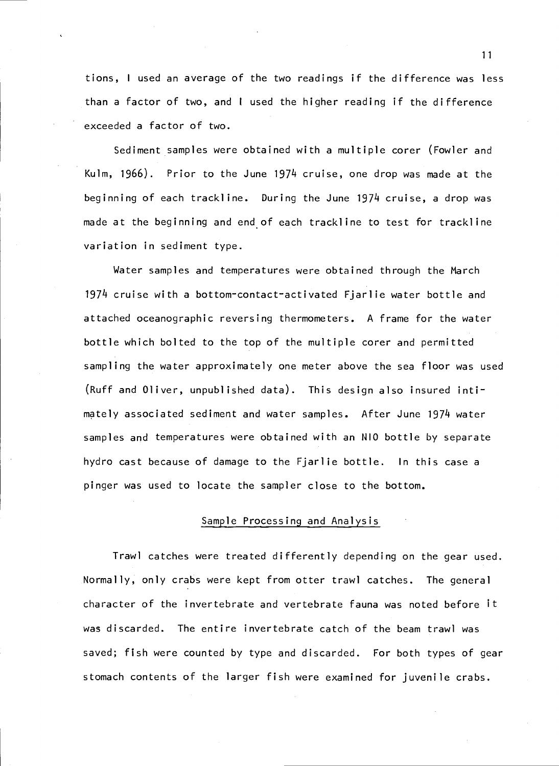tions, <sup>I</sup> used an average of the two readings if the difference was less than a factor of two, and <sup>I</sup> used the higher reading if the difference exceeded a factor of two.

Sediment samples were obtained with a multiple corer (Fowler and Kuim, 1966). Prior to the June 1974 cruise, one drop was made at the beginning of each trackline. During the June 1974 cruise, a drop was made at the beginning and end of each trackline to test for trackline variation in sediment type.

Water samples and temperatures were obtained through the March 1974 cruise with a bottom-contact-activated Fjarlie water bottle and attached oceanographic reversing thermometers. A frame for the water bottle which bolted to the top of the multiple corer and permitted sampling the water approximately one meter above the sea floor was used (Ruff and Oliver, unpublished data). This design also insured intimately associated sediment and water samples. After June 1974 water samples and temperatures were obtained with an NIO bottle by separate hydro cast because of damage to the Fjarlie bottle. In this case a pinger was used to locate the sampler close to the bottom.

### Sample Processing and Analysis

Trawl catches were treated differently depending on the gear used. Normally, only crabs were kept from otter trawl catches. The general character of the invertebrate and vertebrate fauna was noted before it was discarded. The entire invertebrate catch of the beam trawl was saved; fish were counted by type and discarded. For both types of gear stomach contents of the larger fish were examined for juvenile crabs.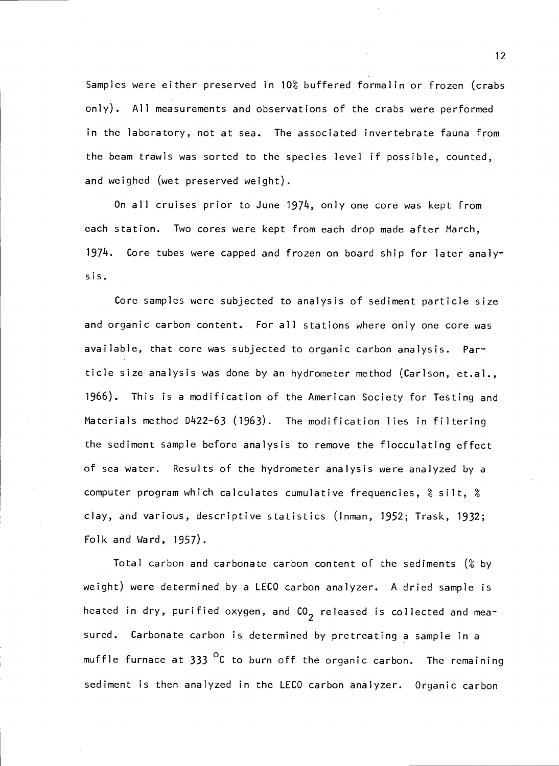Samples were either preserved in 10% buffered formalin or frozen (crabs only). All measurements and observations of the crabs were performed in the laboratory, not at sea. The associated invertebrate fauna from the beam trawis was sorted to the species level if possible, counted, and weighed (wet preserved weight).

On all cruises prior to June 1974, only one core was kept from each station. Two cores were kept from each drop made after March, 1974. Core tubes were capped and frozen on board ship for later analysis.

Core samples were subjected to analysis of sediment particle size and organic carbon content. For all stations where only one core was available, that core was subjected to organic carbon analysis. Particle size analysis was done by an hydrometer method (Carlson, et.al., 1966). This is a modification of the American Society for Testing and Materials method D422-63 (1963). The modification lies in filtering the sediment sample before analysis to remove the flocculating effect of sea water. Results of the hydrometer analysis were analyzed by a computer program which calculates cumulative frequencies,  $% i$  silt,  $% i$ clay, and various, descriptive statistics (Inman, 1952; Trask, 1932; Folk and Ward, 1957).

Total carbon and carbonate carbon content of the sediments  $\left( \mathcal{E} \right)$  by weight) were determined by a LECO carbon analyzer. A dried sample is heated in dry, purified oxygen, and  $CO<sub>2</sub>$  released is collected and measured. Carbonate carbon is determined by pretreating a sample in a muffle furnace at  $333$  <sup>O</sup>C to burn off the organic carbon. The remaining sediment is then analyzed in the LECO carbon analyzer. Organic carbon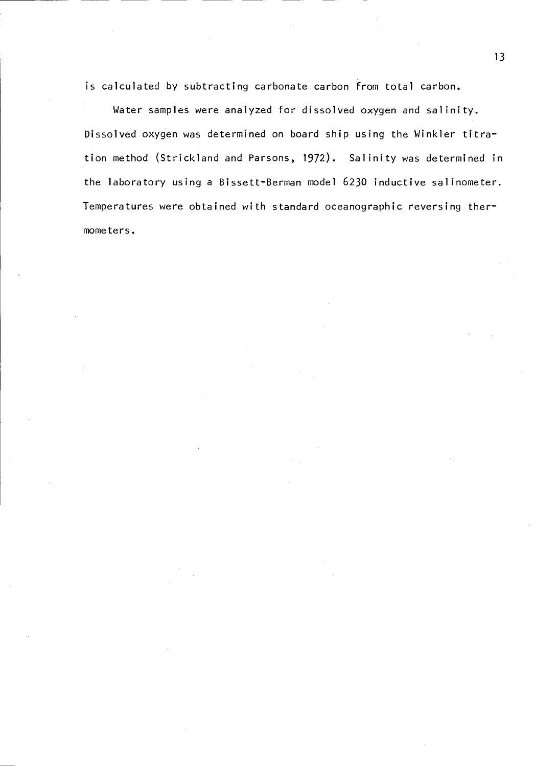is calculated by subtracting carbonate carbon from total carbon.

Water samples were analyzed for dissolved oxygen and salinity. Dissolved oxygen was determined on board ship using the Winkler titration method (Strickland and Parsons, 1972). Salinity was determined in the laboratory using a Bissett-Berman model 6230 inductive salinometer. Temperatures were obtained with standard oceanographic reversing thermometers.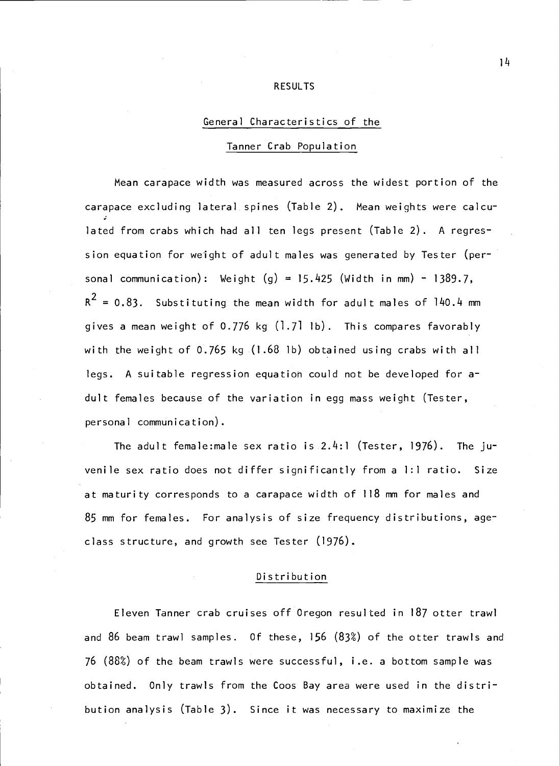#### RESULTS

### General Characteristics of the

### Tanner Crab Population

Mean carapace width was measured across the widest portion of the carapace excluding lateral spines (Table 2). Mean weights were calculated from crabs which had all ten legs present (Table 2). A regression equation for weight of adult males was generated by Tester (personal communication): Weight  $(g) = 15.425$  (Width in mm) - 1389.7,  $R^2 = 0.83$ . Substituting the mean width for adult males of 140.4 mm gives a mean weight of 0.776 kg (1.71 Ib). This compares favorably with the weight of 0.765 kg (1.68 ib) obtained using crabs with all legs. A suitable regression equation could not be developed for adult females because of the variation in egg mass weight (Tester, personal communication).

The adult female:male sex ratio is 2.4:1 (Tester, 1976). The juvenile sex ratio does not differ significantly from a 1:1 ratio. Size at maturity corresponds to a carapace width of 118 mm for males and 85 mm for females. For analysis of size frequency distributions, ageclass structure, and growth see Tester (1976).

### Distribution

Eleven Tanner crab cruises off Oregon resulted in 187 otter trawl and 86 beam trawl samples. Of these, 156 (83°) of the otter trawls and 76  $(88%)$  of the beam trawls were successful, i.e. a bottom sample was obtained. Only trawls from the Coos Bay area were used in the distribution analysis (Table 3). Since it was necessary to maximize the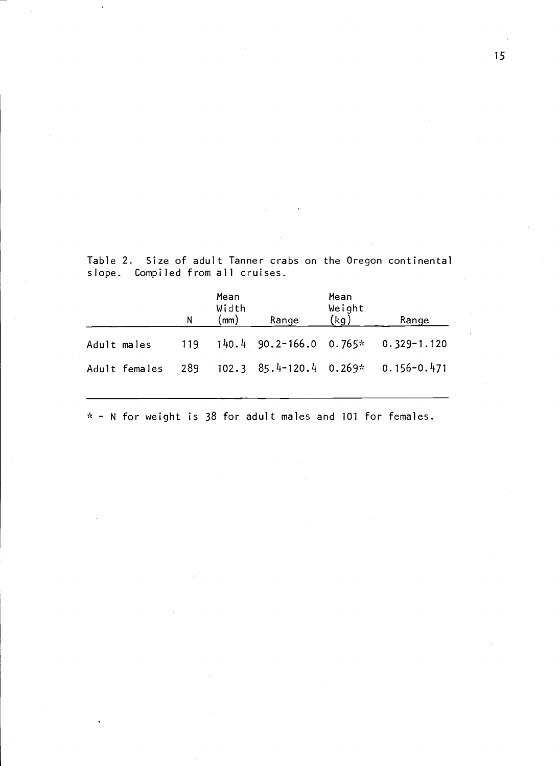Table 2. Size of adult Tanner crabs on the Oregon continenta1 slope. Compiled from all cruises.

|                                                       | N | Mean<br>Width<br>$\mathsf{(mm)}$ | Range | Mean<br>Weight<br>(kg) | Range                                             |
|-------------------------------------------------------|---|----------------------------------|-------|------------------------|---------------------------------------------------|
| Adult males                                           |   |                                  |       |                        | $119$ $140.4$ $90.2 - 166.0$ $0.765*$ 0.329-1.120 |
| Adult females 289 102.3 85.4-120.4 0.269* 0.156-0.471 |   |                                  |       |                        |                                                   |
|                                                       |   |                                  |       |                        |                                                   |

 $*$  - N for weight is 38 for adult males and 101 for females.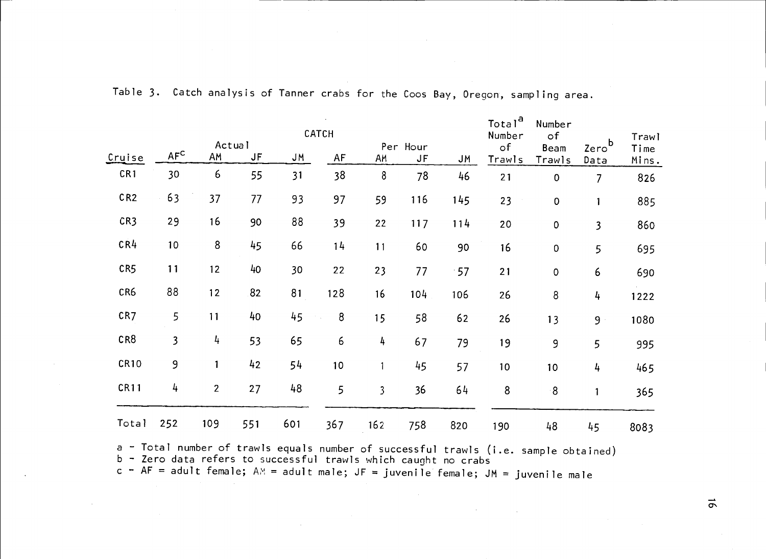|                 |                 |                |     |     | CATCH |                         |                |     | Total <sup>a</sup><br>Number | Number<br>$\circ$ f |                           | Trawl         |
|-----------------|-----------------|----------------|-----|-----|-------|-------------------------|----------------|-----|------------------------------|---------------------|---------------------------|---------------|
| Cruise          | AF <sup>C</sup> | Actual<br>AM   | JF  | JM. | AF    | AM                      | Per Hour<br>JF | JМ  | $\circ$ f<br>Trawls          | Beam<br>Trawls      | Zero <sup>b</sup><br>Data | Time<br>Mins. |
| CR1             | 30              | 6              | 55  | 31  | 38    | 8                       | 78             | 46  | 21                           | $\mathsf{O}\xspace$ | $\overline{7}$            | 826           |
| CR <sub>2</sub> | 63              | 37             | 77  | 93  | 97    | 59                      | 116            | 145 | 23                           | 0                   | $\mathbf{1}$              | 885           |
| CR3             | 29              | 16             | 90  | 88  | 39    | 22                      | $117$          | 114 | 20                           | $\pmb{0}$           | $\overline{\mathbf{3}}$   | 860           |
| CR <sub>4</sub> | 10 <sub>1</sub> | $\bf8$         | 45  | 66  | 14    | 11                      | 60             | 90  | 16                           | $\pmb{0}$           | 5                         | 695           |
| CR5             | 11              | 12             | 40  | 30  | 22    | 23                      | 77             | .57 | 21                           | $\pmb{0}$           | 6                         | 690           |
| CR6             | 88              | 12             | 82  | 81  | 128   | 16                      | 104            | 106 | 26                           | 8                   | 4                         | 1222          |
| CR7             | 5               | 11             | 40  | 45  | 8     | 15                      | 58             | 62  | 26                           | 13                  | 9 <sup>1</sup>            | 1080          |
| CR8             | 3               | 4              | 53  | 65  | 6     | 4                       | 67             | 79  | 19                           | 9                   | 5                         | 995           |
| <b>CR10</b>     | 9               | 1              | 42  | 54  | 10    | 1                       | 45             | 57  | 10 <sub>o</sub>              | 10                  | 4                         | 465           |
| <b>CR11</b>     | 4               | $\overline{2}$ | 27  | 48  | 5     | $\overline{\mathbf{3}}$ | 36             | 64  | 8                            | $8^{\circ}$         | $\mathbf{1}$              | 365           |
| Total           | 252             | 109            | 551 | 601 | 367   | 162                     | 758            | 820 | 190                          | 48                  | 45                        | 8083          |

Total 252 109 551 601 367 162 758 820 190 48 45 808<br>a Total number of trawls equals number of successful trawls (i.e. sample obtained)<br>b - Zero data refers to successful trawls which caught no crabs<br>c - AF = adult female;

c - AF = adult female; AM = adult male; JF = juvenile female; JM = juvenile male<br>intervals.<br>Note that the set of the set of the set of the male

 $\sigma$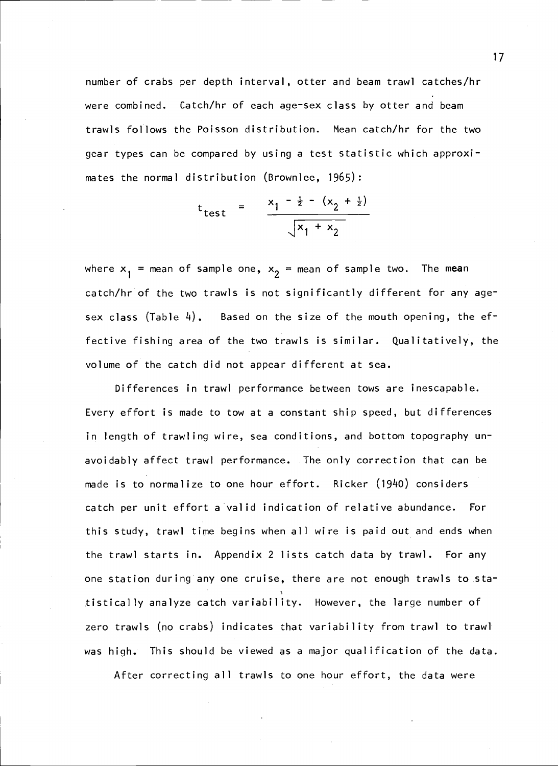number of crabs per depth interval, otter and beam trawl catches/hr were combined. Catch/hr of each age-sex class by otter and beam trawis follows the Poisson distribution. Mean catch/hr for the two gear types can be compared by using a test statistic which approximates the normal distribution (Brownlee, 1965):

$$
t_{\text{test}}
$$
 =  $\frac{x_1 - \frac{1}{2} - (x_2 + \frac{1}{2})}{\sqrt{x_1 + x_2}}$ 

where  $x_1$  = mean of sample one,  $x_2$  = mean of sample two. The mean catch/hr of the two trawls is not significantly different for any agesex class (Table 4). Based on the size of the mouth opening, the effective fishing area of the two trawis is similar. Qualitatively, the volume of the catch did not appear different at sea.

Differences in trawl performance between tows are inescapable. Every effort is made to tow at a constant ship speed, but differences in length of trawling wire, sea conditions, and bottom topography unavoidably affect trawl performance. The only correction that can be made is to normalize to one hour effort. Ricker (1940) considers catch per unit effort a valid indication of relative abundance. For this study, trawl time begins when all wire is paid out and ends when the trawl starts in. Appendix 2 lists catch data by trawl. For any one station during any one cruise, there are not enough trawls to statistically analyze catch variability. However, the large number of zero trawls (no crabs) indicates that variability from trawl to trawl was high. This should be viewed as a major qualification of the data.

After correcting all trawls to one hour effort, the data were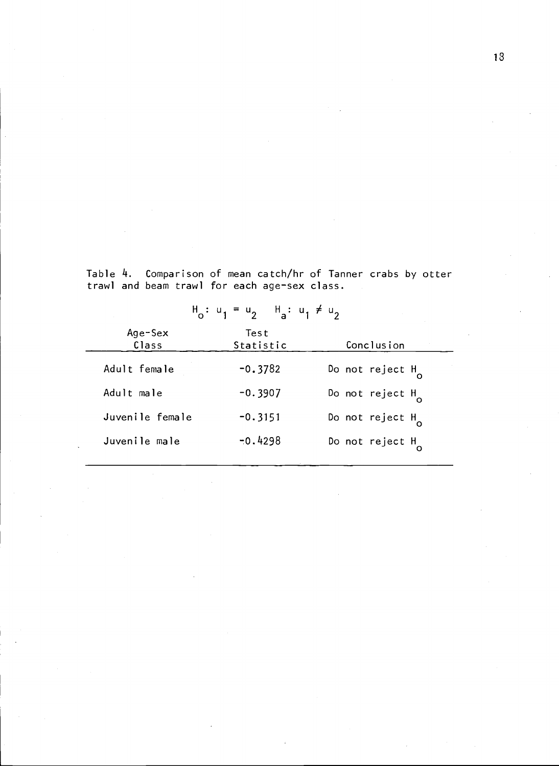Table 4. Comparison of mean catch/hr of Tanner crabs by otter trawl and beam trawl for each age-sex class.

|                  | $H_0: u_1 = u_2$ $H_1: u_1 \neq u_2$ |                            |
|------------------|--------------------------------------|----------------------------|
| Age-Sex<br>Class | Test<br>Statistic                    | Conclusion                 |
| Adult female     | $-0.3782$                            | Do not reject $H_{\alpha}$ |
| Adult male       | $-0.3907$                            | Do not reject $H_{\alpha}$ |
| Juvenile female  | $-0.3151$                            | Do not reject $H_{\alpha}$ |
| Juvenile male    | $-0.4298$                            | Do not reject $H_{\sim}$   |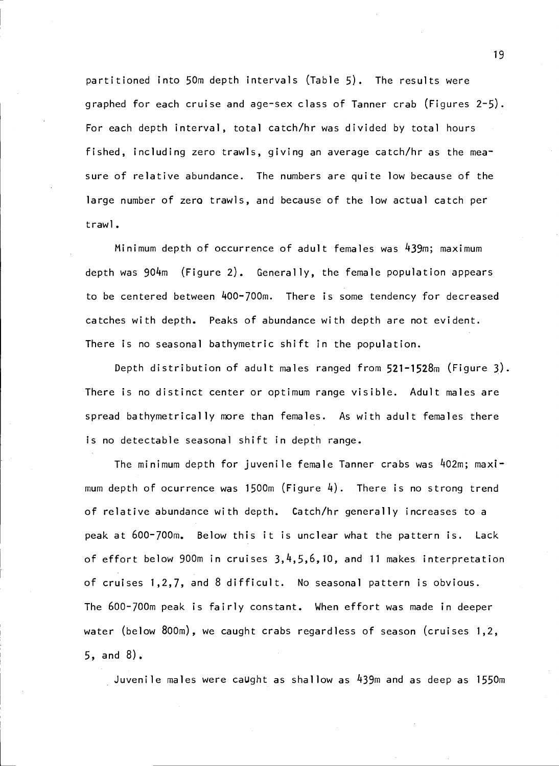partitioned into 50m depth intervals (Table 5). The results were graphed for each cruise and age-sex class of Tanner crab (Figures 2-5). For each depth interval, total catch/hr was divided by total hours fished, including zero trawls, giving an average catch/hr as the measure of relative abundance. The numbers are quite low because of the large number of zero trawls, and because of the low actual catch per trawl.

Minimum depth of occurrence of adult females was 439m; maximum depth was  $904m$  (Figure 2). Generally, the female population appears to be centered between 400-700m. There is some tendency for decreased catches with depth. Peaks of abundance with depth are not evident. There is no seasonal bathymetric shift in the population.

Depth distribution of adult males ranged from 521-1528m (Figure 3). There is no distinct center or optimum range visible. Adult males are spread bathymetrically more than females. As with adult females there is no detectable seasonal shift in depth range.

The minimum depth for juvenile female Tanner crabs was 402m; maximum depth of ocurrence was 1500m (Figure  $4$ ). There is no strong trend of relative abundance with depth. Catch/hr generally increases to a peak at 600-700m. Below this it is unclear what the pattern is. Lack of effort below 900m in cruises  $3, 4, 5, 6, 10$ , and 11 makes interpretation of cruises 1,2,7, and 8 difficult. No seasonal pattern is obvious. The 600-700m peak is fairly constant. When effort was made in deeper water (below 800m), we caught crabs regardless of season (cruises 1,2, 5, and 8).

Juvenile males were caught as shallow as 439m and as deep as 155Cm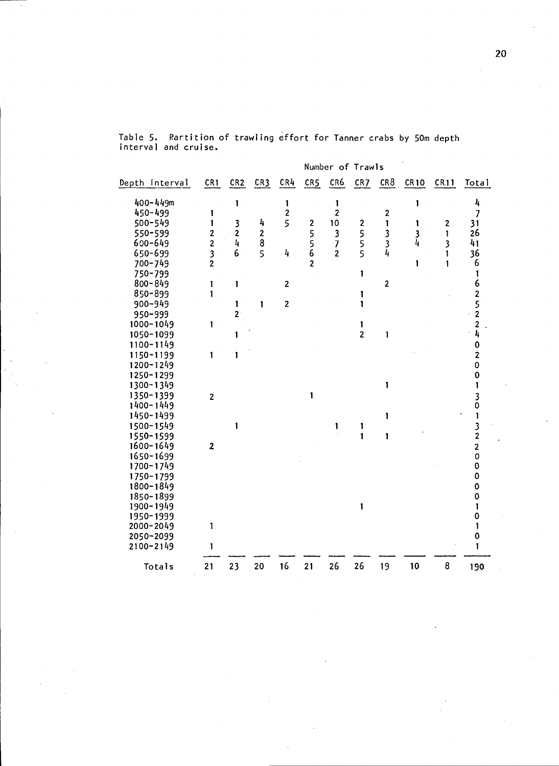|                |                         |                |                |                         |                | Number of Trawls         |                |              |          |              |                         |
|----------------|-------------------------|----------------|----------------|-------------------------|----------------|--------------------------|----------------|--------------|----------|--------------|-------------------------|
| Depth Interval | CR1                     | CR2            | CR3            | CR4                     | CR5            | CR6                      | CR7            |              | CR8 CR10 | CR11         | Total                   |
| 400-449m       |                         | 1              |                | 1                       |                | 1                        |                |              | 1        |              | 4                       |
| 450-499        | 1                       |                |                | $\mathbf 2$             |                | $\overline{\mathbf{c}}$  |                | $\mathbf 2$  |          |              | $\overline{7}$          |
| 500-549        | 1                       | 3              | 4              | 5                       | 2              | 10                       | 2              | 1            | 1        | $\mathbf{z}$ | 31                      |
| 550-599        | 2                       | $\mathbf{z}$   | $\frac{2}{8}$  |                         | 5              | $\overline{\mathbf{3}}$  |                |              | 3        | 1            | 26                      |
| 600-649        | $\overline{c}$          | 4              |                |                         | 5<br>6         | $\overline{\mathcal{L}}$ | 5<br>5         | $3^{3}_{4}$  | 4        | 3            | 41                      |
| 650-699        | 3                       | 6              | $\overline{5}$ | 4                       |                | $\overline{2}$           | 5              |              |          | 1            | 36                      |
| 700-749        | $\overline{c}$          |                |                |                         | $\overline{2}$ |                          |                |              | 1        | $\mathbf{1}$ | 6                       |
| 750-799        |                         |                |                |                         |                |                          | 1              |              |          |              | 1                       |
| $800 - 849$    | 1                       | 1              |                | $\overline{\mathbf{c}}$ |                |                          |                | $\mathbf{z}$ |          |              | 6                       |
| 850-899        | 1                       |                |                |                         |                |                          | 1              |              |          |              | 2                       |
| 900-949        |                         | 1              | 1              | $\mathbf 2$             |                |                          | 1              |              |          |              | 5                       |
| 950-999        |                         | 2 <sup>1</sup> |                |                         |                |                          |                |              |          |              | $\overline{\mathbf{c}}$ |
| 1000-1049      | 1                       |                |                |                         |                |                          | 1              |              |          |              | 2                       |
| 1050-1099      |                         | 1              |                |                         |                |                          | $\overline{c}$ | $\mathbf{1}$ |          |              | 4                       |
| 1100-1149      |                         |                |                |                         |                |                          |                |              |          |              | 0                       |
| 1150-1199      | 1                       | 1              |                |                         |                |                          |                |              |          |              | $\overline{2}$          |
| 1200-1249      |                         |                |                |                         |                |                          |                |              |          |              | 0                       |
| 1250-1299      |                         |                |                |                         |                |                          |                |              |          |              | $\mathbf 0$             |
| 1300-1349      |                         |                |                |                         |                |                          |                | 1            |          |              |                         |
| 1350-1399      | $\overline{2}$          |                |                |                         | 1              |                          |                |              |          |              | 3                       |
| 1400-1449      |                         |                |                |                         |                |                          |                |              |          |              | 0                       |
| 1450-1499      |                         |                |                |                         |                |                          |                | 1            |          |              | 1                       |
| 1500-1549      |                         | 1              |                |                         |                | 1                        | 1              |              |          |              |                         |
| 1550-1599      |                         |                |                |                         |                |                          | 1              | 1            |          |              | 3<br>2                  |
| 1600-1649      | $\overline{\mathbf{c}}$ |                |                |                         |                |                          |                |              |          |              | 2                       |
| 1650-1699      |                         |                |                |                         |                |                          |                |              |          |              | Ó                       |
| 1700-1749      |                         |                |                |                         |                |                          |                |              |          |              | $\mathbf 0$             |
| 1750-1799      |                         |                |                |                         |                |                          |                |              |          |              | 0                       |
| 1800-1849      |                         |                |                |                         |                |                          |                |              |          |              | $\mathbf 0$             |
| 1850-1899      |                         |                |                |                         |                |                          |                |              |          |              | 0                       |
| 1900-1949      |                         |                |                |                         |                |                          | 1              |              |          |              | 1                       |
| 1950-1999      |                         |                |                |                         |                |                          |                |              |          |              | 0                       |
| 2000-2049      | 1                       |                |                |                         |                |                          |                |              |          |              |                         |
| 2050-2099      |                         |                |                |                         |                |                          |                |              |          |              | 0                       |
| 2100-2149      | 1                       |                |                |                         |                |                          |                |              |          |              |                         |
| Totals         | 21                      | 23             | 20             | 16                      | 21             | 26                       | 26             | 19           | 10       | 8            | 190                     |
|                |                         |                |                |                         |                |                          |                |              |          |              |                         |

Table 5. Partition of trawling effort for Tanner crabs by SOm depth interval and cruise.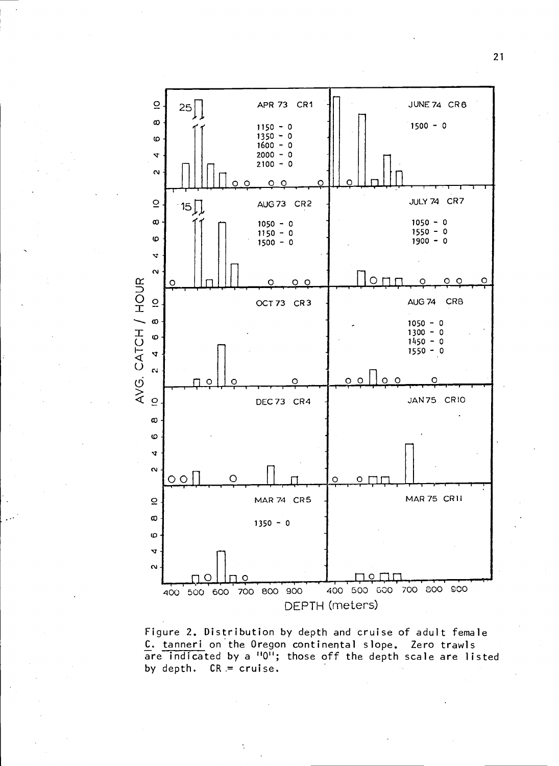

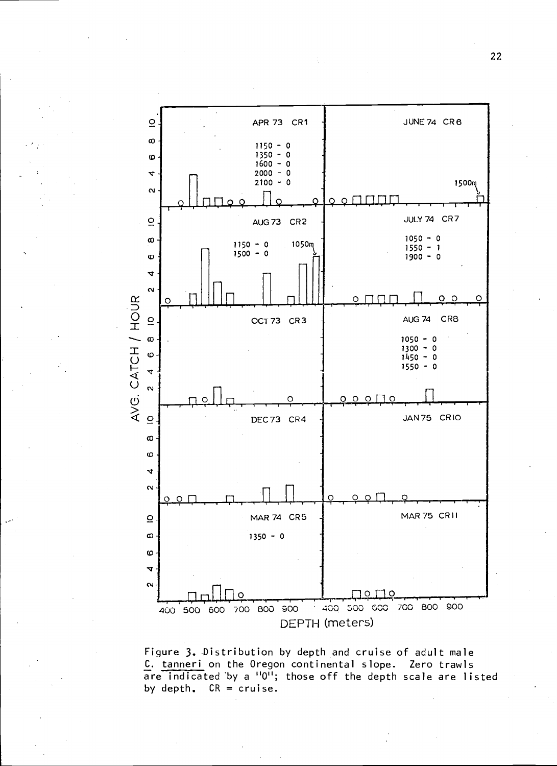

Figure 3. Distribution by depth and cruise of adult male C. tanneri on the Oregon continental slope. Zero trawis are indicated by a "0"; those off the depth scale are listed by depth.  $CR = cruise$ .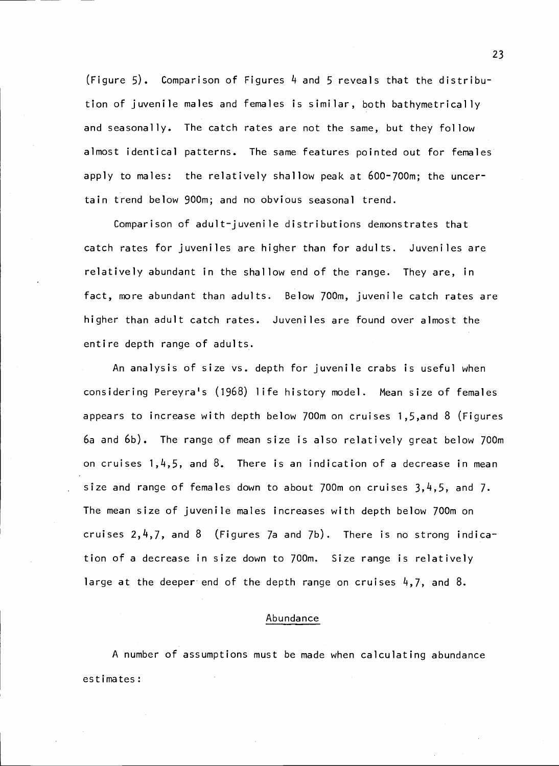(Figure 5). Comparison of Figures 4 and 5 reveals that the distribution of juvenile males and females is similar, both bathymetrically and seasonally. The catch rates are not the same, but they follow almost identical patterns. The same features pointed out for females apply to males: the relatively shallow peak at 600-700m; the uncertain trend below 900m; and no obvious seasonal trend.

Comparison of adult-juvenile distributions demonstrates that catch rates for juveniles are higher than for adults. Juveniles are relatively abundant in the shallow end of the range. They are, in fact, more abundant than adults. Below 700m, juvenile catch rates are higher than adult catch rates. Juveniles are found over almost the entire depth range of adults.

An analysis of size vs. depth for juvenile crabs is useful when considering Pereyra's (1968) life history model. Mean size of females appears to increase with depth below 700m on cruises 1,5,and 8 (Figures 6a and 6b). The range of mean size is also relatively great below 700m on cruises  $1,4,5$ , and  $8$ . There is an indication of a decrease in mean size and range of females down to about 700m on cruises  $3, 4, 5$ , and 7. The mean size of juvenile males increases with depth below 700m on cruises  $2, 4, 7$ , and 8 (Figures 7a and 7b). There is no strong indication of a decrease in size down to 700m. Size range is relatively large at the deeper end of the depth range on cruises 4,7, and 8.

### Abundance

A number of assumptions must be made when calculating abundance estimates: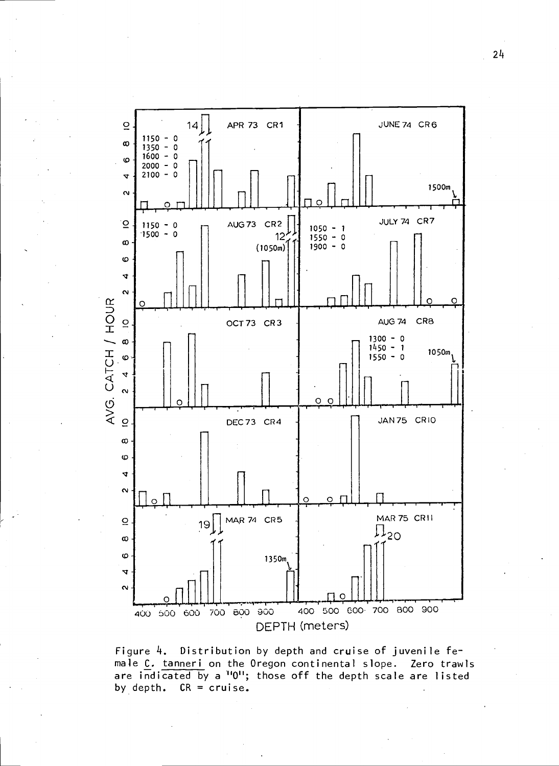

Figure 4. Distribution by depth and cruise of juvenile female C. tanneri on the Oregon continental slope. Zero trawls are indicated by a <sup>1101</sup>; those off the depth scale are listed by depth.  $CR = cruise.$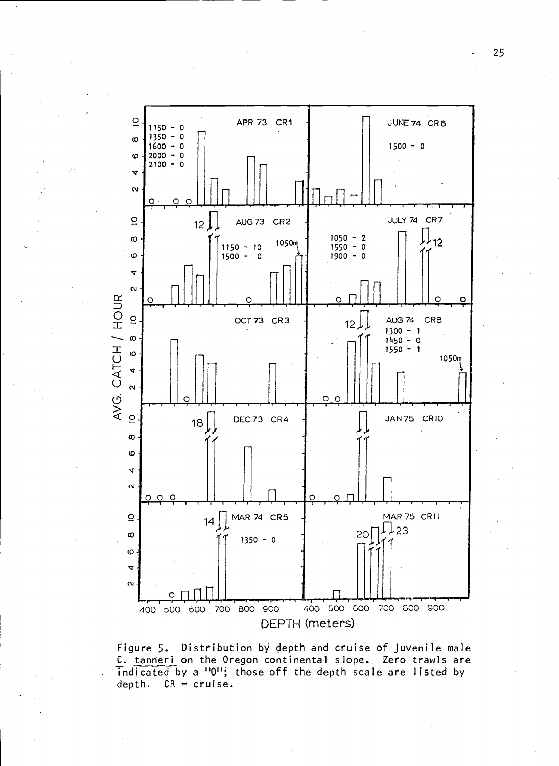

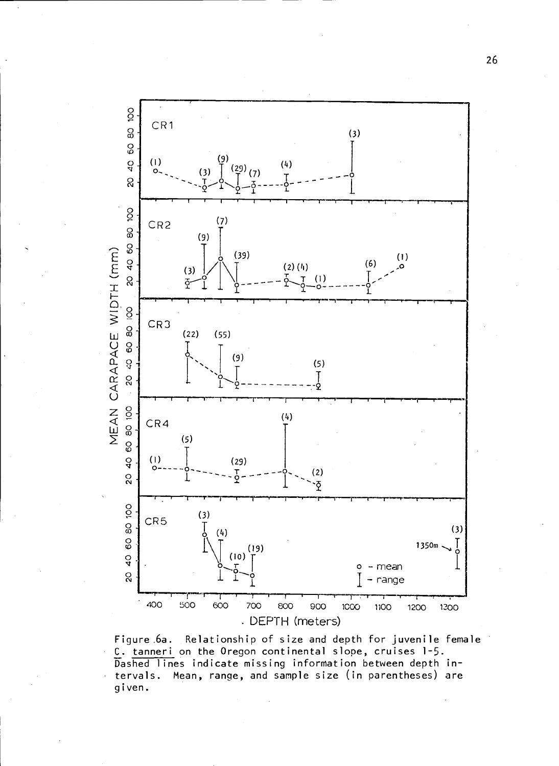

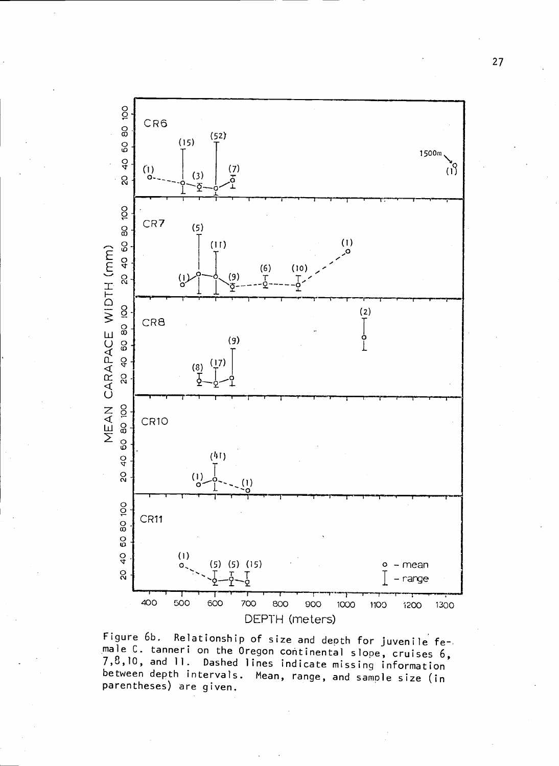

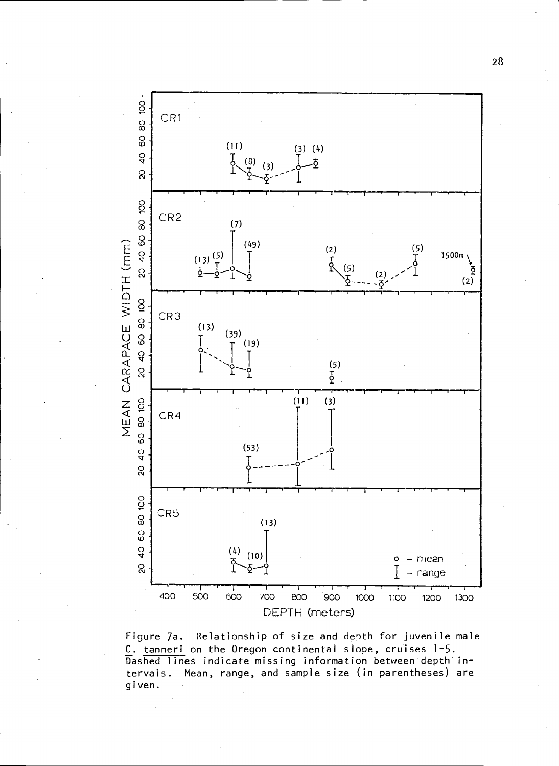

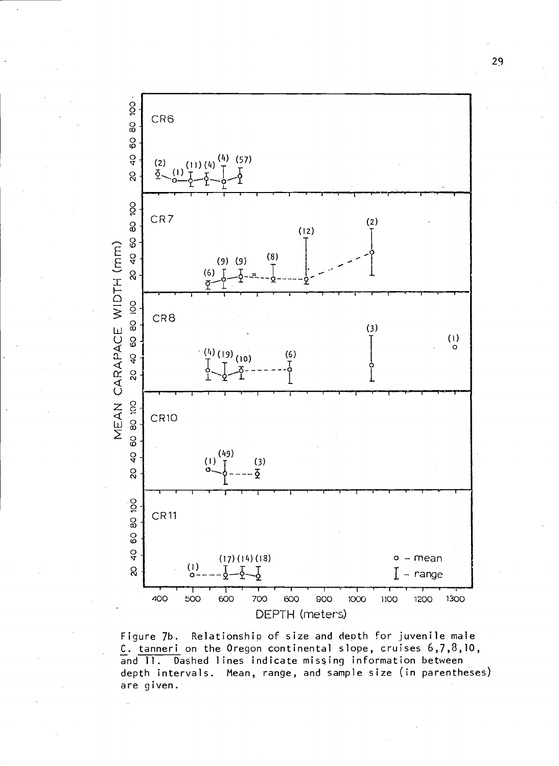

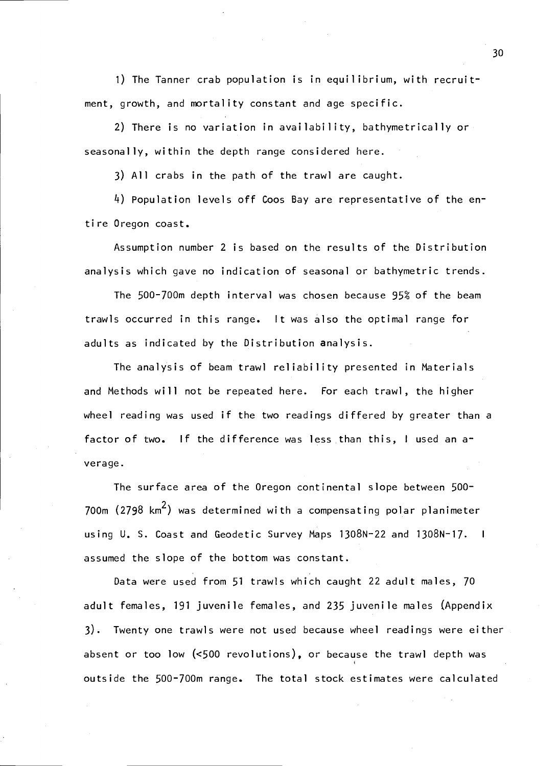1) The Tanner crab population is in equilibrium, with recruitment, growth, and mortality constant and age specific.

2) There is no variation in availability, bathymetrically or seasonally, within the depth range considered here.

3) All crabs in the path of the trawl are caught.

L) Population levels off Coos Bay are representative of the en tire Oregon coast.

Assumption number 2 is based on the results of the Distribution analysis which gave no indication of seasonal or bathymetric trends.

The 500-700m depth interval was chosen because 95% of the beam trawis occurred in this range. It was also the optimal range for adults as indicated by the Distribution analysis.

The analysis of beam trawl reliability presented in Materials and Methods will not be repeated here. For each trawl, the higher wheel reading was used if the two readings differed by greater than a factor of two. If the difference was less than this, I used an  $a<sup>+</sup>$ verage.

The surface area of the Oregon continental slope between 500- 700m  $(2798 \text{ km}^2)$  was determined with a compensating polar planimeter using U. S. Coast and Geodetic Survey Maps 1308N-22 and 1308N-17. <sup>I</sup> assumed the slope of the bottom was constant.

Data were used from 51 trawls which caught 22 adult males, 70 adult females, 191 juvenile females, and 235 juvenile males (Appendix 3). Twenty one trawis were not used because wheel readings were either absent or too low (<500 revolutions), or because the trawl depth was outside the 500-700m range. The total stock estimates were calculated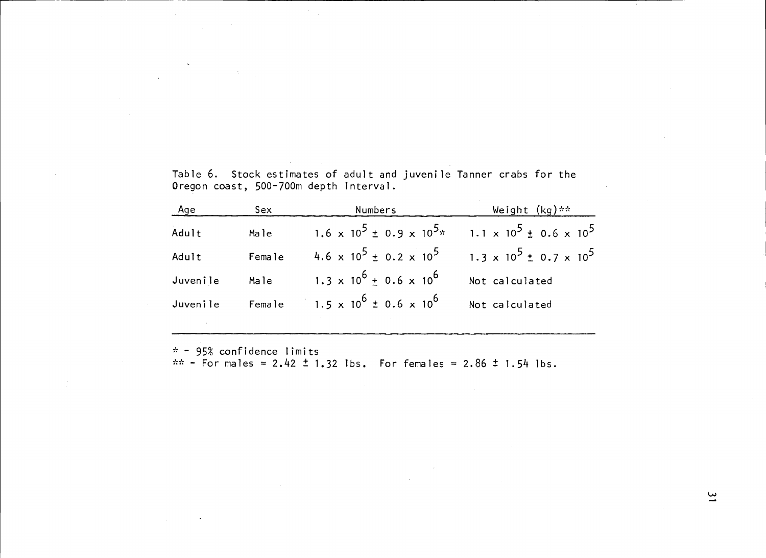|  |                                        |  |  | Table 6.  Stock estimates of adult and juvenile Tanner crabs for the |  |  |
|--|----------------------------------------|--|--|----------------------------------------------------------------------|--|--|
|  | Oregon coast, 500–700m depth interval. |  |  |                                                                      |  |  |

| Age        | Sex    | Numbers                                 | Weight (kg)**                         |
|------------|--------|-----------------------------------------|---------------------------------------|
| .<br>Adult | Male   | 1.6 x $10^5 \pm 0.9 \times 10^{5}$ *    | $1.1 \times 10^5 \pm 0.6 \times 10^5$ |
| Adult      | Female | 4.6 x $10^5 \pm 0.2 \times 10^5$        | 1.3 x $10^5 \pm 0.7 \times 10^5$      |
| Juvenile   | Male   | $1.3 \times 10^6 \pm 0.6 \times 10^6$   | Not calculated                        |
| Juvenile   |        | Female 1.5 x $10^6 \pm 0.6 \times 10^6$ | Not calculated                        |
|            |        |                                         |                                       |

95% confidence limits<br>- For males = 2.42 ± 1.32 lbs. For females = 2.86 ± 1.54 lbs<br>.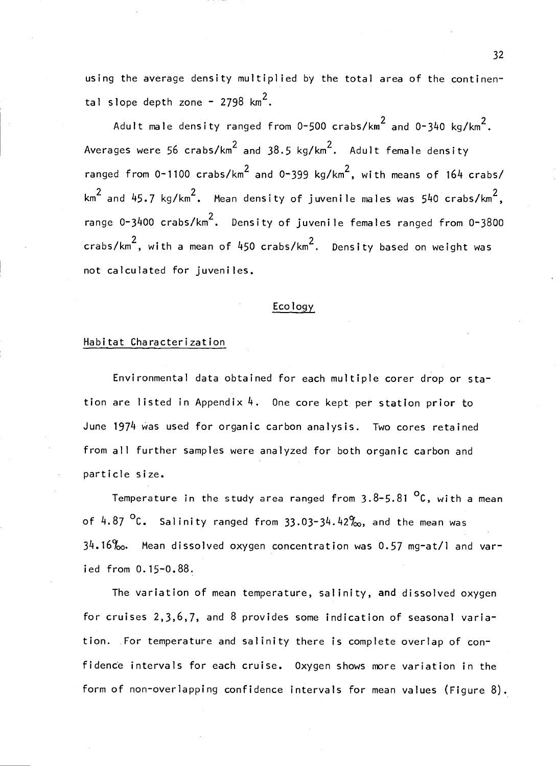using the average density multiplied by the total area of the continental slope depth zone - 2798  $km^2$ .

Adult male density ranged from  $0-500$  crabs/km<sup>2</sup> and  $0-340$  kg/km<sup>2</sup>. Averages were 56 crabs/km<sup>2</sup> and 38.5 kg/km<sup>2</sup>. Adult female density ranged from 0-1100 crabs/km<sup>2</sup> and 0-399 kg/km<sup>2</sup>, with means of 164 crabs/ km<sup>2</sup> and 45.7 kg/km<sup>2</sup>. Mean density of juvenile males was 540 crabs/km<sup>2</sup>, range 0-3400 crabs/km<sup>2</sup>. Density of juvenile females ranged from 0-3800 crabs/km<sup>2</sup>, with a mean of 450 crabs/km<sup>2</sup>. Density based on weight was not calculated for juveniles.

#### Ecology

### Habitat Characterization

Environmental data obtained for each multiple corer drop or station are listed in Appendix 4. One core kept per station prior to June 1974 was used for organic carbon analysis. Two cores retained from all further samples were analyzed for both organic carbon and particle size.

Temperature in the study area ranged from  $3.8-5.81$  <sup>O</sup>C, with a mean of  $4.87$  <sup>O</sup>C. Salinity ranged from  $33.03-34.42\%$ , and the mean was  $34.16\%$ . Mean dissolved oxygen concentration was 0.57 mg-at/l and varied from 0.15-0.88.

The variation of mean temperature, salinity, and dissolved oxygen for cruises 2,3,6,7, and 8 provides some indication of seasonal variation. For temperature and salinity there is complete overlap of confidencè intervals for each cruise. Oxygen shows more variation in the form of non-overlapping confidence intervals for mean values (Figure 8).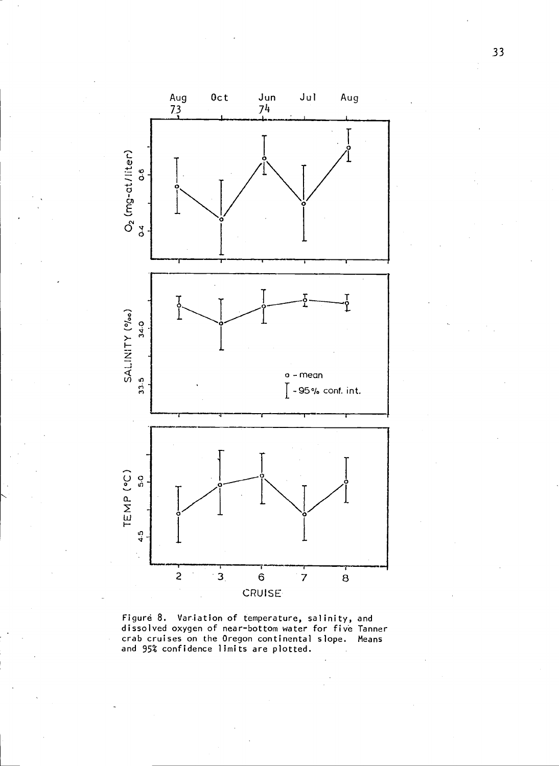

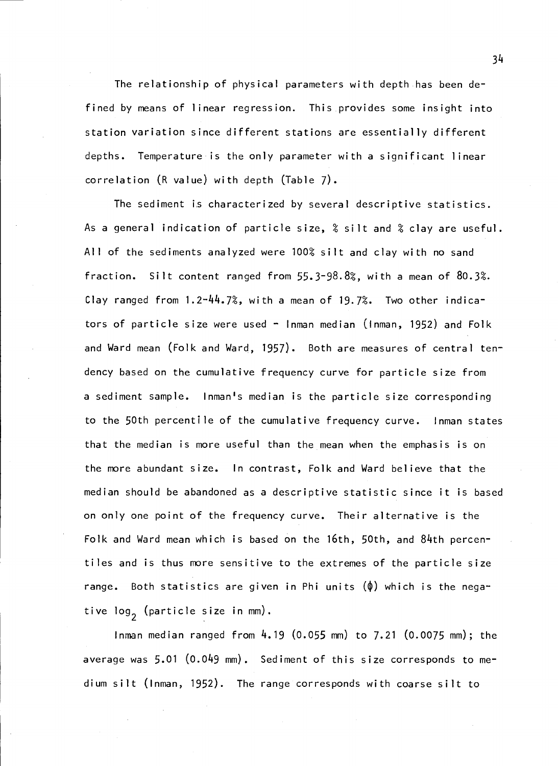The relationship of physical parameters with depth has been defined by means of linear regression. This provides some insight into station variation since different stations are essentially different depths. Temperature is the only parameter with a significant linear correlation (R value) with depth (Table 7).

The sediment is characterized by several descriptive statistics. As a general indication of particle size,  $%$  silt and  $%$  clay are useful. All of the sediments analyzed were 100% silt and clay with no sand fraction. Silt content ranged from  $55.3-98.8$ %, with a mean of 80.3%. Clay ranged from  $1.2 - 44.7$ %, with a mean of 19.7%. Two other indicators of particle size were used  $\sim$  Inman median (Inman, 1952) and Folk and Ward mean (Folk and Ward, 1957). Both are measures of central tendency based on the cumulative frequency curve for particle size from a sediment sample. Inman's median is the particle size corresponding to the 50th percentile of the cumulative frequency curve. Inman states that the median is more useful than the mean when the emphasis is on the more abundant size. In contrast, Folk and Ward believe that the median should be abandoned as a descriptive statistic since it is based on only one point of the frequency curve. Their alternative is the Folk and Ward mean which is based on the 16th, 50th, and 84th percentiles and is thus more sensitive to the extremes of the particle size range. Both statistics are given in Phi units  $(\phi)$  which is the negative log<sub>2</sub> (particle size in mm).

Inman median ranged from 4.19 (0.055 mm) to 7.21 (0.0075 mm); the average was 5.01 (0.049 mm). Sediment of this size corresponds to medium silt (Inman, 1952). The range corresponds with coarse silt to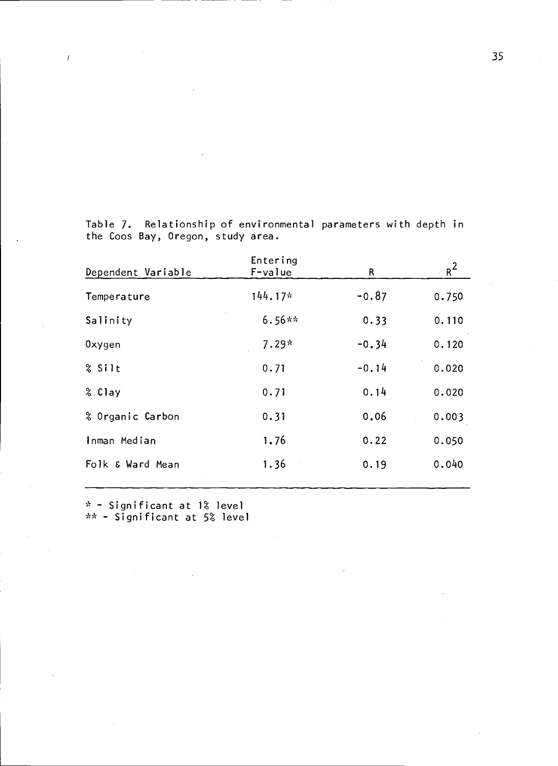| Dependent Variable | Entering<br>F-value | R       | $R^2$ |
|--------------------|---------------------|---------|-------|
| Temperature        | $144.17*$           | $-0.87$ | 0.750 |
| Salinity           | $6.56**$            | 0.33    | 0.110 |
| 0xygen             | $7.29*$             | $-0.34$ | 0.120 |
| % Silt             | 0.71                | $-0.14$ | 0.020 |
| %.Clay             | 0.71                | 0.14    | 0.020 |
| % Organic Carbon   | 0.31                | 0.06    | 0.003 |
| Inman Median       | 1.76                | 0.22    | 0.050 |
| Folk & Ward Mean   | 1.36                | 0.19    | 0.040 |
|                    |                     |         |       |

Table 7. Relationship of environmental parameters with depth in the Coos Bay, Oregon, study area.

Significant at 1% level **compared to the** Significant at 5\* level

 $\bar{I}$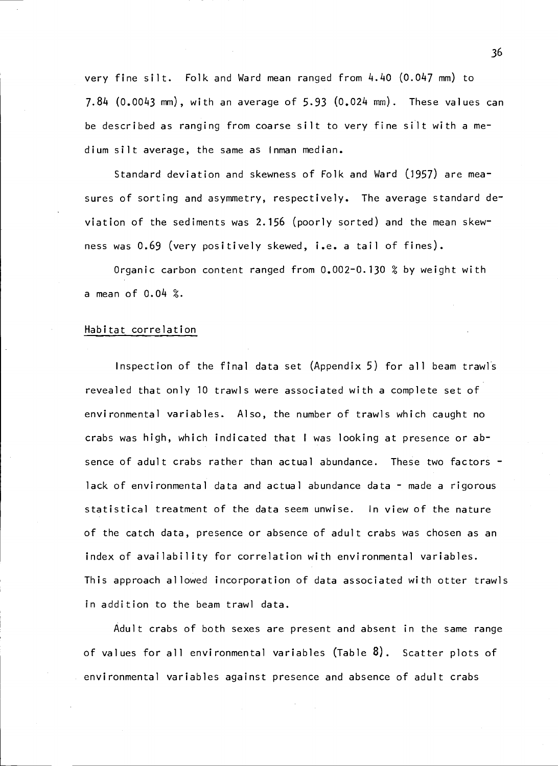very fine silt. Folk and Ward mean ranged from 4.40 (0.047 mm) to 7.84 (0.0043 mm), with an average of 5.93 (0.024 mm). These values can be described as ranging from coarse silt to very fine silt with a medium silt average, the same as Inman median.

Standard deviation and skewness of Folk and Ward (1957) are measures of sorting and asymmetry, respectively. The average standard deviation of the sediments was 2.156 (poorly sorted) and the mean skewness was 0.69 (very positively skewed, i.e. a tail of fines).

Organic carbon content ranged from  $0.002 - 0.130$  % by weight with a mean of  $0.04$  %.

## Habitat correlation

Inspection of the final data set (Appendix 5) for all beam trawis revealed that only 10 trawls were associated with a complete set of environmental variables. Also, the number of trawls which caught no crabs was high, which indicated that <sup>I</sup> was looking at presence or absence of adult crabs rather than actual abundance. These two factors lack of environmental data and actual abundance data - made a rigorous statistical treatment of the data seem unwise. In view of the nature of the catch data, presence or absence of adult crabs was chosen as an index of availability for correlation with environmental variables. This approach allowed incorporation of data associated with otter trawls in addition to the beam trawl data.

Adult crabs of both sexes are present and absent in the same range of values for all environmental variables  $(Tab)$ . Scatter plots of environmental variables against presence and absence of adult crabs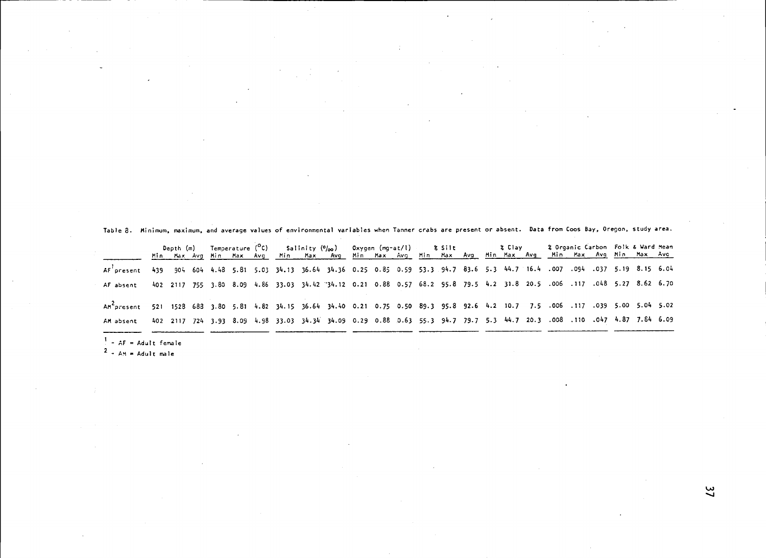|                         | Depth (m) |  |  |  |  |                                                                                                                              |  |  |  |  |  | Temperature ( <sup>O</sup> C) Salinity (º/ <sub>00</sub> ) Oxygen (mg-at/l) - \$ Silt - \$ Clay |  |  |  |  |  | & Organic Carbon Folk & Ward Mean |  |  |  |
|-------------------------|-----------|--|--|--|--|------------------------------------------------------------------------------------------------------------------------------|--|--|--|--|--|-------------------------------------------------------------------------------------------------|--|--|--|--|--|-----------------------------------|--|--|--|
|                         |           |  |  |  |  | <u>Min Max Avg Min Max Avg Min Max Avg Min Max Avg Min Max Avg Min Max Avg Min Max Avg Min Max Avg</u>                       |  |  |  |  |  |                                                                                                 |  |  |  |  |  |                                   |  |  |  |
| AF present              |           |  |  |  |  | 439 904 604 4.48 5.81 5.03 34.13 36.64 34.36 0.25 0.85 0.59 53.3 94.7 83.6 5.3 44.7 16.4 .007 .094 .037 5.19 8.15 6.04       |  |  |  |  |  |                                                                                                 |  |  |  |  |  |                                   |  |  |  |
| AF absent               |           |  |  |  |  | 402 2117 755 3.80 8.09 4.86 33.03 34.42 34.12 0.21 0.88 0.57 68.2 95.8 79.5 4.2 31.8 20.5 .006 .117 .048 5.27 8.62 6.70      |  |  |  |  |  |                                                                                                 |  |  |  |  |  |                                   |  |  |  |
| An <sup>c</sup> oresent |           |  |  |  |  | 5.02 5.04 5.05 683 3.80 5.81 4.82 34.15 36.64 34.40 0.21 0.75 0.50 89.3 95.8 92.6 4.2 10.7 7.5 .006 .117 .039 5.00 5.04 5.02 |  |  |  |  |  |                                                                                                 |  |  |  |  |  |                                   |  |  |  |
| AM absent               |           |  |  |  |  | 402 2117 724 3.93 8.09 4.98 33.03 34.34 34.09 0.29 0.88 0.63 55.3 94.7 79.7 5.3 44.7 20.3 .008 .110 .047 4.87 7.84 6.09      |  |  |  |  |  |                                                                                                 |  |  |  |  |  |                                   |  |  |  |
| $-$ AF = Adult female   |           |  |  |  |  |                                                                                                                              |  |  |  |  |  |                                                                                                 |  |  |  |  |  |                                   |  |  |  |

2 - AM = Adult male<br>.<br>.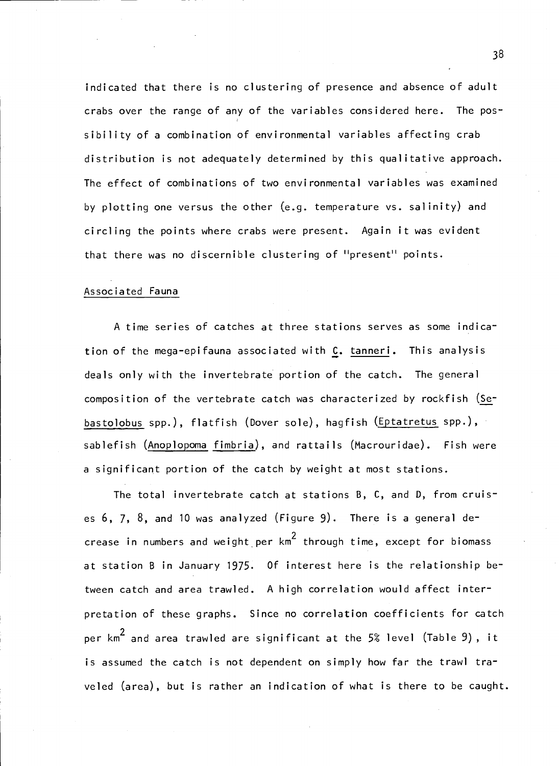indicated that there is no clustering of presence and absence of adult crabs over the range of any of the variables considered here. The possibility of a combination of environmental variables affecting crab distribution is not adequately determined by this qualitative approach. The effect of combinations of two environmental variables was examined by plotting one versus the other (e.g. temperature vs. salinity) and circling the points where crabs were present. Again it was evident that there was no discernible clustering of "present" points.

### Associated Fauna

A time series of catches at three stations serves as some indication of the mega-epifauna associated with C. tanneri. This analysis deals only with the invertebrate portion of the catch. The general composition of the vertebrate catch was characterized by rockfish (Sebastolobus spp.), flatfish (Dover sole), hagfish (Eptatretus spp.), sablefish (Anoplopoma fimbria), and rattails (Macrouridae). Fish were a significant portion of the catch by weight at most stations.

The total invertebrate catch at stations B, C, and D, from cruises 6, 7, 8, and 10 was analyzed (Figure 9). There is a general decrease in numbers and weight per  $km^2$  through time, except for biomass at station B in January 1975. Of interest here is the relationship between catch and area trawled. A high correlation would affect interpretation of these graphs. Since no correlation coefficients for catch per  $km^2$  and area trawled are significant at the 5% level (Table 9), it is assumed the catch is not dependent on simply how far the trawl traveled (area), but is rather an indication of what is there to be caught.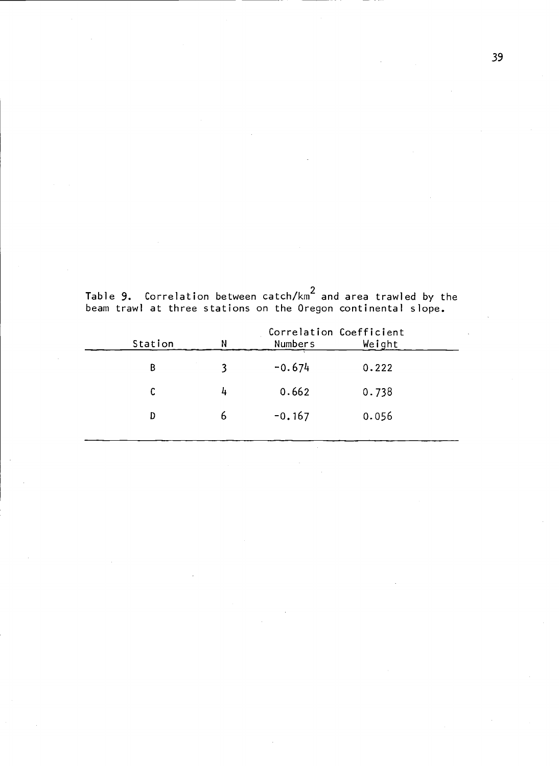| Station | N | Correlation Coefficient<br><b>Numbers</b> | Weight |  |
|---------|---|-------------------------------------------|--------|--|
| B       |   | $-0.674$                                  | 0.222  |  |
|         | 4 | 0.662                                     | 0.738  |  |
| D       | ь | $-0.167$                                  | 0.056  |  |
|         |   |                                           |        |  |

Table 9. Correlation between catch/km2 and area trawled by the beam trawl at three stations on the Oregon continental slope.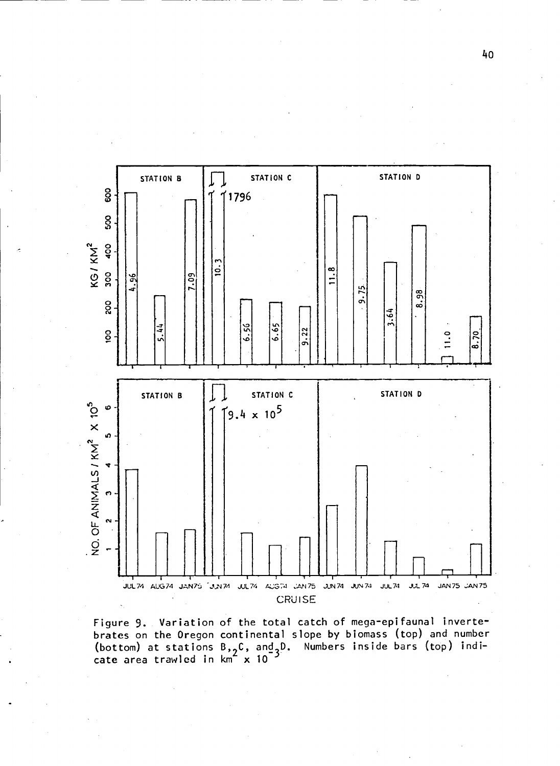

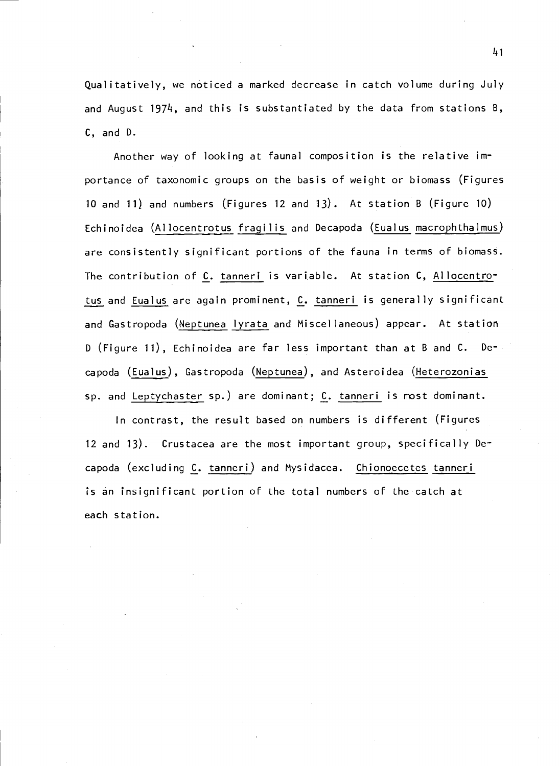Qualitatively, we noticed a marked decrease in catch volume during July and August 1974, and this is substantiated by the data from stations B, C, and D.

Another way of looking at faunal composition is the relative importance of taxonomic groups on the basis of weight or biomass (Figures 10 and ii) and numbers (Figures 12 and 13). At station B (Figure 10) Echinoidea (Allocentrotus fragilis and Decapoda (Eualus macrophthalmus) are consistently significant portions of the fauna in terms of biomass. The contribution of C. tanneri is variable. At station C, Allocentrotus and Eualus are again prominent, C. tanneri is generally significant and Gastropoda (Neptunea lyrata and Miscellaneous) appear. At station D (Figure 11), Echinoidea are far less important than at B and C. Decapoda (Eualus), Gastropoda (Neptunea), and Asteroidea (Heterozonias sp. and Leptychaster sp.) are dominant; C. tanneri is most dominant.

In contrast, the result based on numbers is different (Figures 12 and 13). Crustacea are the most important group, specifically Decapoda (excluding C. tanneri) and Mysidacea. Chionoecetes tanneri is an insignificant portion of the total numbers of the catch at each station.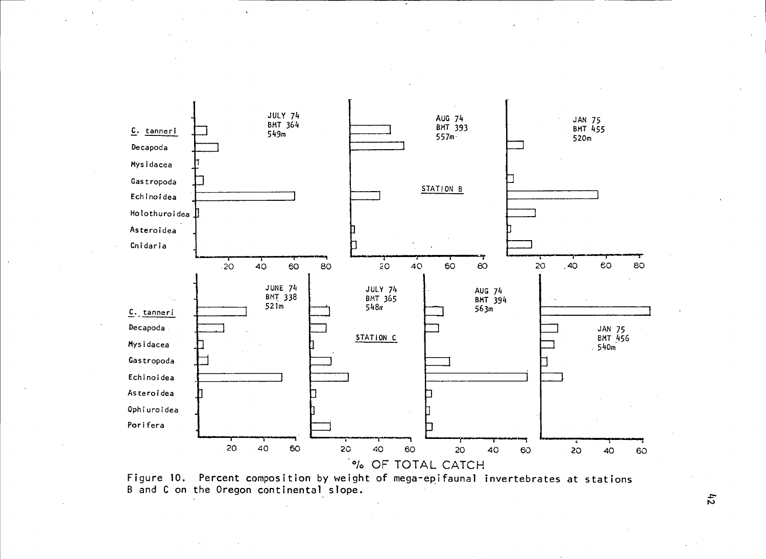

 $\%$  OF TOTAL CATCH<br>Figure 10. Percent composition by weight of mega-epifaunal invertebrates at stations<br>B and C on the Oregon continental slope.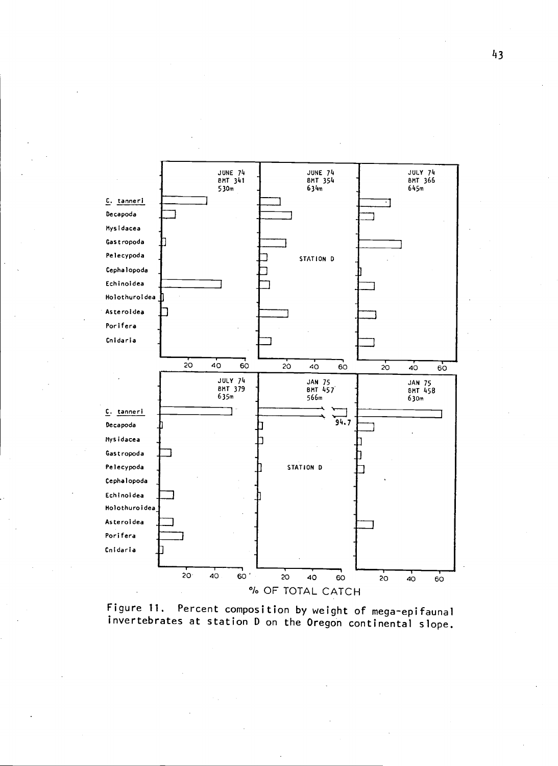

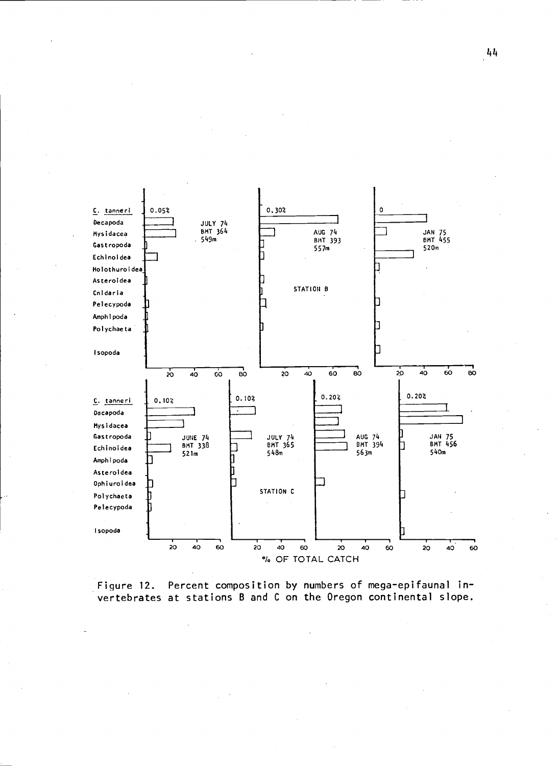

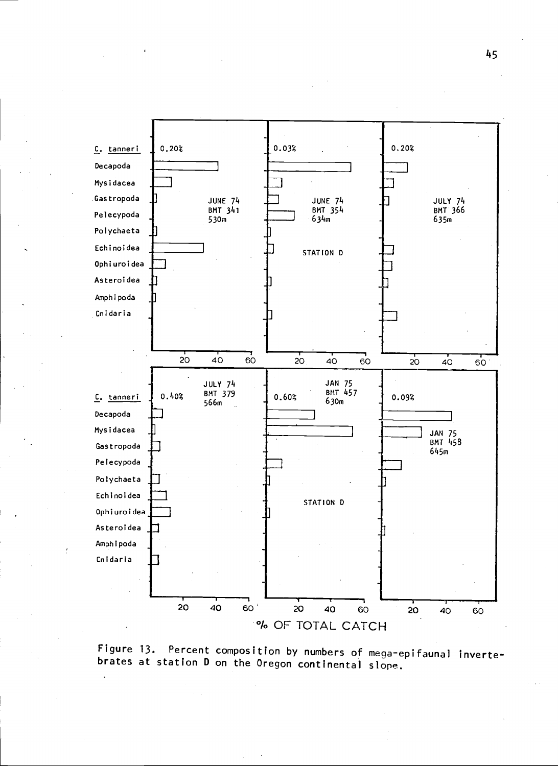

Figure 13. Percent composition by numbers of mega-epifauna) invertebrates at station D on the Oregon continental slope.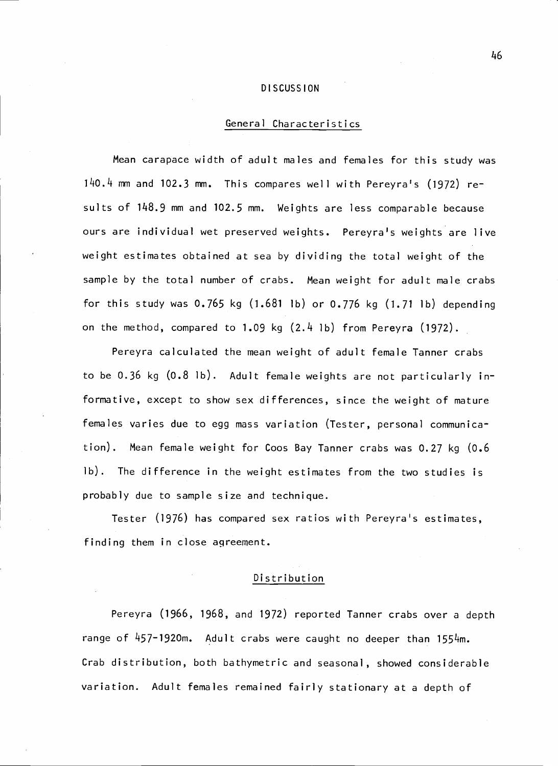#### DISCUSSION

# General Characteristics

Mean carapace width of adult males and females for this study was  $140.4$  mm and  $102.3$  mm. This compares well with Pereyra's (1972) results of 148.9 mm and 102.5 mm. Weights are less comparable because ours are individual wet preserved weights. Pereyra's weights are live weight estimates obtained at sea by dividing the total weight of the sample by the total number of crabs. Mean weight for adult male crabs for this study was  $0.765$  kg  $(1.681$  lb) or  $0.776$  kg  $(1.71$  lb) depending on the method, compared to 1.09 kg (2.4 lb) from Pereyra (1972).

Pereyra calculated the mean weight of adult female Tanner crabs to be 0.36 kg (0.8 lb). Adult female weights are not particularly informative, except to show sex differences, since the weight of mature females varies due to egg mass variation (Tester, personal communication). Mean female weight for Coos Bay Tanner crabs was 0.27 kg (0.6 Ib). The difference in the weight estimates from the two studies is probably due to sample size and technique.

Tester (1976) has compared sex ratios with Pereyra's estimates, finding them in close agreement.

## Distribution

Pereyra (1966, 1968, and 1972) reported Tanner crabs over a depth range of  $457 - 1920$ m. Adult crabs were caught no deeper than  $1554$ m. Crab distribution, both bathymetric and seasonal, showed considerable variation. Adult females remained fairly stationary at a depth of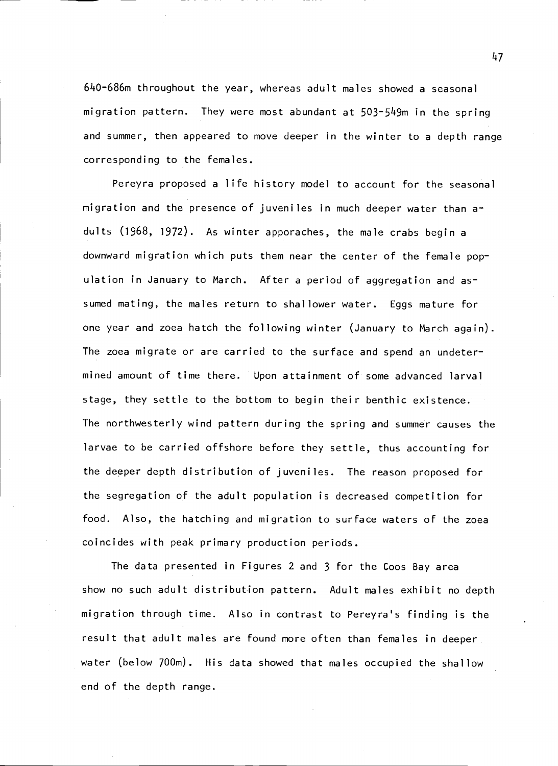$640$ – $686$ m throughout the year, whereas adult males showed a seasonal migration pattern. They were most abundant at 503-549m in the spring and summer, then appeared to move deeper in the winter to a depth range corresponding to the females.

Pereyra proposed a life history model to account for the seasonal migration and the presence of juveniles in much deeper water than  $a<sup>2</sup>$ dults (1968, 1972). As winter apporaches, the male crabs begin a downward migration which puts them near the center of the female population in January to March. After a period of aggregation and assumed mating, the males return to shallower water. Eggs mature for one year and zoea hatch the following winter (January to March again). The zoea migrate or are carried to the surface and spend an undetermined amount of time there. Upon attainment of some advanced larval stage, they settle to the bottom to begin their benthic existence. The northwesterly wind pattern during the spring and summer causes the larvae to be carried offshore before they settle, thus accounting for the deeper depth distribution of juveniles. The reason proposed for the segregation of the adult population is decreased competition for food. Also, the hatching and migration to surface waters of the zoea coincides with peak primary production periods.

The data presented in Figures 2 and 3 for the Coos Bay area show no such adult distribution pattern. Adult males exhibit no depth migration through time. Also in contrast to Pereyra's finding is the result that adult males are found more often than females in deeper water (below 700m). His data showed that males occupied the shallow end of the depth range.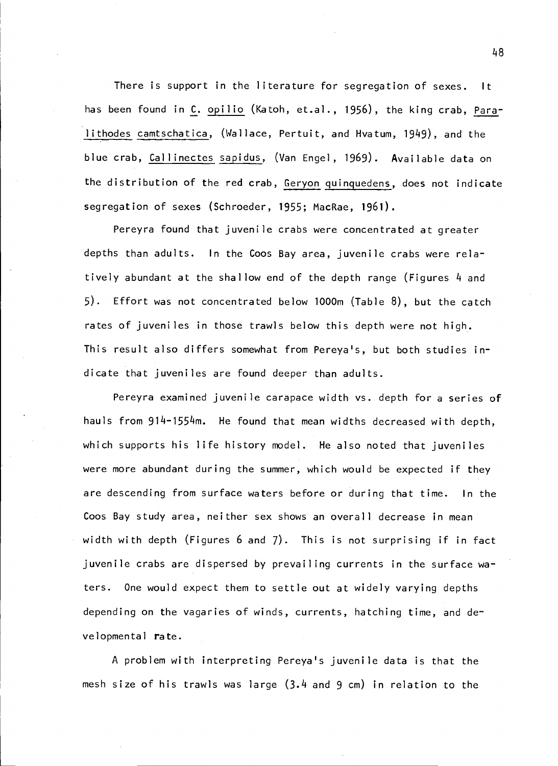There is support in the literature for segregation of sexes. It has been found in C. opilio (Katoh, et.al., 1956), the king crab, Paralithodes camtschatica, (Wallace, Pertuit, and Hvatum, 1949), and the blue crab, Callinectes sapidus, (Van Engel, 1969). Available data on the distribution of the red crab, Geryon quinguedens, does not indicate segregation of sexes (Schroeder, 1955; MacRae, 1961).

Pereyra found that juvenile crabs were concentrated at greater depths than adults. In the Coos Bay area, juvenile crabs were relatively abundant at the shallow end of the depth range (Figures 4 and 5). Effort was not concentrated below l000m (Table 8), but the catch rates of juveniles in those trawls below this depth were not high. This result also differs somewhat from Pereya's, but both studies indicate that juveniles are found deeper than adults.

Pereyra examined juvenile carapace width vs. depth for a series of hauls from 914-1554m. He found that mean widths decreased with depth, which supports his life history model. He also noted that juveniles were more abundant during the summer, which would be expected if they are descending from surface waters before or during that time. In the Coos Bay study area, neither sex shows an overall decrease in mean width with depth (Figures 6 and 7). This is not surprising if in fact juvenile crabs are dispersed by prevailing currents in the surface waters. One would expect them to settle out at widely varying depths depending on the vagaries of winds, currents, hatching time, and developmental rate.

A problem with interpreting Pereya's juvenile data is that the mesh size of his trawls was large  $(3.4$  and 9 cm) in relation to the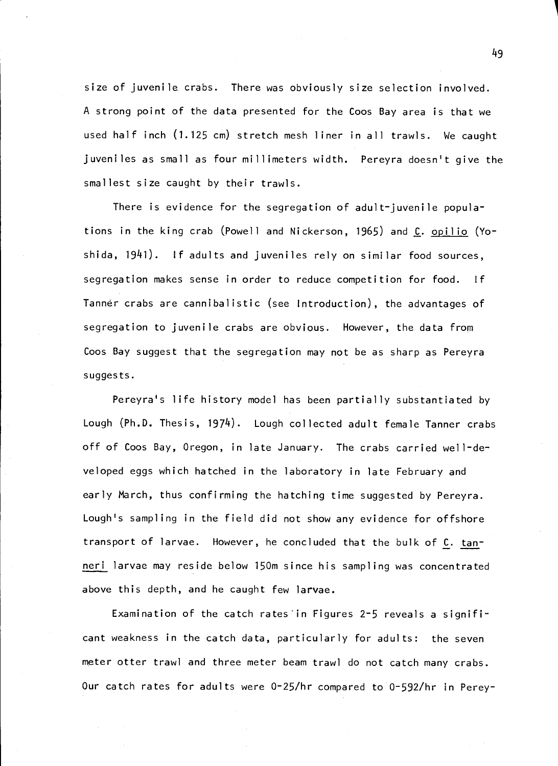size of juvenile crabs. There was obviously size selection involved. A strong point of the data presented for the Coos Bay area is that we used half inch (1.125 cm) stretch mesh liner in all trawls. We caught juveniles as small as four millimeters width. Pereyra doesn't give the smallest size caught by their trawis.

There is evidence for the segregation of adult-juvenile populations in the king crab (Powell and Nickerson, 1965) and C. opilio (Yoshida,  $1941$ ). If adults and juveniles rely on similar food sources, segregation makes sense in order to reduce competition for food. If Tanner crabs are cannibalistic (see Introduction), the advantages of segregation to juvenile crabs are obvious. However, the data from Coos Bay suggest that the segregation may not be as sharp as Pereyra suggests.

Pereyra's life history model has been partially substantiated by Lough (Ph.D. Thesis, 1974). Lough collected adult female Tanner crabs off of Coos Bay, Oregon, in late January. The crabs carried well-developed eggs which hatched in the laboratory in late February and early March, thus confirming the hatching time suggested by Pereyra. Lough's sampling in the field did not show any evidence for offshore transport of larvae. However, he concluded that the bulk of C. tanneri larvae may reside below 150m since his sampling was concentrated above this depth, and he caught few larvae.

Examination of the catch rates'in Figures 2-5 reveals a significant weakness in the catch data, particularly for adults: the seven meter otter trawl and three meter beam trawl do not catch many crabs. Our catch rates for adults were 0-25/hr compared to 0-592/hr in Perey-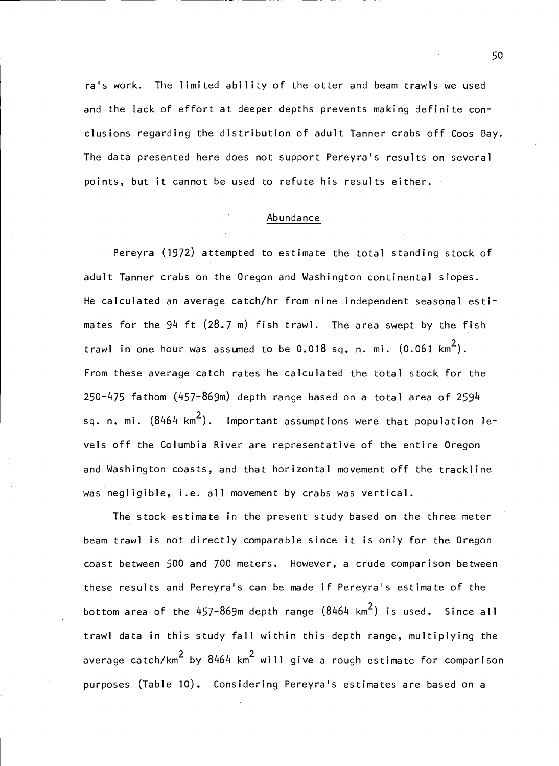ra's work. The limited ability of the otter and beam trawls we used and the lack of effort at deeper depths prevents making definite conclusions regarding the distribution of adult Tanner crabs off Coos Bay. The data presented here does not support Pereyra's results on several points, but it cannot be used to refute his results either.

## Abundance

Pereyra (1972) attempted to estimate the total standing stock of adult Tanner crabs on the Oregon and Washington continental slopes. He calculated an average catch/hr from nine independent seasonal estimates for the  $94$  ft  $(28.7 \text{ m})$  fish trawl. The area swept by the fish trawl in one hour was assumed to be  $0.018$  sq. n. mi.  $(0.061 \text{ km}^2)$ . From these average catch rates he calculated the total stock for the 250-475 fathom (457-869m) depth range based on a total area of 2594 sq. n. mi.  $(8464 \text{ km}^2)$ . Important assumptions were that population levels off the Columbia River are representative of the entire Oregon and Washington coasts, and that horizontal movement off the trackline was negligible, i.e. all movement by crabs was vertical.

The stock estimate in the present study based on the three meter beam trawl is not directly comparable since it is only for the Oregon coast between 500 and 700 meters. However, a crude comparison between these results and Pereyra's can be made if Pereyra's estimate of the bottom area of the  $457-869$ m depth range  $(8464 \text{ km}^2)$  is used. Since all trawl data in this study fall within this depth range, multiplying the average catch/km<sup>2</sup> by  $8464$  km<sup>2</sup> will give a rough estimate for comparison purposes (Table 10). Considering Pereyra's estimates are based on a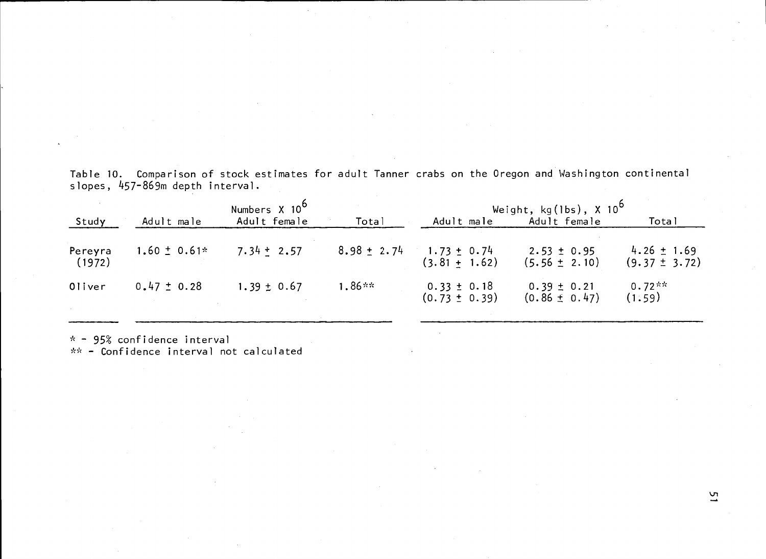|                   |                                                                          | Numbers X 10 <sup>6</sup> |           |                                                    | Weight, $kg(lbs)$ , X $10^6$         |                                      |
|-------------------|--------------------------------------------------------------------------|---------------------------|-----------|----------------------------------------------------|--------------------------------------|--------------------------------------|
| Study             | Adult male                                                               | Adult female              | Total     | Adult male                                         | Adult female                         | Total                                |
| Pereyra<br>(1972) | $1.60 \pm 0.61*$                                                         | $7.34 \pm 2.57$           |           | $8.98 \pm 2.74$ 1.73 $\pm$ 0.74<br>$(3.81 + 1.62)$ | $2.53 \pm 0.95$<br>$(5.56 \pm 2.10)$ | $4.26 \pm 1.69$<br>$(9.37 \pm 3.72)$ |
| 0liver            | $0.47 \pm 0.28$                                                          | $1.39 \pm 0.67$           | $1.86***$ | $0.33 \pm 0.18$<br>$(0.73 \pm 0.39)$               | $0.39 \pm 0.21$<br>$(0.86 \pm 0.47)$ | $0.72**$<br>(1.59)                   |
|                   | $*$ - 95% confidence interval<br>** - Confidence interval not calculated |                           |           |                                                    |                                      |                                      |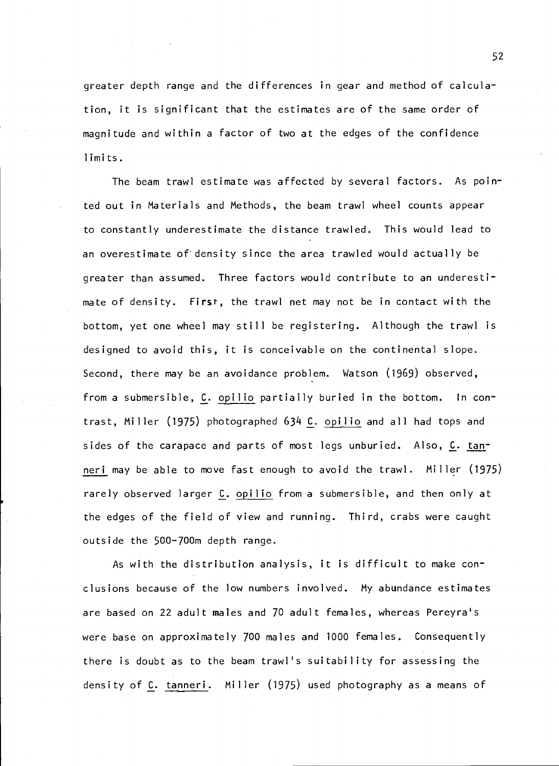greater depth range and the differences in gear and method of calculation, it is significant that the estimates are of the same order of magnitude and within a factor of two at the edges of the confidence limits.

The beam trawl estimate was affected by several factors. As pointed out in Materials and Methods, the beam trawl wheel counts appear to constantly underestimate the distance trawled. This would lead to an overestimate of density since the area trawled would actually be greater than assumed. Three factors would contribute to an underestimate of density. First, the trawl net may not be in contact with the bottom, yet one wheel may still be registering. Although the trawl is designed to avoid this, it is conceivable on the continental slope. Second, there may be an avoidance problem. Watson (1969) observed, from a submersible, C. opilio partially buried in the bottom. In contrast, Miller (1975) photographed 634 C. opilio and all had tops and sides of the carapace and parts of most legs unburied. Also, C. tanneri may be able to move fast enough to avoid the trawl. Miller (1975) rarely observed larger C. opilio from a submersible, and then only at the edges of the field of view and running. Third, crabs were caught outside the 500-700m depth range.

As with the distribution analysis, it is difficult to make conclusions because of the low numbers involved. My abundance estimates are based on 22 adult males and 70 adult females, whereas Pereyra's were base on approximately 700 males and 1000 females. Consequently there is doubt as to the beam trawl's suitability for assessing the density of C. tanneri. Miller (1975) used photography as a means of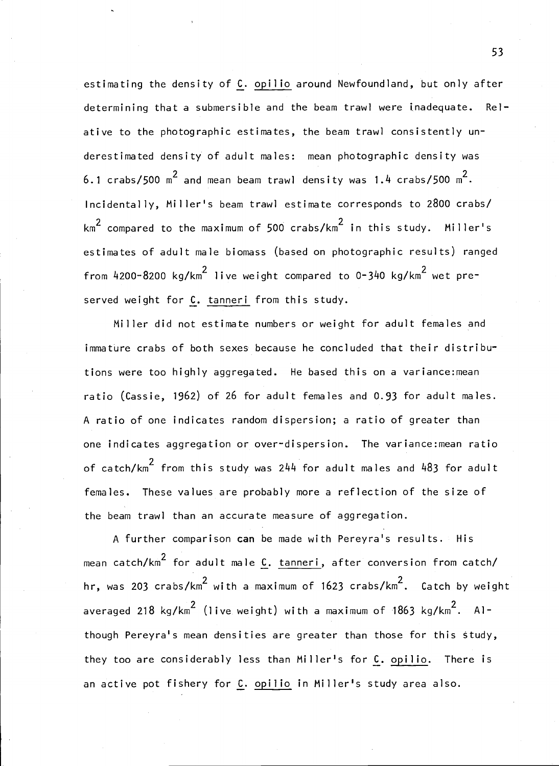estimating the density of  $C$ . opilio around Newfoundland, but only after determining that a submersible and the beam trawl were inadequate. Re] ative to the photographic estimates, the beam trawl consistently underestimated density of adult males: mean photographic density was 6.1 crabs/500  $\text{m}^2$  and mean beam trawl density was 1.4 crabs/500  $\text{m}^2$ . Incidentally, Miller's beam trawl estimate corresponds to 2800 crabs/  $km^2$  compared to the maximum of 500 crabs/km<sup>2</sup> in this study. Miller's estimates of adult male biomass (based on photographic results) ranged from  $4200-8200$  kg/km<sup>2</sup> live weight compared to  $0-340$  kg/km<sup>2</sup> wet preserved weight for C. tanneri from this study.

Miller did not estimate numbers or weight for adult females and immature crabs of both sexes because he concluded that their distributions were too highly aggregated. He based this on a variance:mean ratio (Cassie, 1962) of 26 for adult females and 0.93 for adult males. A ratio of one indicates random dispersion; a ratio of greater than one indicates aggregation or over-dispersion. The variance:mean ratio of catch/km $^2$  from this study was 244 for adult males and 483 for adult females. These values are probably more a reflection of the size of the beam trawl than an accurate measure of aggregation.

A further comparison can be made with Pereyra's results. His mean catch/km<sup>2</sup> for adult male C. tanneri, after conversion from catch/ hr, was 203 crabs/km<sup>2</sup> with a maximum of 1623 crabs/km<sup>2</sup>. Catch by weight averaged 218 kg/km<sup>2</sup> (live weight) with a maximum of 1863 kg/km<sup>2</sup>. Although Pereyra's mean densities are greater than those for this study, they too are considerably less than Miller's for C. opilio. There is an active pot fishery for C. opilio in Miller's study area also.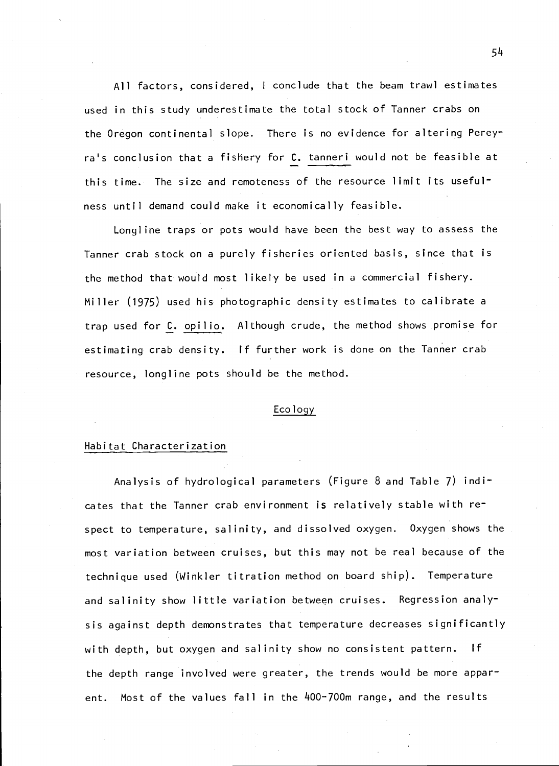All factors, considered, <sup>I</sup> conclude that the beam trawl estimates used in this study underestimate the total stock of Tanner crabs on the Oregon continental slope. There is no evidence for altering Percyra's conclusion that a fishery for C. tanneri would not be feasible at this time. The size and remoteness of the resource limit its usefulness until demand could make it economically feasible.

Longline traps or pots would have been the best way to assess the Tanner crab stock on a purely fisheries oriented basis, since that is the method that would most likely be used in a commercial fishery. Miller (1975) used his photographic density estimates to calibrate a trap used for C. opilio. Although crude, the method shows promise for estimating crab density. If further work is done on the Tanner crab resource, longline pots should be the method.

## Ecology

## Habitat Characterization

Analysis of hydrological parameters (Figure 8 and Table 7) indicates that the Tanner crab environment is relatively stable with respect to temperature, salinity, and dissolved oxygen. Oxygen shows the most variation between cruises, but this may not be real because of the technique used (Winkler titration method on board ship). Temperature and salinity show little variation between cruises. Regression analysis against depth demonstrates that temperature decreases significantly with depth, but oxygen and salinity show no consistent pattern. If the depth range involved were greater, the trends would be more apparent. Most of the values fall in the 400-700m range, and the results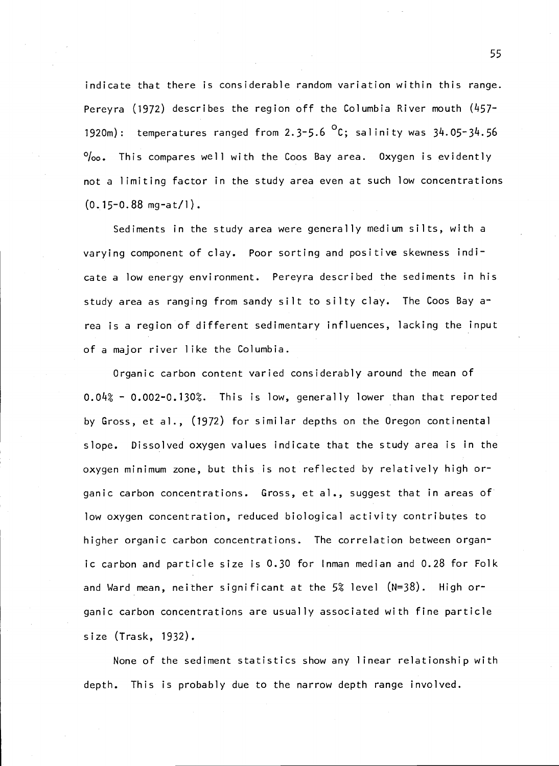indicate that there is considerable random variation within this range. Pereyra (1972) describes the region off the Columbia River mouth  $(457-$ 1920m): temperatures ranged from  $2.3-5.6$  <sup>O</sup>C; salinity was  $34.05-34.56$  $\%$ <sub>0</sub>. This compares well with the Coos Bay area. Oxygen is evidently not a limiting factor in the study area even at such low concentrations  $(0.15 - 0.88$  mg $-at/1)$ .

Sediments in the study area were generally medium silts, with a varying component of clay. Poor sorting and positive skewness indicate a low energy environment. Pereyra described the sediments in his study area as ranging from sandy silt to silty clay. The Coos Bay area is a region of different sedimentary influences, lacking the input of a major river like the Columbia.

Organic carbon content varied considerably around the mean of O.012 O.002-0.13O2. This is low, generally lower than that reported by Gross, et al., (1972) for similar depths on the Oregon continental slope. Dissolved oxygen values indicate that the study area is in the oxygen minimum zone, but this is not reflected by relatively high organic carbon concentrations. Gross, et al., suggest that in areas of low oxygen concentration, reduced biological activity contributes to higher organic carbon concentrations. The correlation between organic carbon and particle size is 0.30 for Inman median and 0.28 for Folk and Ward mean, neither significant at the 5% level  $(N=38)$ . High organic carbon concentrations are usually associated with fine particle size (Trask, 1932).

None of the sediment statistics show any linear relationship with depth. This is probably due to the narrow depth range involved.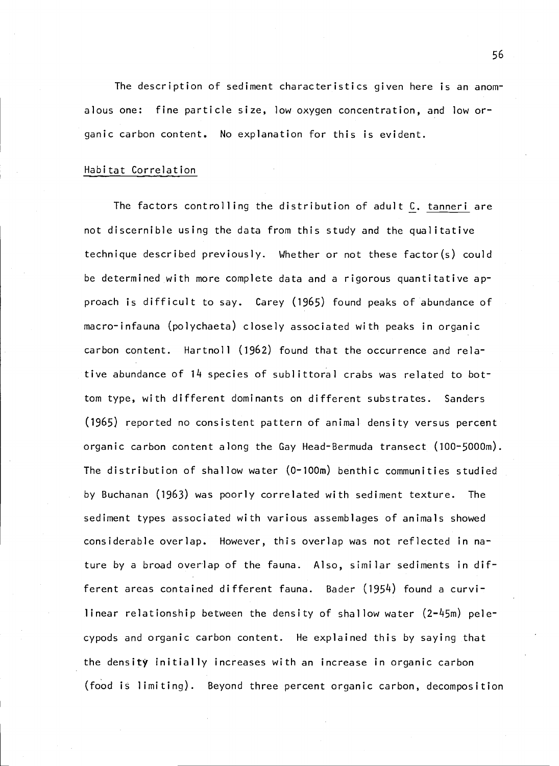The description of sediment characteristics given here is an anomalous one: fine particle size, low oxygen concentration, and low organic carbon content. No explanation for this is evident.

## Habitat Correlation

The factors controlling the distribution of adult C. tanneri are not discernible using the data from this study and the qualitative technique described previously. Whether or not these factor(s) could be determined with more complete data and a rigorous quantitative approach is difficult to say. Carey (1965) found peaks of abundance of macro-infauna (polychaeta) closely associated with peaks in organic carbon content. Hartnoll (1962) found that the occurrence and relative abundance of 14 species of sublittoral crabs was related to bottom type, with different dominants on different substrates. Sanders (1965) reported no consistent pattern of animal density versus percent organic carbon content along the Gay Head-Bermuda transect (100-5000m). The distribution of shallow water (0-lOOm) benthic communities studied by Buchanan (1963) was poorly correlated with sediment texture. The sediment types associated with various assemblages of animals showed considerable overlap. However, this overlap was not reflected in nature by a broad overlap of the fauna. Also, similar sediments in different areas contained different fauna. Bader (1954) found a curvilinear relationship between the density of shallow water (2-45m) pelecypods and organic carbon content. He explained this by saying that the density initially increases with an increase in organic carbon (food is limiting). Beyond three percent organic carbon, decomposition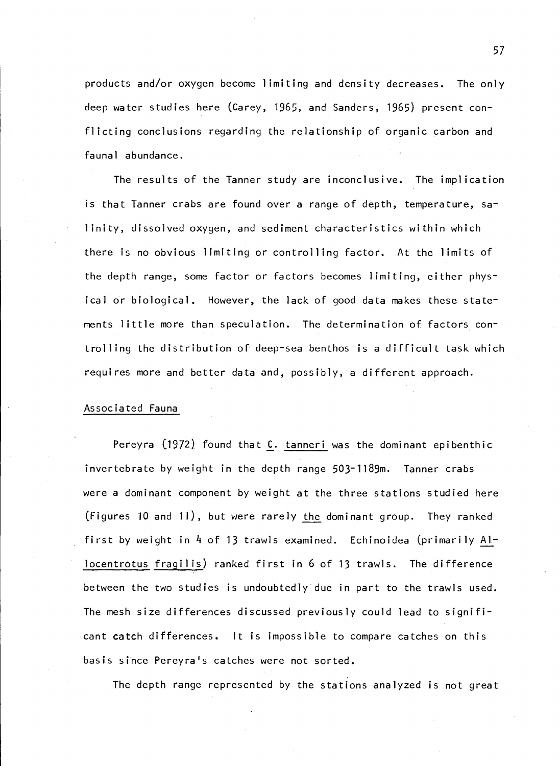products and/or oxygen become limiting and density decreases. The only deep water studies here (Carey, 1965, and Sanders, 1965) present conflicting conclusions regarding the relationship of organic carbon and faunal abundance.

The results of the Tanner study are inconclusive. The implication is that Tanner crabs are found over a range of depth, temperature, salinity, dissolved oxygen, and sediment characteristics within which there is no obvious limiting or controlling factor. At the limits of the depth range, some factor or factors becomes limiting, either physical or biological. However, the lack of good data makes these statements little more than speculation. The determination of factors controlling the distribution of deep-sea benthos is a difficult task which requires more and better data and, possibly, a different approach.

### Associated Fauna

Pereyra  $(1972)$  found that  $C$ . tanneri was the dominant epibenthic invertebrate by weight in the depth range 503-1189m. Tanner crabs were a dominant component by weight at the three stations studied here (Figures 10 and 11), but were rarely the dominant group. They ranked first by weight in 4 of 13 trawls examined. Echinoidea (primarily Allocentrotus fragilis) ranked first in 6 of 13 trawis. The difference between the two studies is undoubtedly due in part to the trawls used. The mesh size differences discussed previously could lead to significant catch differences. It is impossible to compare catches on this basis since Pereyra's catches were not sorted.

The depth range represented by the stations analyzed is not great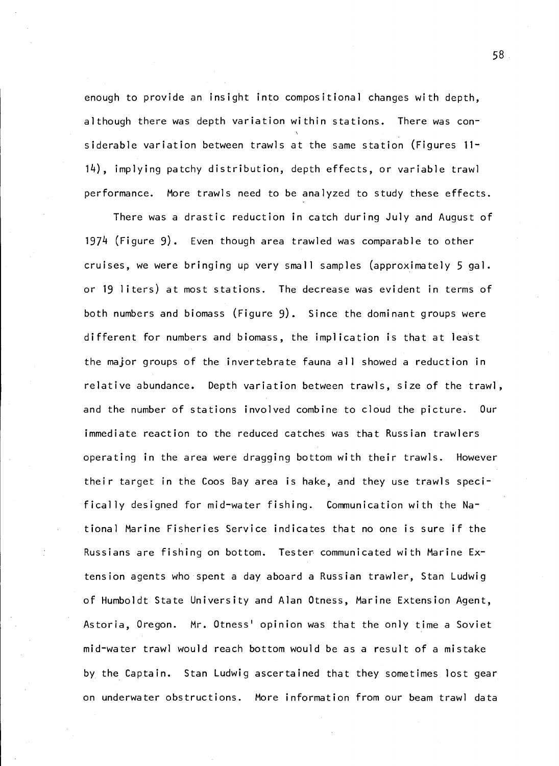enough to provide an insight into compositional changes with depth, although there was depth variation within stations. There was considerable variation between trawis at the same station (Figures 11- 14), implying patchy distribution, depth effects, or variable trawl performance. More trawls need to be analyzed to study these effects.

There was a drastic reduction in catch during July and August of l971 (Figure 9). Even though area trawled was comparable to other cruises, we were bringing up very small samples (approximately 5 gal. or 19 liters) at most stations. The decrease was evident in terms of both numbers and biomass (Figure 9). Since the dominant groups were different for numbers and biomass, the implication is that at least the major groups of the invertebrate fauna all showed a reduction in relative abundance. Depth variation between trawis, size of the trawl, and the number of stations involved combine to cloud the picture. Our immediate reaction to the reduced catches was that Russian trawlers operating in the area were dragging bottom with their trawls. However their target in the Coos Bay area is hake, and they use trawis specifically designed for mid-water fishing. Communication with the National Marine Fisheries Service indicates that no one is sure if the Russians are fishing on bottom. Tester communicated with Marine Extension agents who spent a day aboard a Russian trawler, Stan Ludwig of Humboldt State University and Alan Otness, Marine Extension Agent, Astoria, Oregon. Mr. Otness' opinion was that the only time a Soviet mid-water trawl would reach bottom would be as a result of a mistake by the Captain. Stan Ludwig ascertained that they sometimes lost gear on underwater obstructions. More information from our beam trawl data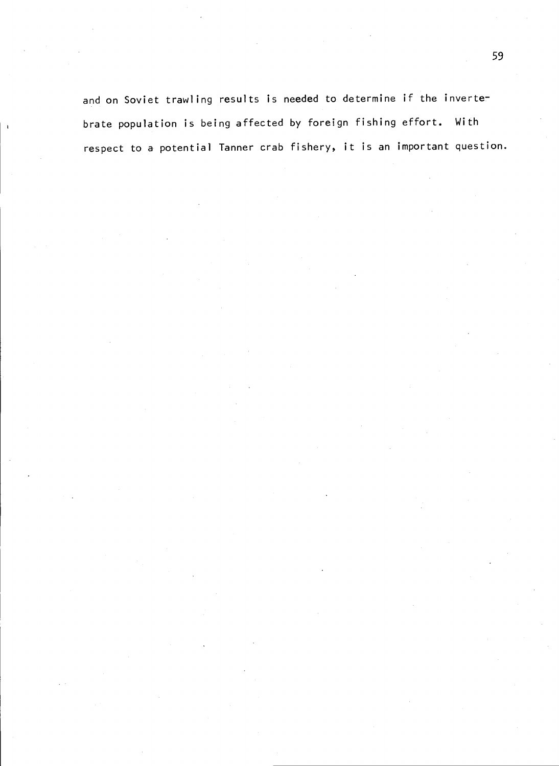and on Soviet trawling results is needed to determine if the invertebrate population is being affected by foreign fishing effort. With respect to a potential Tanner crab fishery, it is an important question.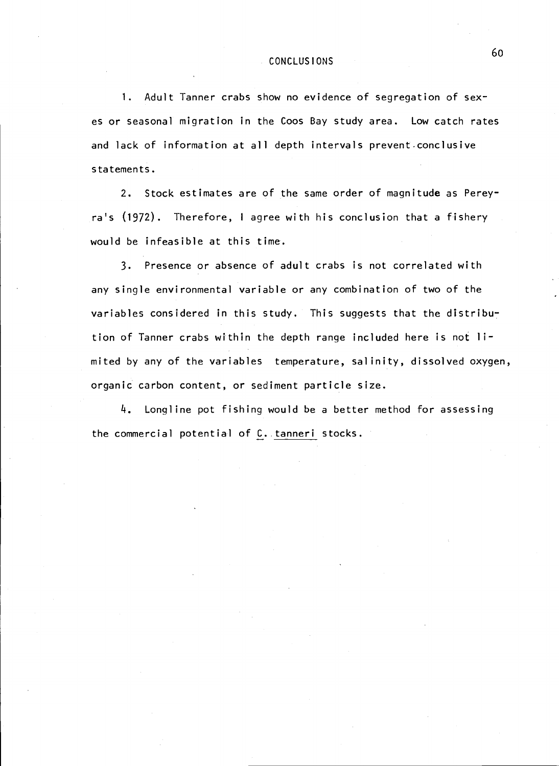## CONCLUS I ONS

1. Adult Tanner crabs show no evidence of segregation of sexes or seasonal migration in the Coos Bay study area. Low catch rates and lack of information at all depth intervals prevent conclusive statements.

2. Stock estimates are of the same order of magnitude as Percyra's (1972). Therefore, <sup>I</sup> agree with his conclusion that a fishery would be infeasible at this time.

3. Presence or absence of adult crabs is not correlated with any single environmental variable or any combination of two of the variables considered in this study. This suggests that the distribution of Tanner crabs within the depth range included here is not iimited by any of the variables temperature, salinity, dissolved oxygen, organic carbon content, or sediment particle size.

4. Longline pot fishing would be a better method for assessing the commercial potential of C.. tanneri stocks.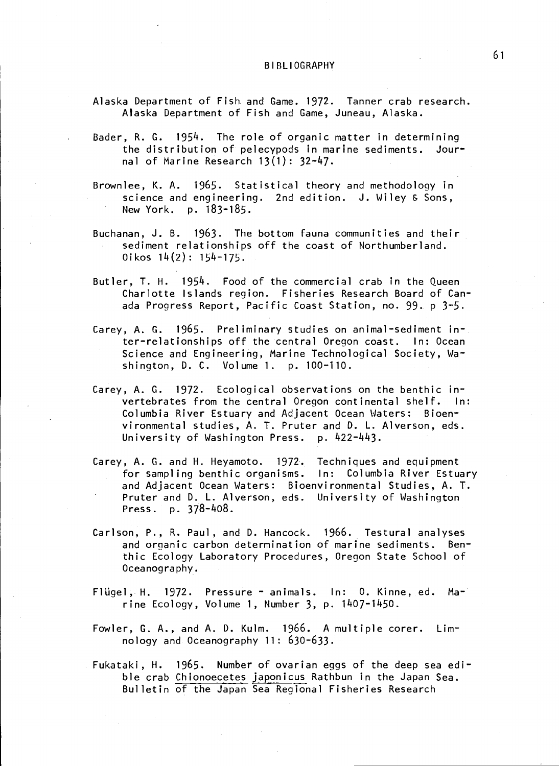- Alaska Department of Fish and Game. 1972. Tanner crab research. Alaska Department of Fish and Game, Juneau, Alaska.
- Bader, R. G. 1954. The role of organic matter in determining the distribution of pelecypods in marine sediments. Journal of Marine Research  $13(1)$ :  $32-47$ .
- Brownlee, K. A. 1965. Statistical theory and methodology in science and engineering. 2nd edition. J. Wiley & Sons, New York. p. 183-185.
- Buchanan, J. B. 1963. The bottom fauna communities and their sediment relationships off the coast of Northumberland.  $0$ ikos  $14(2)$ : 154-175.
- Butler, T. H. 1954. Food of the commercial crab in the Queen Charlotte Islands region. Fisheries Research Board of Canada Progress Report, Pacific Coast Station, no. 99. p 3-5.
- Carey, A. G. 1965. Preliminary studies on animal-sediment in-. ter-relationships off the central Oregon coast. In: Ocean Science and Engineering, Marine Technological Society, Washington, D. C. Volume 1. p. 100-110.
- Carey, A. G. 1972. Ecological observations on the benthic invertebrates from the central Oregon continental shelf. In: Columbia River Estuary and Adjacent Ocean Waters: Bioenvironmental studies, A. T. Pruter and D. L. Alverson, eds. University of Washington Press. p. 422-443.
- Carey, A. G. and H. Heyamoto. 1972. Techniques and equipment for sampling benthic organisms. In: Columbia River Estuary and Adjacent Ocean Waters: Bioenvironmental Studies, A. T. Pruter and D. L. Alverson, eds. University of Washington Press. p. 378-1408.
- Carlson, P., R. Paul, and D. Hancock. 1966. Testural analyses and orqanic carbon determination of marine sediments. Benthic Ecology Laboratory Procedures, Oregon State School of Oceanography.
- Flügel, H. 1972. Pressure animals. In: 0. Kinne, ed. Marine Ecology, Volume 1, Number 3, p. 11407-1450.
- Fowler, G. A., and A. D. Kulm. 1966. A multiple corer. Limnology and Oceanography 11: 630-633.
- Fukataki, H. 1965. Number of ovarian eggs of the deep sea edible crab Chionoecetes japonicus Rathbun in the Japan Sea. Bulletin of the Japan Sea Regional Fisheries Research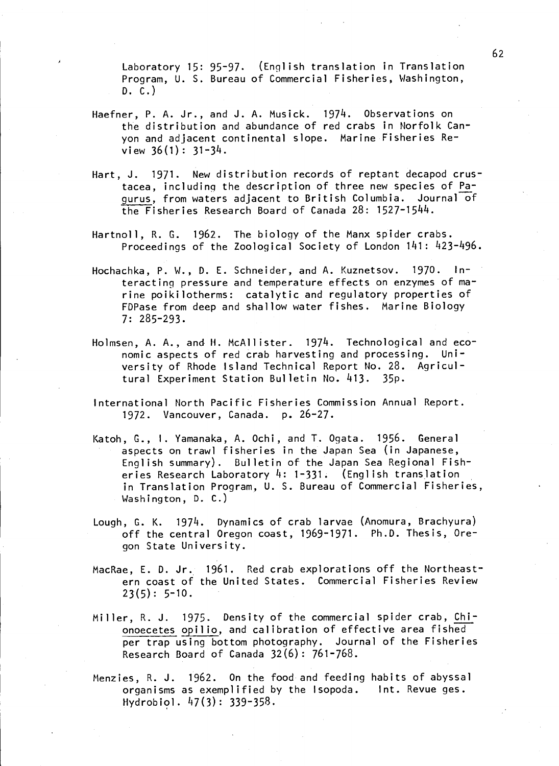Laboratory 15: 95-97. (English translation in Translation Program, U. S. Bureau of Commercial Fisheries, Washington, D. C.)

- Haefner, P. A. Jr., and J. A. Musick. 1974. Observations on the distribution and abundance of red crabs in Norfolk Canyon and adjacent continental slope. Marine Fisheries Review 36(1): 31-3k.
- Hart, J. 1971. New distribution records of reptant decapod crustacea, including the description of three new species of Pagurus, from waters adjacent to British Columbia. Journal of the Fisheries Research Board of Canada  $28: 1527 - 1544$ .
- Hartnoll, R. C. 1962. The biology of the Manx spider crabs. Proceedings of the Zoological Society of London 141: 423-496.
- Hochachka, P. W., 0. E. Schneider, and A. Kuznetsov. 1970. In teracting pressure and temperature effects on enzymes of marine poikilotherms: catalytic and regulatory properties of FDPase from deep and shallow water fishes. Marine Biology 7: 285-293.
- Holmsen, A. A., and H. McAllister. 1974. Technological and economic aspects of red crab harvesting and processing. University of Rhode Island Technical Report No. 28. Agricultural Experiment Station Bulletin No. 413. 35p.
- International North Pacific Fisheries Commission Annual Report. 1972. Vancouver, Canada. p. 26-27.
- Katoh, C., I. Yamanaka, A. Ochi, and T. Ogata. 1956. General aspects on trawl fisheries in the Japan Sea (in Japanese, English summary). Bulletin of the Japan Sea Regional Fisheries Research Laboratory  $4: 1-331$ . (English translation in Translation Program, U. S. Bureau of Commercial Fisheries, Washington, D. C.)
- Lough, C. K. 1974. Dynamics of crab larvae (Anomura, Brachyura) off the central Oregon coast, 1969-1971. Ph.D. Thesis, Oregon State University.
- MacRae, E. D. Jr. 1961. Red crab explorations off the Northeastem coast of the United States. Commercial Fisheries Review  $23(5): 5-10.$
- Miller, R. J. 1975. Density of the commercial spider crab, Chionoecetes opilio, and calibration of effective area fished per trap using bottom photography. Journal of the Fisheries Research Board of Canada 32(6) : 761-768.
- Menzies, R. J. 1962. On the food and feeding habits of abyssal organisms as exemplified by the Isopoda. Int. Revue ges. Hydrobiol.  $47(3): 339-358$ .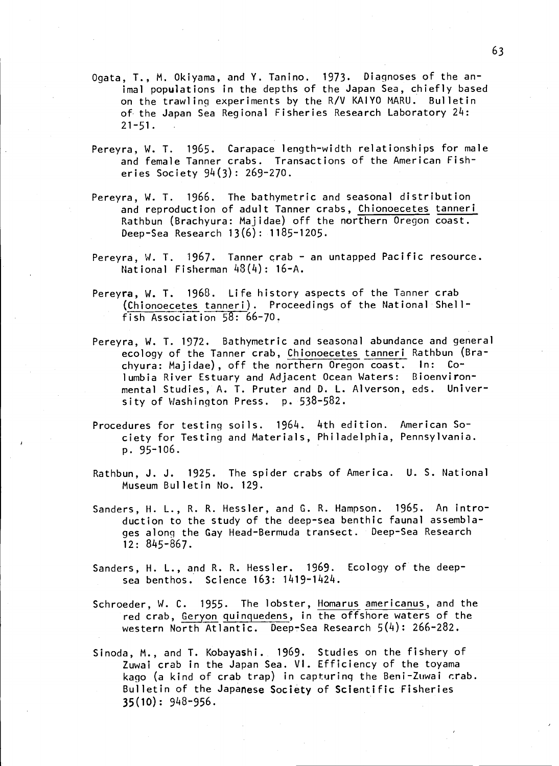- Ogata, 1., N. Okiyama, and V. Tanino. 1973. Diaqnoses of the animal populations in the depths of the Japan Sea, chiefly based on the trawling experiments by the R/V KAIYO MARU. Bulletin of the Japan Sea Regional Fisheries Research Laboratory 24: 21-51.
- Pereyra, W. T. 1965. Carapace length-width relationships for male and female Tanner crabs. Transactions of the American Fisheries Society 94(3): 269-270.
- Pereyra, W. T. 1966. The bathymetric and seasonal distribution and reproduction of adult Tanner crabs, Chionoecetes tanneri Rathbun (Brachyura: Majidae) off the northern Oregon coast. Deep-Sea Research 13(6): 1185-1205.
- Pereyra, W. T.  $1967$ . Tanner crab an untapped Pacific resource. National Fisherman  $48(4): 16-A.$
- Pereyra, W. T. 1968. Life history aspects of the Tanner crab (Chionoecetes tanneri). Proceedings of the National Shellfish Association 58: 66-70.
- Pereyra, W. T. 1972. Bathymetric and seasonal abundance and general ecology of the Tanner crab, Chionoecetes tanneri Rathbun (Brachyura: Majidae), off the northern Oregon coast. In: Columbia River Estuary and Adjacent Ocean Waters: Bioenvironmental Studies, A. T. Pruter and D. L. Alverson, eds. University of Washington Press. p. 538-582.
- Procedures for testing soils. 1964. 4th edition. American Society for Testing and Materials, Philadelphia, Pennsylvania. p. 95-106.
- Rathbun, J. J. 1925. The spider crabs of America. U. S. National Museum Bulletin No. 129.
- Sanders, H. L., R. R. Hessler, and C. R. Hampson. 1965. An introduction to the study of the deep-sea benthic faunal assemblages alonq the Gay Head-Bermuda transect. Deep-Sea Research  $12: 845 - 867.$
- Sanders, H. L., and R. R. Hessler. 1969. Ecology of the deepsea benthos. Science 163: 1419-1424.
- Schroeder, W. C. 1955. The lobster, Homarus americanus, and the red crab, Geryon quinguedens, in the offshore waters of the western North Atlantic. Deep-Sea Research 5(4): 266-282.
- Sinoda, M., and T. Kobayashi. 1969. Studies on the fishery of Zuwai crab in the Japan Sea. VI. Efficiency of the toyama kago (a kind of crab trap) in capturing the Beni-Zuwai  $crab.$ Bulletin of the Japanese Society of Scientific Fisheries 35(10): 948-956.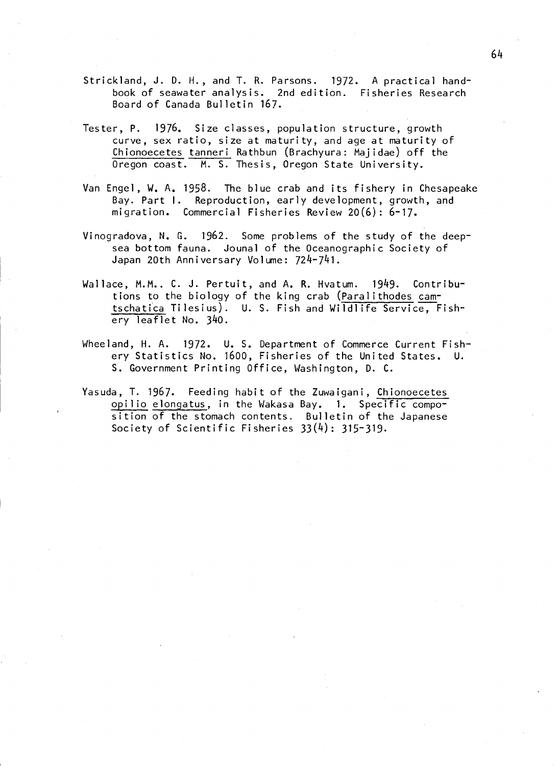- Strickland, J. D. H., and T. R. Parsons. 1972. A practical handbook of seawater analysis. 2nd edition. Fisheries Research Board of Canada Bulletin 167.
- Tester, P. 1976. Size classes, population structure, growth curve, sex ratio, size at maturity, and age at maturity of Chionoecetes tanneri Rathbun (Brachyura: Majidae) off the Oregon coast. M. S. Thesis, Oregon State University.
- Van Engel, W. A. 1958. The blue crab and its fishery in Chesapeake Bay. Part I. Reproduction, early development, growth, and migration. Commercial Fisheries Review 20(6): 6-17.
- Vinogradova, N. G. 1962. Some problems of the study of the deepsea bottom fauna. Jounal of the Oceanographic Society of Japan 20th Anniversary Volume: 724-741.
- Wallace, M.M.. C. J. Pertuit, and A. R. Hvatum. 1949. Contributions to the biology of the king crab (Paralithodes camtschatica Tilesius). U. S. Fish and Wildlife Service, Fishery leaflet No. 340.
- Wheeland, H. A. 1972. U. S. Department of Commerce Current Fishery Statistics No. 1600, Fisheries of the United States. U. S. Government Printing Office, Washington, D. C.
- Yasuda, T. 1967. Feeding habit of the Zuwaigani, Chionoecetes opilio elongatus, in the Wakasa Bay. 1. Specific composition of the stomach contents. Bulletin of the Japanese Society of Scientific Fisheries 33(4): 315-319.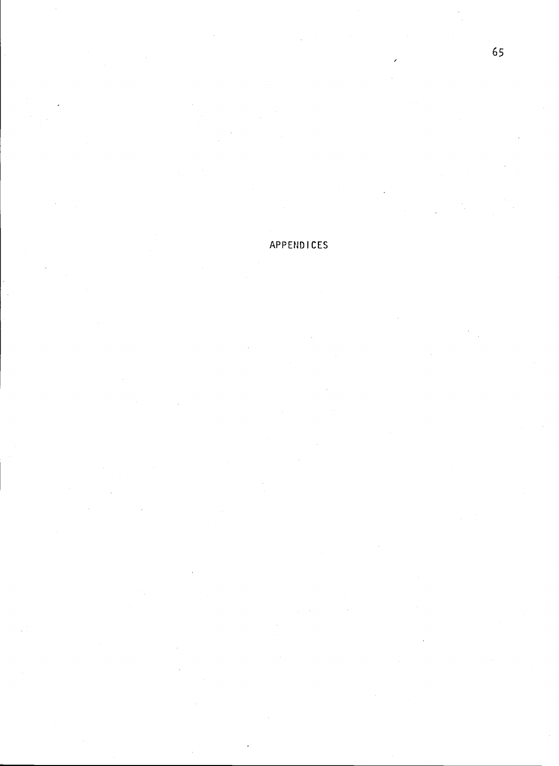### APPEND ICES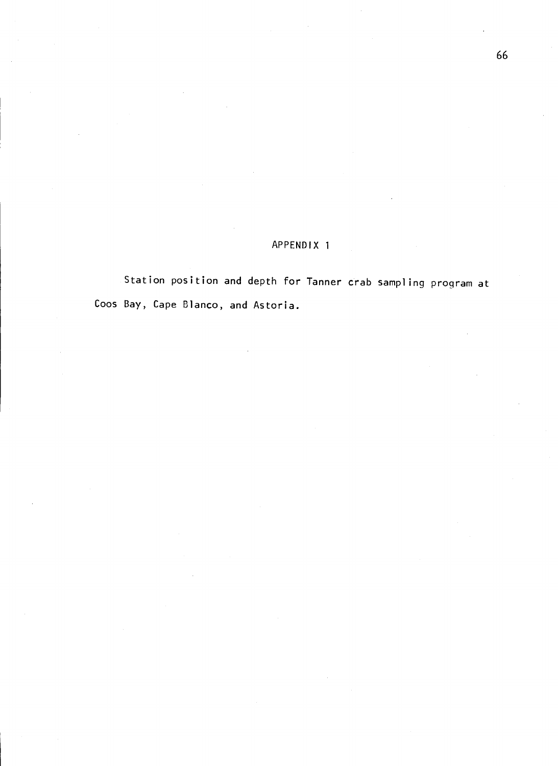#### APPENDIx 1

Station position and depth for Tanner crab sampling program at Coos Bay, Cape Blanco, and Astoria.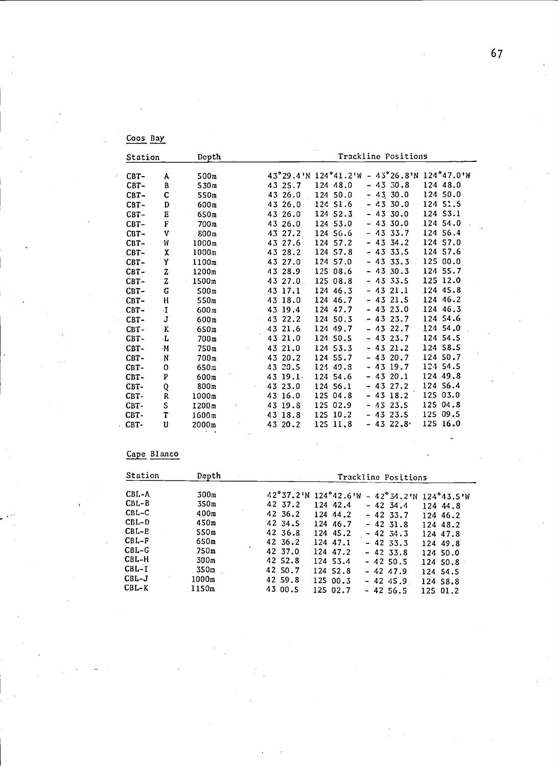| Coos Bay |  |
|----------|--|
|          |  |

| Station | Trackline Positions<br>Depth |                          |                                                         |  |
|---------|------------------------------|--------------------------|---------------------------------------------------------|--|
| $CBT -$ |                              | 500 <sub>m</sub>         | 43°29.4'N 124°41.2'W - 43°26.8'N 124°47.0'W             |  |
| $CBT -$ | A<br>B                       | 530m                     | $-4330.8$<br>124 48.0<br>124 48.0<br>43 25.7            |  |
| $CBT -$ |                              |                          | 124 50.0<br>$-43, 30.0$<br>124 50.0<br>43 26.0          |  |
| $CBT -$ | C<br>D                       | 550m<br>600 <sub>m</sub> | $-4330.0$<br>124 51.5<br>43 26.0<br>124 51.6            |  |
|         |                              |                          | $-4330.0$<br>124 53.1<br>124 52.3                       |  |
| $CBT -$ | E<br>F                       | 650m                     | 43 26.0<br>$-4330.0$<br>124 54.0<br>124 53.0            |  |
| $CBT -$ |                              | 700m                     | 43 26.0<br>124 56.4<br>$-4333.7$<br>124 56.6            |  |
| $CBT -$ | v                            | 800m                     | 43 27.2<br>$-43334.2$<br>124 57.0                       |  |
| $CBT-$  | W                            | 1000m                    | 124 57.2<br>43 27.6<br>$-433.5$<br>124 57.6<br>124 57.8 |  |
| CBT-    | x                            | 1000m                    | 43 28.2<br>125 00.0<br>124 57.0                         |  |
| $CBT -$ | Υ                            | 1100m                    | $-4333.3$<br>43 27.0<br>$-4330.3$<br>124 55.7           |  |
| $CBT -$ | Z                            | 1200m                    | 125 08.6<br>43 28.9<br>125 12.0                         |  |
| CBT-    | z                            | 1500m                    | 125 08.8<br>$-433.5$<br>43 27.0                         |  |
| CBT-    | G                            | 500m                     | $-4321.1$<br>124 45.8<br>124 46.3<br>43 17.1            |  |
| $CBT -$ | H                            | 550m                     | $-4321.5$<br>124 46.2<br>43 18.0<br>124 46.7            |  |
| $CBT -$ | ٠I.                          | 600 <sub>m</sub>         | $-4323.0$<br>124 46.3<br>124 47.7<br>43 19.4            |  |
| CBT-    | J                            | 600m                     | 124 54.6<br>124 50.3<br>$-4323.7$<br>43 22.2            |  |
| $CBT-$  | К                            | 650m                     | 124 54.0<br>43 21.6<br>124 49.7<br>$-4322.7$            |  |
| CBT-    | ٠L                           | 700m                     | 124 54.5<br>43 21.0<br>124 50.5<br>- 43 23.7            |  |
| CBT-    | $\cdot$ M                    | 750 <sub>m</sub>         | 124 58.5<br>43 21.0<br>124 53.3<br>$-4321.2$            |  |
| CBT-    | N                            | 700 <sub>m</sub>         | $-4320.7$<br>124 50.7<br>124 55.7<br>$-4320.2$          |  |
| $CBT -$ | 0                            | 650m                     | 124 54.5<br>$-4319.7$<br>43 20.5<br>124 49.8            |  |
| CBT-    | P                            | 600m                     | 124 49.8<br>$-4320.1$<br>43 19.1<br>124 54.6            |  |
| CBT-    | Q                            | 800 <sub>m</sub>         | 124 56.4<br>$-4322.2$<br>124 56.1<br>43 23.0            |  |
| CBT-    | R                            | 1000m                    | 125 03.0<br>$-4318.2$<br>43 16.0<br>125 04.8            |  |
| CBT-    | S                            | 1200m                    | 125 04.8<br>125 02.9<br>$-432.5$<br>43 19.8             |  |
| CBT-    | T                            | 1600m                    | 125 09.5<br>125 10.2<br>$-4323.5$<br>43 18.8            |  |
| CBT-    | U                            | 2000m                    | 125 16.0<br>$-432.8$<br>125 11,8<br>43 20.2             |  |

### Cape Blanco

| Station | Depth            | Trackline Positions                            |
|---------|------------------|------------------------------------------------|
| CBL-A   | 300 <sub>m</sub> | 42°37.2'N 124°42.6'W - 42°34.2'N 124°43.5'W    |
| $CBL-B$ | 350m             | 42 37.2<br>124 42.4<br>$-42, 34.4$<br>124 44.8 |
| $CBL-C$ | 400 <sub>m</sub> | 42 36.2<br>124 44.2<br>$-4233.7$<br>124 46.2   |
| $CBL-D$ | 450m             | 42 34.5<br>124 46.7<br>$-4231.8$<br>124 48.2   |
| $CBL-E$ | 550m             | 42 36.8<br>124 45.2<br>$-42, 34.3$<br>124 47.8 |
| $CBL-F$ | 650m             | 42 36.2<br>124 47.1<br>$-4233.3$<br>124 49.8   |
| $CBL-G$ | 750m             | 42 37.0<br>124 47.2<br>$-4233.8$<br>124 50.0   |
| $CBL-H$ | 300m             | 42 52.8<br>124 53.4<br>$-4250.5$<br>124 50.8   |
| CBL-I   | 350m             | 42 50.7<br>124 52.8<br>$-4247.9$<br>124 54.5   |
| $CBL-J$ | 1000m            | 42 59.8<br>125 00.3<br>$-4245.9$<br>124 58.8   |
| $CBL-K$ | 1150m            | 43 00.5<br>125 02.7<br>$-4256.5$<br>125 01.2   |

J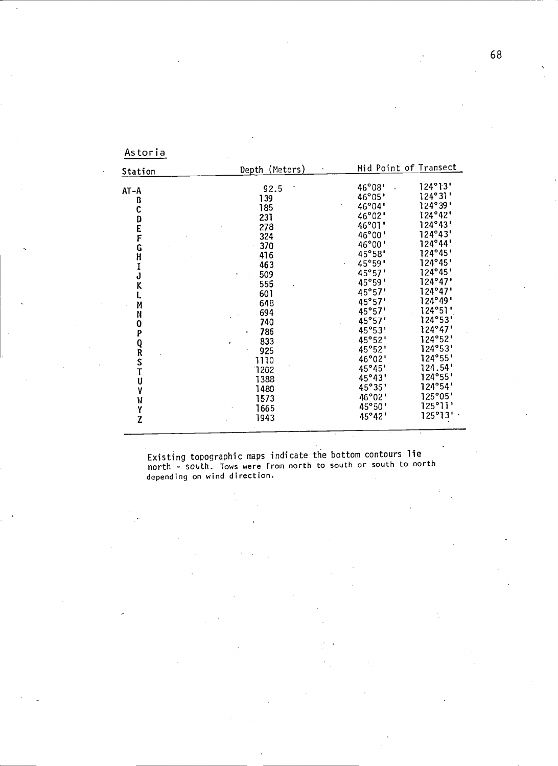| Station          | Depth (Meters) |        | Mid Point of Transect |  |  |  |  |
|------------------|----------------|--------|-----------------------|--|--|--|--|
|                  | 92.5           | 46°08' | 124°13'               |  |  |  |  |
| AT-A             | 139            | 46°05' | 124°31'               |  |  |  |  |
| B                | 185            | 46°04' | 124°39'               |  |  |  |  |
| C                | 231            | 46°02' | 124°42"               |  |  |  |  |
| D<br>F<br>F      | 278            | 46°01' | 124°43'               |  |  |  |  |
|                  | 324            | 46°00' | 124°43'               |  |  |  |  |
|                  | 370            | 46°00' | 124°44'               |  |  |  |  |
| G                | 416            | 45°58' | 124°45'               |  |  |  |  |
| H                | 463            | 45°59' | 124°45'               |  |  |  |  |
|                  | 509            | 45°57' | 124°45'               |  |  |  |  |
| J                | 555            | 45°59' | 124°47'               |  |  |  |  |
| K                | 601            | 45°57' | 124°47'               |  |  |  |  |
|                  |                | 45°57' | 124°49'               |  |  |  |  |
| И                | 648            | 45°57' | 124°51'               |  |  |  |  |
| N                | 694            | 45°57' | 124°53'               |  |  |  |  |
| 0                | 740            | 45°53' | 124°47'               |  |  |  |  |
| P                | 786            | 45°52' | 124°52'               |  |  |  |  |
|                  | 833            | 45°52' | 124°53'               |  |  |  |  |
| Q<br>R<br>S<br>T | 925            | 46°02' | 124°55'               |  |  |  |  |
|                  | 1110           | 45°45' | 124.54'               |  |  |  |  |
|                  | 1202           |        | 124°55'               |  |  |  |  |
| U                | 1388           | 45°43' | 124°54'               |  |  |  |  |
| Y                | 1480           | 45°35' |                       |  |  |  |  |
| W                | 1573           | 46°02' | 125°05'               |  |  |  |  |
| Y                | 1665           | 45°50' | 125°11'               |  |  |  |  |
| Z                | 1943           | 45°42' | 125°13'               |  |  |  |  |

Existing topographic maps indicate the bottom contours lie north - south. Tows were from north to south or south to north depend ing on wind direction.

 $\hat{\boldsymbol{\beta}}$ 

Astoria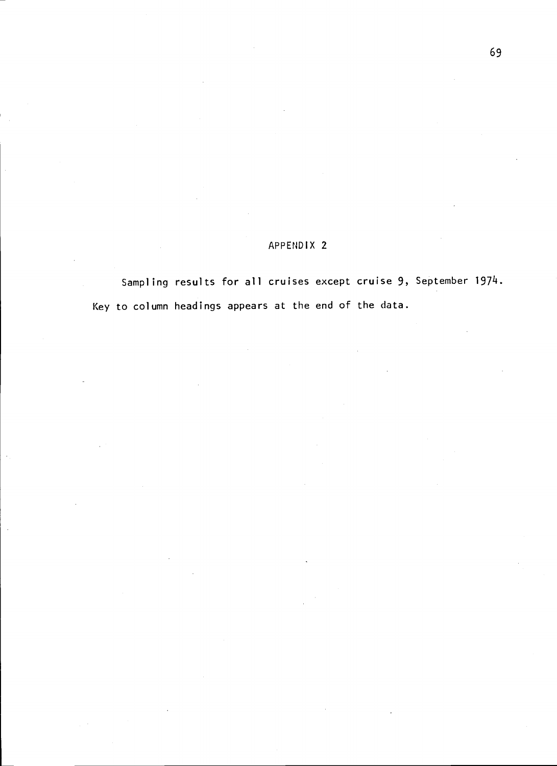Sampling results for all cruises except cruise 9, September 1974. Key to column headings appears at the end of the data.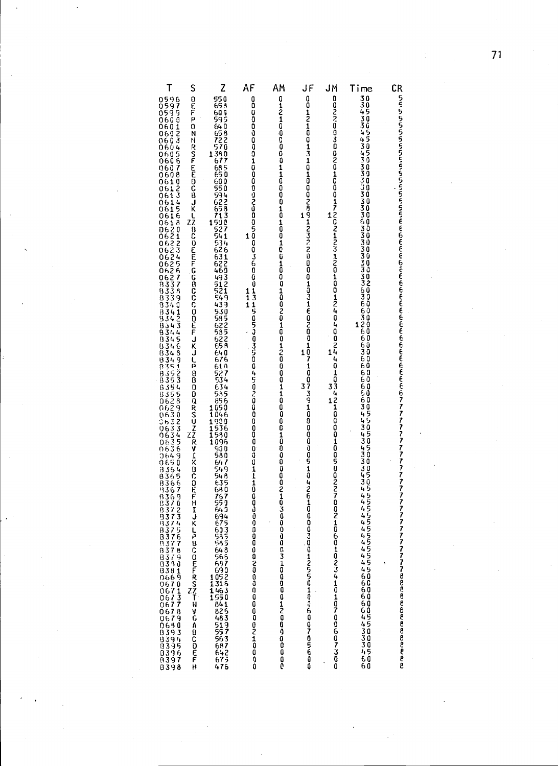| Т |                        | Z                                                 | AF            | АМ                        | JF                                                                         | JM                                                                                                                                                                                                                                             |                                                                                                                                                                                                                                    |                               |  |
|---|------------------------|---------------------------------------------------|---------------|---------------------------|----------------------------------------------------------------------------|------------------------------------------------------------------------------------------------------------------------------------------------------------------------------------------------------------------------------------------------|------------------------------------------------------------------------------------------------------------------------------------------------------------------------------------------------------------------------------------|-------------------------------|--|
|   | S                      |                                                   | 1             |                           | 1                                                                          | 1                                                                                                                                                                                                                                              | Time                                                                                                                                                                                                                               | CR                            |  |
|   |                        | 54350759<br>694                                   | $\frac{1}{1}$ |                           | 0012100131010002891237:20000103160200107100739100000000143426100<br>1<br>3 | populacional contropode de controver de controver de controver de conde de conde de conde de conde de controver de controver de controver de controver de controver de controver de controver de controver de controver de cont<br>1<br>3<br>1 | st teterand concerted and and completed and a completed and the state of the component of the state of the state of the component of the component of the component of the component of the component of the component of the<br>1 |                               |  |
|   | KLPBCOEFRSZTWYGABCOEFH | 6655665681111111884515666647767588454588455684776 |               | coooooodoonaacooooooooooo | 00300125501050705007050                                                    | 1060102341010700607300                                                                                                                                                                                                                         | 444444446666644333466                                                                                                                                                                                                              | <b>ノフフフフフフス88888888888888</b> |  |

 $\frac{1}{2}$  71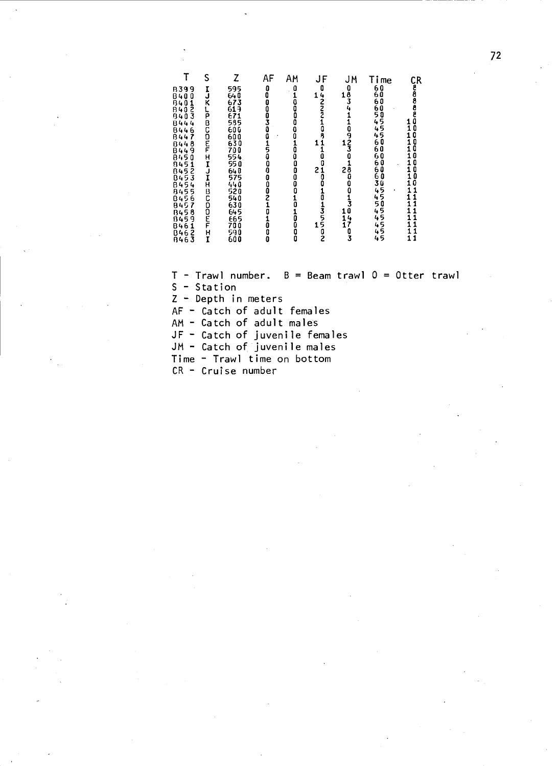|                                            | S             | Z                        | ΑF                                                 | AM                                             | JF                                                | <b>JM</b>                                            | Time                   |                                               |  |
|--------------------------------------------|---------------|--------------------------|----------------------------------------------------|------------------------------------------------|---------------------------------------------------|------------------------------------------------------|------------------------|-----------------------------------------------|--|
| B399                                       |               | 595                      |                                                    | $\begin{smallmatrix} 0 \\ 1 \end{smallmatrix}$ | $\begin{array}{c}\n0 \\ 1 \\ 2 \\ 2\n\end{array}$ | $1\frac{0}{3}$<br>$4\frac{0}{4}$                     |                        | CR<br>CR<br>CR<br>CR<br>CR<br>CR              |  |
| 0840123<br>0840123<br>084404445<br>0844445 | I<br>J<br>K   | 640<br>673<br>619<br>671 |                                                    |                                                |                                                   |                                                      | 666885555              |                                               |  |
|                                            |               |                          |                                                    | oooo                                           |                                                   |                                                      |                        |                                               |  |
|                                            |               |                          |                                                    |                                                |                                                   |                                                      |                        |                                               |  |
|                                            |               |                          |                                                    |                                                |                                                   |                                                      |                        |                                               |  |
|                                            |               |                          |                                                    | Ō<br>0                                         |                                                   |                                                      |                        | $\begin{smallmatrix} 0 \ 0 \end{smallmatrix}$ |  |
| 084490145888888888888                      | しゅこのにゃく       |                          |                                                    |                                                | <b>108410840</b><br>2<br>2<br>2<br>0<br>0         | $\begin{array}{c} 0 \\ 9 \\ 1 \\ 3 \\ 0 \end{array}$ | 60<br>60               | 0                                             |  |
|                                            |               |                          |                                                    |                                                |                                                   |                                                      |                        | 0                                             |  |
|                                            |               |                          |                                                    |                                                |                                                   |                                                      | 60<br>60               | 0                                             |  |
|                                            | エココエ          | 550<br>640<br>575<br>440 |                                                    | 1000000                                        |                                                   |                                                      | 60<br>60<br>3 <u>0</u> | 0<br>0                                        |  |
|                                            |               |                          |                                                    |                                                |                                                   |                                                      |                        | 10                                            |  |
| 84545<br>84556<br>84567                    |               |                          |                                                    |                                                |                                                   |                                                      |                        |                                               |  |
|                                            |               | 520<br>540               |                                                    | $\frac{1}{0}$                                  |                                                   |                                                      |                        | 1                                             |  |
|                                            |               | 630<br>645               | 0                                                  |                                                |                                                   |                                                      |                        |                                               |  |
| 8458<br>8459<br>8461                       | <b>PLODUL</b> |                          |                                                    |                                                |                                                   | $\frac{1}{17}$                                       | <b>4454455</b>         |                                               |  |
|                                            |               | 665<br>700               |                                                    |                                                | 1                                                 |                                                      | 45                     | 11                                            |  |
| 0462<br>8463                               | H<br>I        | 590<br>600               | $\begin{smallmatrix} 1\ 0\ 0\ 0 \end{smallmatrix}$ | 10000                                          | 10135502                                          | Ō<br>3                                               | 45<br>45               | 11                                            |  |
|                                            |               |                          |                                                    |                                                |                                                   |                                                      |                        |                                               |  |

 $T -$  Trawl number.  $B =$  Beam trawl  $0 =$  Otter trawl S - Station Z - Depth in meters  $AF -$  Catch of adult females AM - Catch of adult males JF - Catch of juvenile females JM - Catch of juvenile males Time - Trawl time on bottom  $CR -$  Cruise number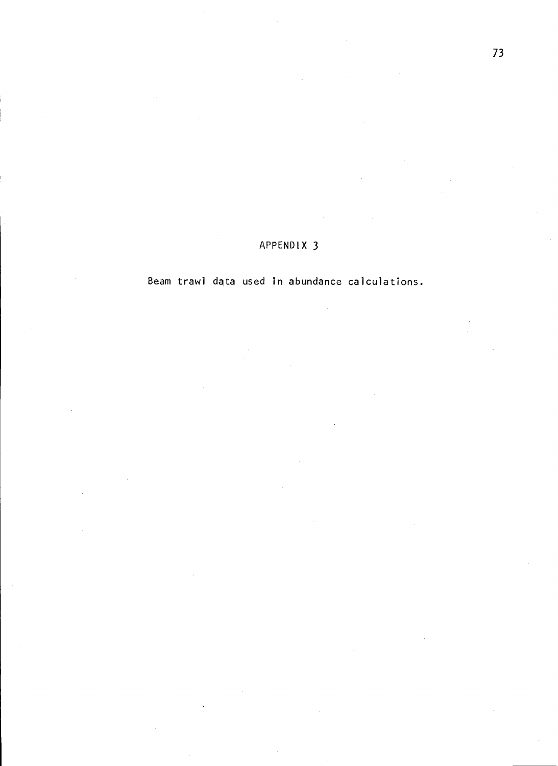Beam trawl data used in abundance calculations.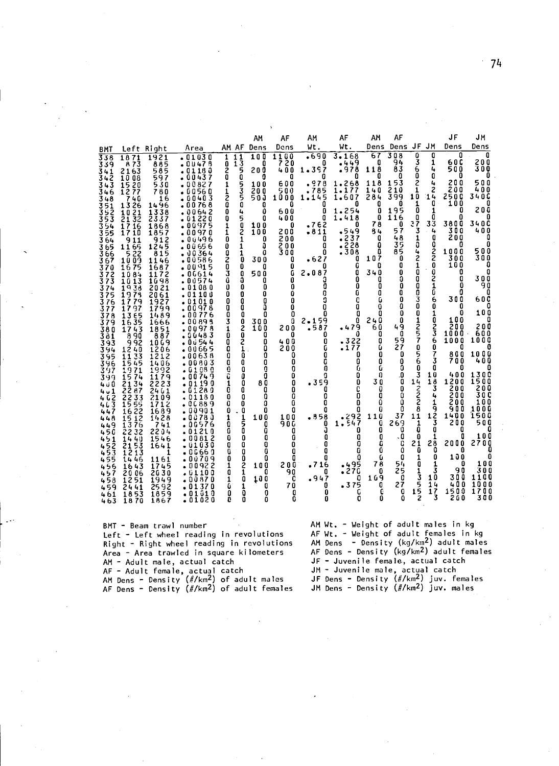|                                               |                                                                      |                                                     |                                                                 |                                          | ΑМ                                                                       | AF                                    | ΑМ                                     | AF                                             | АΜ                            | AF                                                                             |                                 | JF                                         | JМ                                           |
|-----------------------------------------------|----------------------------------------------------------------------|-----------------------------------------------------|-----------------------------------------------------------------|------------------------------------------|--------------------------------------------------------------------------|---------------------------------------|----------------------------------------|------------------------------------------------|-------------------------------|--------------------------------------------------------------------------------|---------------------------------|--------------------------------------------|----------------------------------------------|
| BMT                                           | Left Right                                                           |                                                     | Area                                                            |                                          | AM AF Dens                                                               | Dens                                  | Wt.                                    | Wt.                                            | Dens                          | Dens                                                                           | JF JM                           | Dens                                       | Dens                                         |
| 338<br>339<br>341                             | 1871<br>873<br>2163                                                  | 1921<br>885<br>585                                  | -01030<br>$-00478$<br>01180                                     | 11<br>1<br>$\overline{1}$<br>0<br>2<br>0 | 100<br>O<br>5<br>20 O<br>ò                                               | 1100<br>7<br>20<br>400                | .690<br>O<br>1.397<br>o                | 3.168<br>. 449<br>.978                         | 67<br>O<br>118<br>O           | 308<br>O<br>3<br>94<br>83<br>6<br>0<br>a                                       | O<br>1<br>4<br>O                | ۵<br>6 O C<br>500<br>0                     | 0<br>$\frac{200}{300}$<br>0                  |
| 342<br>343<br>346<br>348                      | 1008<br>1520<br>1277<br>740<br>1326                                  | 597<br>530<br>780<br>16<br>1496<br>1338             | 00437<br>٠<br>00827<br>00560<br>040<br>3<br>ū<br>00768<br>00642 | 1<br>1<br>20<br>0                        | û<br>らろら<br>100<br>20 O<br>5 O J<br>ō<br>O<br>4<br>û                     | O<br>600<br>500<br>1000<br>Ω<br>600   | .978<br>785<br>5<br>14<br>1.<br>0<br>O | $1.268$<br>$1.177$<br>1.607<br>۵<br>1.254      | 118<br>140<br>284<br>O<br>0   | 2<br>153<br>210<br>1<br>10<br>399<br>1<br>O<br>0<br>195                        | 4<br>2<br>14<br>O<br>1          | 200<br>200<br>2500<br>100<br>0             | 500<br>400<br><b>340Č</b><br>O<br>200        |
| 351<br>352<br>353<br>354<br>355<br>364        | 21<br>10<br>32<br>21<br>1716<br>1710<br>911<br>11<br>65              | 2337<br>1868<br>1857<br>$\frac{912}{1245}$          | <b>220</b><br>01<br>00975<br>00970<br>00496<br>08656            | 0<br>1<br>1<br>0<br>0                    | 5<br>O<br>Ò<br>2<br>100<br>100<br>1<br>0<br>û<br>1                       | 400<br>0<br>200<br>200                | 0<br>.762<br>$-811$<br>O<br>۵          | 418<br>1.<br>0<br>.549<br>237ء<br>.228         | 0<br>78<br>84<br>O<br>O       | 116<br>O<br>₹Ž<br>3<br>0<br>57<br>1<br>48<br>35                                | 0<br>33<br>4<br>0<br>0          | ۵<br>3800<br>300<br>20Ō<br>Ω               | ۵<br>34 O C<br>400<br>O<br>۵                 |
| 365<br>366<br>367<br>370                      | 522<br>1009<br>16<br>75<br>84<br>10                                  | 815<br>1146<br>1687<br>1172                         | 00364<br>۰<br>00586<br>00915<br>06614                           | <b>ONO30</b>                             | a<br>1<br>0<br>300<br>0<br>O<br>500                                      | $\frac{200}{300}$<br>O<br>0<br>G      | Λ<br>627ء<br>2.08<br>7                 | 308<br>O<br>G<br>۵                             | ß<br>107<br>o<br>340          | 04210<br>85<br>0<br>O<br>0                                                     | ż<br>0                          | 1000<br>300<br>100<br>0                    | 500<br>300<br>O<br>O                         |
| 372<br>373<br>374<br>375<br>376               | 1013<br>38<br>19<br>19<br>73<br>79<br>17                             | 1698<br>2021<br>2061<br>1927                        | 00574<br>01080<br>01100<br>01010                                | Ü<br>0<br>0<br>0                         | 0<br>3<br>O<br>0<br>0<br>0<br>0<br>0<br>0<br>0                           | O<br>0<br>Û<br>0                      | 3<br>۵<br>o<br>0                       | 0<br>0<br>Ū<br>C                               | 0<br>0<br>O<br>G<br>0         | Û<br>0<br>0<br>0<br>0<br>3<br>0<br>0<br>0<br>O                                 | 0<br>2<br>1<br>C<br>6<br>0      | O<br>Ω<br>0<br>300<br>O                    | 300<br>90<br>0<br>6 O C                      |
| 377<br>378<br>379<br>380<br>381<br>393<br>394 | 1797<br>65<br>13<br>1635<br>1743<br>90<br>8<br>992<br>12<br>40       | 1799<br>1489<br>1666<br>1851<br>887<br>1069<br>1206 | .00978<br>00776<br>00895<br>00978<br>00483<br>0 û 54 4<br>00665 | 03<br>1<br>Ö<br>0<br>0                   | O<br>O<br>O<br>$\frac{0}{2}$<br>300<br>100<br>0<br>O<br>2<br>۵<br>0<br>1 | 0<br>0<br>ū<br>200<br>O<br>400<br>200 | ۵<br>O<br>2.159<br>.587<br>0<br>0<br>G | 0<br>0<br>0<br>.479<br>0<br>$: 322$<br>$: 177$ | n<br>240<br>60<br>0<br>O<br>Ū | 0<br>0<br>1257<br>0<br>49<br>0<br>59<br>27<br>0                                | 1<br>0<br>3<br>3<br>6<br>0      | 0<br>100<br>200<br>1000<br>1000<br>O       | 100<br>O<br>2 O O<br>600<br><b>1000</b><br>O |
| 395<br>396<br>397<br>399                      | 33<br>11<br>15<br>45<br>19<br>71<br>15<br>74                         | 1212<br>1406<br>1992<br>1179                        | . 00638<br>-00803<br>$\centerdot$ G 1 08 O<br>0074<br>9         | O<br>Ó<br>$\frac{0}{1}$                  | 0<br>O<br>O<br>O<br>Ū<br>O<br>۵<br>O                                     | ۵<br>0<br>0<br>0                      | 0<br>G<br>0<br>a                       | 0<br>0<br>Û<br>0                               | 0<br>0<br>G<br>O              | 5<br>0<br>6<br>0<br>Ō<br>0<br>Ī                                                | 7<br>3<br>0<br>10               | 800<br>700<br>o<br>400                     | 1000<br>400<br>0<br>1300                     |
| 400<br>4.1<br>z<br>3<br>4 G<br>46<br>447      | 21<br>34<br>ē<br>2<br>87<br>S.<br>33<br>2<br>15<br>-55<br>16         | 2223<br>2461<br>2109<br>1712<br>1689                | 0 19 19 0 -<br>01280<br>01<br>180<br>00889<br>00901 -           | 0<br>0<br>O<br>0                         | O<br>80<br>O<br>O<br>O<br>0<br>0<br>۵<br>0<br>O                          | 0<br>0<br>0<br>Û<br>0                 | •359<br>O<br>0<br>Ò<br>O               | 0<br>C<br>0<br>0<br>o                          | 30<br>o<br>0<br>0<br>0        | 0<br>0<br>0<br>$\frac{1}{2}$<br>0<br>O<br>0<br>8                               | 18<br>Ī<br>4<br>1<br>9          | 1200<br>2 O O<br>2 O O<br>2 O O<br>90<br>0 | 1500<br>2<br>00<br>3 O C<br>100<br>1000      |
| 448<br>449<br>456<br>451                      | $\frac{22}{12}$<br>$\frac{15}{13}$<br>76<br>Ž<br>г<br>32<br>14<br>40 | 1428<br>741<br>2204<br>1546                         | 0078 ه<br>Ū<br>576<br>. O G<br>21<br>- 01<br>n<br>0081 •<br>2   | 1<br>0<br>0<br>0                         | $\frac{1}{5}$<br>100<br>0<br>O<br>û<br>0<br>0                            | 100<br>9 O G<br>O<br>Ω                | .858<br>0<br>Ĵ<br>0                    | 292<br>547<br>۰<br>$\bullet$<br>1<br>o<br>O    | 110<br>O<br>0<br>O            | 37<br>11<br>269<br>$\frac{1}{0}$<br>Ó<br>. 0<br>۵                              | 12<br>3<br>0                    | 1400<br>200<br>O<br>0                      | 1500<br>5 O O<br>0<br>100                    |
| $452$<br>$453$<br>455<br>456                  | 3<br>215<br>2<br>13<br>1<br>1446<br>16<br>43                         | 1641<br>1<br>1161<br>1745                           | <b>.</b> 01030<br>. 0666 0<br>00709 •<br>00922 •                | O<br>Û<br>0<br>1                         | O<br>O<br>0<br>0<br>0<br>Ω<br>2<br>1<br>100                              | 0<br>0<br>Ñ<br>2 O O                  | O<br>0<br>۵<br>716ء                    | 0<br>ū<br>495 <b>•</b><br>270 •                | C<br>û<br>G<br>78             | C<br>21<br>0<br>٥<br>0<br>1<br>54<br>O                                         | 28<br>0<br>۵<br>1               | 200<br>0<br>۵<br>100<br>۵                  | 2700<br>0<br>0<br>100                        |
| 7<br>45<br>458<br>459<br>461<br>463           | 20<br>06<br>2<br>1<br>51<br>2441<br>53<br>18<br>1870                 | 2030<br>1949<br>2592<br>1859<br>1867                | 01100 ه<br>.00870<br>.01370<br>.01010<br>01020                  | 0<br>1<br>û<br>O<br>ė                    | O<br>O<br>10Ō<br>1<br>0<br>û<br>0<br>۵<br>٥                              | 90<br>C<br>70<br>O<br>Ō               | O<br>.947<br>ū<br>0<br>O               | 0<br>375ء<br>C<br>0                            | 0<br>169<br>O<br>c<br>۵       | $\frac{1}{3}$<br>25<br>0<br>5<br>5<br>27<br>Û<br>ż<br>۵                        | 3<br>10<br>14<br>$\frac{17}{3}$ | 9<br>0<br>300<br>400<br>1500<br>200        | 300<br>100<br>1<br>1000<br>1700<br>3 O Ö     |
|                                               |                                                                      | BMT - Beam trawl number                             | ieft – ieft wheel reading in revolutions                        |                                          |                                                                          |                                       |                                        |                                                |                               | AM Wt. - Weight of adult males in kg<br>AF Wt. - Weight of adult females in kg |                                 |                                            |                                              |

Right - Right wheel reading in revolutions<br>Area - Area trawled in square kilometers AM - Adult male, actual catch<br>AF - Adult female, actual catch<br>AM Dens - Density (#/km<sup>2</sup>) of adult males<br>AF Dens - Density (#/km<sup>2</sup>) of adult females

AM Dens - Density (kg/km<sup>2</sup>) adult males<br>AF Dens - Density (kg/km<sup>2</sup>) adult females  $JF -$  Juvenile female, actual catch<br> $JM -$  Juvenile male, actual catch<br> $JF$  Dens - Density  $(\#/\kappa m^2)$  juv. females<br>JM Dens - Density  $(\#/\kappa m^2)$  juv. males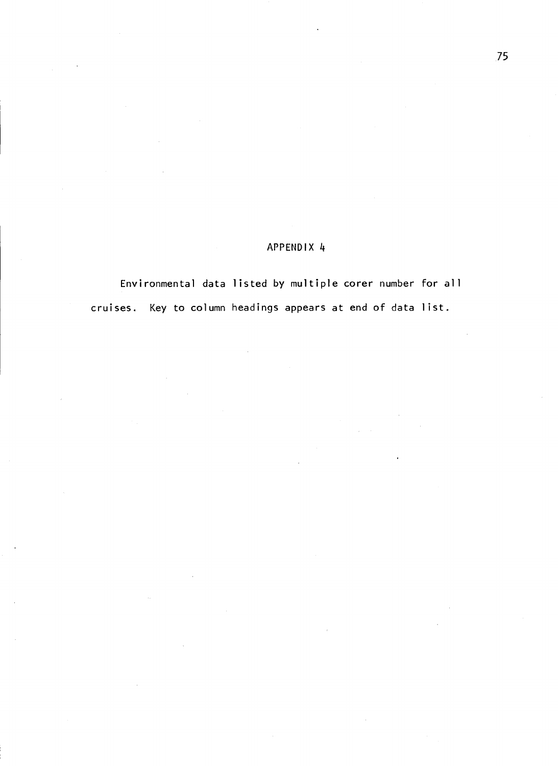Environmental data listed by multiple corer number for all cruises. Key to column headings appears at end of data list.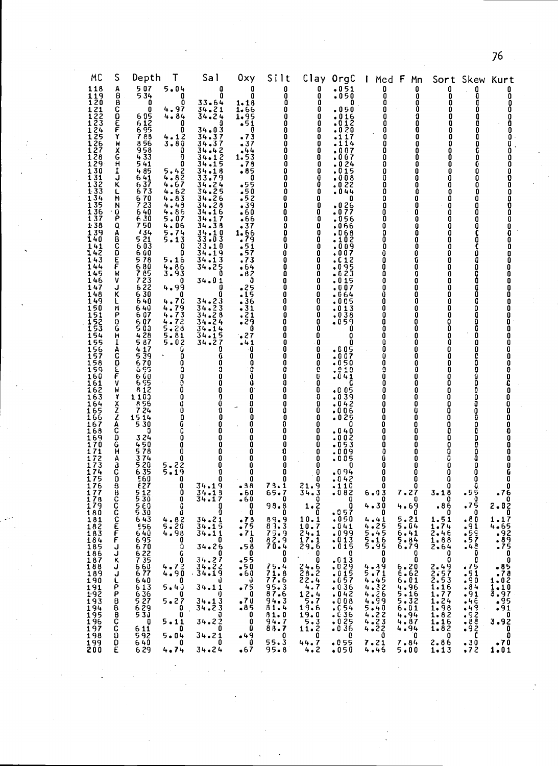| MC                                                                                                                                                                                                                                                                                                                                 | S                                                                                                                                                                                | Depth<br>Ŧ                                                                                                                                                                                                                                                                                                                                                                                                                                                                                                                                              | Sal                                                                                                                                                                                                                                                                                                                                                                                                                                                                                                                                  | 0xy                                                                                                                                                                                                                                                                                                   | Silt                                                                                                                                                                                                                                                                                | Clay                                                                                                                                                                                                                                                                                                                           | OrgC                                                                                                                                                                                                                                                                                                                                                                                                                                                                                                 | Med                                                                                                                                                                                                                                                 | F<br>Mn                                                                                                                                                                                                                                                                                                     | Sort                                                                                                                                                                                                                                                                                                   |                                                                                                                                                                                                                        | Kurt                                                                                                                                                                                                                                                             |
|------------------------------------------------------------------------------------------------------------------------------------------------------------------------------------------------------------------------------------------------------------------------------------------------------------------------------------|----------------------------------------------------------------------------------------------------------------------------------------------------------------------------------|---------------------------------------------------------------------------------------------------------------------------------------------------------------------------------------------------------------------------------------------------------------------------------------------------------------------------------------------------------------------------------------------------------------------------------------------------------------------------------------------------------------------------------------------------------|--------------------------------------------------------------------------------------------------------------------------------------------------------------------------------------------------------------------------------------------------------------------------------------------------------------------------------------------------------------------------------------------------------------------------------------------------------------------------------------------------------------------------------------|-------------------------------------------------------------------------------------------------------------------------------------------------------------------------------------------------------------------------------------------------------------------------------------------------------|-------------------------------------------------------------------------------------------------------------------------------------------------------------------------------------------------------------------------------------------------------------------------------------|--------------------------------------------------------------------------------------------------------------------------------------------------------------------------------------------------------------------------------------------------------------------------------------------------------------------------------|------------------------------------------------------------------------------------------------------------------------------------------------------------------------------------------------------------------------------------------------------------------------------------------------------------------------------------------------------------------------------------------------------------------------------------------------------------------------------------------------------|-----------------------------------------------------------------------------------------------------------------------------------------------------------------------------------------------------------------------------------------------------|-------------------------------------------------------------------------------------------------------------------------------------------------------------------------------------------------------------------------------------------------------------------------------------------------------------|--------------------------------------------------------------------------------------------------------------------------------------------------------------------------------------------------------------------------------------------------------------------------------------------------------|------------------------------------------------------------------------------------------------------------------------------------------------------------------------------------------------------------------------|------------------------------------------------------------------------------------------------------------------------------------------------------------------------------------------------------------------------------------------------------------------|
| 118<br>119<br>120<br>$\bar{1}\bar{2}\bar{1}$<br>122<br>123<br>124<br>25<br>26<br>127<br>128<br>129<br>130<br>131<br>132<br>133<br>134<br>1 35<br>136<br>137<br>138<br>139<br>140<br>141<br>142<br>143<br>144<br>145<br>146<br>147<br>148<br>149<br>150<br>151<br>152<br>153<br>154<br>155<br>156<br>157<br>158<br>159<br>160<br>16 | ABBCDEFY<br>xx<br>Ĥ<br>Į<br>J<br>Κ<br>L<br>N<br>Ν<br>0<br>Ρ<br>Q<br>A<br>B<br><b>PIEC</b><br>W<br>۷<br>J<br>κ<br>L<br>M<br>P<br>$\bf{O}$<br>G<br>H<br>1<br>Ā<br>C<br>D<br>F<br>٧ | 5 07<br>5 34<br>5.04<br>0<br>4.97<br>4.84<br>0<br>605<br>6125<br>6588<br>7856<br>4.12<br>3.80<br>4.1<br>958<br>433<br>541<br>485<br>$5.42$<br>$4.82$<br>$4.67$<br>641<br>637<br>673<br>670<br>$4.62$<br>$4.83$<br>723<br>4.48<br>640<br>4,86<br>$\overline{6}$ $\overline{30}$<br>5.07<br>750<br>4.06<br>134<br>$5.74$<br>$5.13$<br>5 21<br>Ğ Ō3<br>600<br>5.16<br>578<br>680<br>785<br>723<br>$4.86$<br>3.93<br>622<br>4.99<br>630<br>4.70<br>640<br>-4445.8812<br>640<br>607<br>607<br>5 0 3<br>428<br>587<br>417<br>539<br>670<br>6 S S<br>6 GÓ<br>6 | ۵<br>0<br>0<br>0<br>$33.64$<br>$34.21$<br>$34.24$<br>0<br>0<br>3<br>34.0<br>34.37<br>37<br>34.<br>0<br>$34.42$<br>$34.12$<br>Ō<br>0<br>15<br>34<br>18<br>34<br>3<br>3<br>9<br>$34.25$<br>$34.25$<br>$34.26$<br>$34.26$<br>16<br>34<br>34<br>38<br>34<br>10<br>34<br>33.03<br>0<br>10<br>33<br>0<br>9<br>13<br>34.<br>.25<br>34<br>Ū<br>0<br>34.01<br>0<br>0<br>O<br>34.23<br>$34.23$<br>$34.28$<br>$34.24$<br>$34.14$<br>5<br>34<br>1<br>$\overline{\mathbf{r}}$<br>34.2<br>G<br>0<br>O<br>G<br>0<br>0<br>0<br>O<br>0<br>0<br>O<br>0 | 0<br>۵<br>1.18<br>1.66<br>1.95<br>•51<br>0<br>3<br>$\cdot$ 7<br>. 44<br>1.53<br>.78<br>• 85<br>0<br>55ء<br>0<br>٠5<br>5ء،<br>39ء<br>0<br>66<br>1.66<br>.79<br>$\mathbf{1}$<br>4<br>. 6<br>ვ<br>0<br>25.<br>5<br>$-36$<br>•31<br>.21<br>.29<br>0<br>27ء<br>.41<br>Û<br>0<br>0<br>0<br>Ō<br>Ō           | 0<br>0<br>0<br>0<br>0<br>0<br>0<br>0<br>0<br>0<br>0<br>0<br>۵<br>0<br>۵<br>0<br>0<br>0<br>0<br>0<br>۵<br>0<br>0<br>0<br>0<br>0<br>۵<br>0<br>0<br>0<br>0<br>0<br>0<br>0<br>0<br>0<br>0<br>0<br>0<br>0<br>c<br>۵<br>O                                                                 | 0<br>0<br>0<br>0<br>0<br>0<br>0<br>0<br>0<br>0<br>0<br>0<br>0<br>0<br>û<br>0<br>0<br>0<br>0<br>0<br>0<br>0<br>0<br>0<br>0<br>0<br>0<br>0<br>0<br>0<br>0<br>0<br>0<br>0<br>0<br>0<br>0<br>0<br>0<br>00000                                                                                                                       | $\frac{1}{1050}$<br>050.<br>016ء<br>$\frac{1}{2}$ $\frac{2}{9}$<br>۰٥<br>$\cdot$ 0<br>17<br>$\cdot$ 1<br>$\overline{1}$ 4<br>$\cdot$ 1<br>007ء<br>O G 7<br>24<br>0<br>5<br>1<br>0<br>.008<br>22<br>$\cdot$ 0<br>.044<br>۵<br>026ء<br>. 0<br>77<br>056<br>.066<br>068.<br>.102<br>0.09<br>۵<br>٥.<br>12<br>$\frac{95}{23}$<br>. 0<br>.0<br>015 ه<br>007ء<br>64<br>G<br>.005<br>013<br>.038<br>.ŏ59<br>0<br>0<br>$\begin{array}{c} 0.05 \\ -0.07 \end{array}$<br>- 0<br>.ŏ50<br>.010<br>. 0<br>41<br>c | 0<br>0<br>0<br>۵<br>0<br>0<br>٥<br>۵<br>Λ<br>0<br>0<br>0<br>٥<br>0<br>۵<br>0<br>0<br>۵<br>0<br>0<br>0<br>0<br>0<br>۵<br>0<br>0<br>0<br>0<br>٥<br>۵<br>û<br>0<br>0<br>0<br>0<br>0<br>0<br>O<br>0<br>U<br>0<br>0<br>0<br>0                            | 0<br>0<br>0<br>Ō<br>0<br>Ō<br>0<br>0<br>0<br>0<br>0<br>0<br>0<br>0<br>0<br>O<br>0<br>0<br>0<br>Ō<br>0<br>0<br>0<br>0<br>0<br>Ō<br>0<br>0<br>0<br>0<br>0<br>Ō<br>0<br>0<br>0<br>0<br>0<br>Ō<br>0<br>0<br>0<br>0<br>Ō<br>0                                                                                    | 0<br>0<br>0<br>0<br>O<br>O<br>0<br>0<br>٥<br>0<br>0<br>0<br>O<br>0<br>0<br>0<br>0<br>0<br>۵<br>0<br>0<br>0<br>0<br>0<br>0<br>0<br>0<br>0<br>0<br>0<br>0<br>0<br>0<br>0<br>0<br>0<br>0<br>û<br>0<br>O<br>0<br>0<br>O<br>0                                                                               | Skew<br>0<br>0<br>0<br>Ō<br>0<br>Ū<br>0<br>O<br>0<br>G<br>0<br>G<br>۵<br>0<br>۵<br>0<br>0<br>0<br>0<br>0<br>۵<br>0<br>۵<br>O<br>۵<br>c<br>0<br>G<br>0<br>G<br>۵<br>0<br>a<br>G<br>0<br>0<br>۵<br>C<br>G<br>O<br>ſ<br>0 | 0<br>0<br>0<br>0<br>0<br>0<br>0<br>0<br>0<br>00000<br>Ō<br>0000000000000<br>$\begin{matrix} 0 \\ 0 \\ 0 \end{matrix}$<br>0<br>0<br>0<br>Ō<br>0<br>0<br>000000                                                                                                    |
| 16<br>163<br>164<br>165<br>166<br>16<br>168<br>169<br>170<br>171<br>172<br>173<br>174<br>175<br>176<br>177<br>178<br>179<br><b>180</b><br>181<br>182<br>183<br>184<br>185<br>186<br>187<br>188<br>189<br>190<br>$\frac{191}{192}$<br>193<br>194<br>195<br>196<br>197<br>198<br>199<br>200                                          | W<br>Y<br><b>XZZAC</b><br>0<br>G<br>й<br>А<br>a<br>C<br>0<br>B<br>C<br>C<br><b>HHEC</b><br>ړ<br>k<br>J<br>ししゃ<br>Ρ<br>8<br>8<br><b>BCC</b><br>D<br>£                             | 812<br>110<br>8 56<br>7 24<br>1514<br>530<br>324<br>450<br>578<br>374<br>20<br>5.22<br>5.19<br>5<br>635<br>560<br>€27<br>5 12<br>5 30<br>560<br>5 SU<br>5<br>820<br>530<br>4300<br>6000000<br>6000000<br>643<br>.56<br>-666676667<br>$4.72$<br>$4.90$<br>5.40<br>640<br>643<br>6527<br>56529<br>5.27<br>0<br>5.11<br>611<br>$5 - 04$<br>640<br>4.74<br>6.29                                                                                                                                                                                             | 0<br>0<br>Ō<br>O<br>۵<br>Ú<br>Ű<br>0<br>0<br>0<br>0<br>0<br>0<br>C<br>0<br>۵<br>0<br>0<br>0<br>0<br>0<br>0<br>0<br>0<br>O<br>0<br>0<br>$34.19$<br>$34.19$<br>$34.17$<br>0<br>0<br>û<br>O<br>- 9<br>$34.21$<br>$34.15$<br>$34.11$<br>0<br>34.26<br>0<br>$34.27$<br>$34.22$<br>$34.19$<br>Ú<br>34.11<br>ŋ<br>$34.13$<br>$34.23$<br>$-29$<br>0<br>Ō<br>34.27<br>0<br>34.21<br>0<br>0<br>34.24                                                                                                                                           | 0<br>0<br>Ō<br>O<br>0<br>0<br>0<br>0<br>0<br>0<br>0<br>0<br>0<br>0<br>$- 38$<br>$\ddot{\bullet}60$<br>-60<br>0<br><b>Contract</b><br>U<br>$-73$<br>.75<br>$\frac{71}{9}$<br>$-580$<br>$-550$<br>$-50$<br>$-60$<br>$-75$<br>$-75$<br>$-0$<br>$\frac{.70}{.85}$<br>0<br>0<br>0<br>$^{49}_{-9}$<br>$-67$ | 0<br>0<br>0<br>۵<br>۵<br>0<br>0<br>0<br>0<br>0<br>0<br>0<br>73.1<br>65.7<br>0<br>98.8<br>U<br>89.9<br>$\frac{83.3}{75.9}$<br>$\frac{75.9}{70.4}$<br>0<br>0<br>75.4<br>$71.8$<br>$77.6$<br>$95.3$<br>$87.6$<br>$94.3$<br>$81.4$<br>$81 - 0$<br>94.7<br>88.7<br>0<br>55.3<br>$95 - 8$ | 0<br>Ū<br>8<br>0<br>0<br>0<br>0<br>0<br>0<br>Ō<br>0<br>Ō<br>$\frac{21.9}{34.3}$<br>21.<br>$\frac{0}{2}$<br>1.<br>U<br>10.1<br>10.7<br>$\frac{24.1}{17.1}$<br>$\frac{17.1}{29.5}$<br>Ō<br>$\sim$<br>Ô<br>$24.82$<br>$28.24.747$<br>$25.9.6$<br>$19.9$<br>$\begin{array}{c} 19.0 \\ 5.3 \\ 11.2 \\ 0 \end{array}$<br>44.7<br>4.2 | $-0.05$<br>39<br>$\cdot$ 0<br>$-0.42$<br>.006<br>025ء<br>0<br>040 •<br>002ء<br>053ء<br>009ء<br>005.<br>0<br>94ء<br>$-0.42$<br>$-1.10$<br>$-0.82$<br>0<br>0<br>.957<br>.050<br>•041<br>$: 0.99$<br>:013<br>.015<br>0<br>$: 013$<br>$: 029$<br>$: 015$<br>.057<br>.036<br>. 0 4 2<br>$.008$<br>$.054$<br>$.036$<br>$.025$<br>$.036$<br>0<br>.055<br>-050                                                                                                                                               | 0<br>0<br>0<br>۵<br>۵<br>0<br>0<br>0<br>0<br>0<br>û<br>0<br>Ω<br>0<br>0<br>$6 - 03$<br>0<br>4.30<br>υ<br>4.41<br>0<br>$\frac{4.89}{5.71}$<br>$4.4326$<br>$4.4326$<br>$4.699$<br>$5.422$<br>$4.223$<br>$4.222$<br>$4.222$<br>$4.220$<br>7.21<br>4.46 | 0<br>0<br>0<br>U<br>0<br>$\begin{smallmatrix} 0 \ 0 \end{smallmatrix}$<br>0<br>0<br>0<br>0<br>0<br>0<br>0<br>0<br>7.27<br>0<br>4.69<br>U<br>$5.21$<br>$5.04$<br>$5.84$<br>$5.84$<br>$5.79$<br>0<br>0<br>6.20<br>$6.01$<br>$4.96$<br>$5.16$<br>5.32<br>$6 - 01$<br>4.94<br>4.87<br>4.94<br>0<br>7.84<br>5.00 | 0<br>Ō<br>0<br>0<br>0<br>0<br>O<br>0<br>0<br>0<br>0<br>0<br>0<br>û<br>0<br>$3 - 18$<br>0<br>.86<br>υ<br>$1.51$<br>$1.74$<br>$2.46$<br>$1.88$<br>$2.66$<br>2.64<br>O<br>0<br>$2.497$<br>$2.53$<br>$2.53$<br>$1.16$<br>$1.77$<br>$1.24$<br>$1.98$<br>$1.82$<br>$1.16$<br>$1.82$<br>0<br>2.86<br>$1 - 13$ | n<br>Ω<br>0<br>c<br>55.<br>0<br>5ء.<br>υ<br>.80<br>$.91$<br>$.57$<br>48ء<br>0<br>C<br>.75<br>.51<br>$\frac{160}{84}$<br>•91<br>.46<br>$\frac{49}{22}$<br>$-88$<br>-92<br>-1<br>.30<br>.72                              | $\begin{smallmatrix} 0 \ 0 \end{smallmatrix}$<br>0<br>0<br>0<br>Ō<br>C<br>0<br>0<br>0<br>Ò<br>0<br>G<br>0<br>0<br>76ء<br>$2 \cdot 0\frac{0}{2}$<br>ī<br>1.17<br>$-85$<br>$-78207$<br>$1.0207$<br>$3.9951$<br>$-9910$<br>0<br>$3.92$<br>0<br>0<br>.70<br>$1 - 01$ |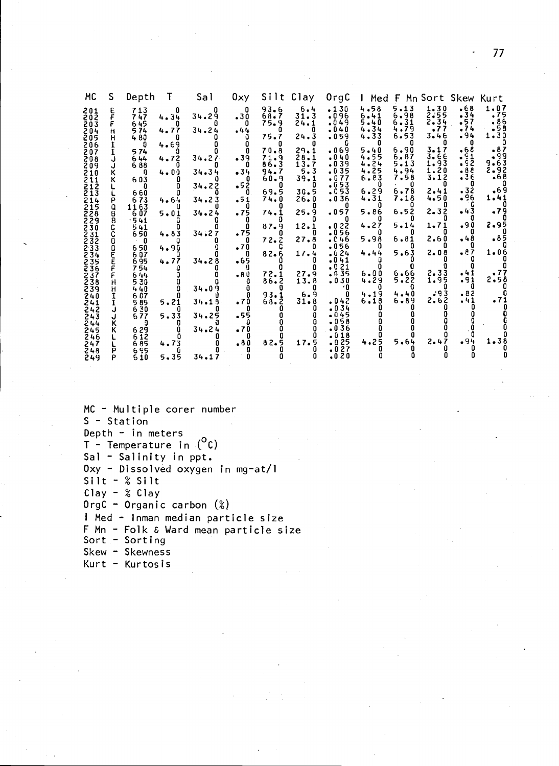| MC.                                   | S.          | Depth                    | $\top$            | Sal                 | 0ху —               | Silt Clay                 |                          | OrgC                           | I Med F Mn Sort Skew Kurt    |                              |                             |                            |                             |
|---------------------------------------|-------------|--------------------------|-------------------|---------------------|---------------------|---------------------------|--------------------------|--------------------------------|------------------------------|------------------------------|-----------------------------|----------------------------|-----------------------------|
| 201<br>202<br>203<br>204              | ε           | 713<br>747<br>645<br>574 | 0<br>4.34<br>4.77 | n<br>34.29<br>34.24 | - 0<br>.30<br>.44   | 93.6<br>68.7<br>75.9<br>0 | 6.4<br>31.3<br>24.1<br>0 | $-130$<br>096ء<br>.049<br>•040 | 4.58<br>6.41<br>5.40<br>4.34 | 5.13<br>6.98<br>6.31<br>4.79 | 1.30<br>2.55<br>2.34<br>.77 | .68<br>$-34$<br>.57<br>-74 | 1.07<br>.75<br>-86<br>$-58$ |
| 205<br>206<br>207                     | н           | 480<br>n.<br>574         | 4.69              |                     | 0                   | 75.7<br>70.8              | 24.3<br>29.1             | .059<br>.069                   | 4.33<br>5.40                 | 6.53<br>6.90                 | 3.46<br>3.17                | .94<br>n<br>.68            | 1.30<br>.87                 |
| 208<br>209                            | J           | 644<br>688               | 4.72              | 34.27               | $-39$<br>- 0        | 71.9<br>86.3              | 28.1<br>13.7             | .040<br>.039                   | 4.55<br>4.24                 | 6.87<br>5.13                 | 3.66<br>1.93                | 91 .<br>.92                | ۈۋ.<br>63.9                 |
| 210<br>211                            | ĸ           | - ภ<br>603               | $4 - 00$          | 34.34<br>34.22      | $-34$<br>- 0<br>.52 | 94.7<br>60.9<br>- 0       | 5.3<br>39.1<br>-0        | 035ء<br>.077<br>.053           | 4.25<br>6.83<br>n            | 4.94<br>7.58                 | 1.20<br>3.12                | .88<br>.36                 | 2.92<br>$-68$               |
| $\frac{212}{213}$<br>214              | Ρ           | 660<br>673               | 4.64              | 34.23               | - 0<br>.51          | 69.5<br>74.0              | 30.5<br>26.0             | .053<br>.036                   | 6.29<br>4.31                 | 6,78<br>7.18                 | 2.41<br>4.50                | .32<br>.96                 | .69<br>1.41                 |
| 215<br>$\bar{2}\bar{2}\bar{8}$<br>229 | a<br>8<br>8 | 1163<br>607<br>$-541$    | $5 - 01$          | 34.24               | .75                 | 74.1                      | 25.9                     | .057                           | 5.86                         | 6.52                         | $2 - 32$                    | •43                        | .79                         |
| 230<br>$231$<br>$232$                 | C<br>C      | 541<br>650<br>. n        | 4.83              | 34.27               | 0<br>.75<br>- 0     | 87.9<br>72.2              | 12.1<br>27.8             | .022<br>.056<br>.046           | 4.27<br>5.98                 | 5.14<br>6.81                 | 1.71<br>2.60                | .90<br>.48                 | 2.95<br>.85                 |
| 233<br>234                            | 0<br>O<br>Ĕ | 650<br>607               | $4 - 90$          |                     | .70                 | 82.6                      | 17.4                     | .056<br>.624                   | 4.44                         | 5.63                         | 2.08                        | .87                        | $1 - 06$                    |
| $235$<br>$236$<br>237                 |             | 695<br>754<br>644        | 4.77              | 34.28               | $-65$<br>$-80$      | 72.1                      | n.<br>27.9               | .041<br>.021<br>.035           | 6.00                         | 6.66                         | 2.33                        | .41                        | .77                         |
| 238<br>239                            | н<br>н      | 530<br>440               | $\Omega$          | 34.09               | а<br>0              | $86 - 2$                  | 13.8                     | .030<br>- 0                    | 4.29                         | 5.22                         | 1.95<br>.93                 | .91                        | 2.58                        |
| 240<br>241<br>242                     |             | 607<br>585<br>630        | 5.21              | 34.18               | n<br>.70            | 93.1<br>68.2              | 6.9<br>31.8              | n<br>042ء<br>.034              | 4.19<br>6.18                 | 4.40<br>6.89                 | 2.62                        | .82<br>.41                 | •71                         |
| 243<br>244                            | ĸ           | 6.77                     | 5.33              | 34.25               | .55                 |                           |                          | $-045$<br>.058<br>.036         |                              |                              |                             |                            |                             |
| 245<br>246<br>247                     | ĸ           | 629<br>612<br>685        | 4.73              | 34.24               | .70<br>.80          | 82.5                      | 17.5                     | .018<br>.025                   | 4.25                         | 5.64                         | 2.47                        | .94                        | 1.38                        |
| 248<br>249                            | P<br>P      | 695<br>610               | 5.35              | 34.17               |                     |                           |                          | .027<br>.020                   |                              |                              |                             |                            |                             |

```
MC - Multiple corer number
S - Station
Depth - in meters
T - Temperature in (^0C)Sal - Salinity in ppt.
0xy - Dissolved oxygen in mg-at/l
Silt - % SiltClay - % ClayOrgC - Organic carbon (\%)I Med - Inman median particle size
F Mn - Folk & Ward mean particle size
Sort - Sorting
Skew - Skewness
Kurt - Kurtosis
```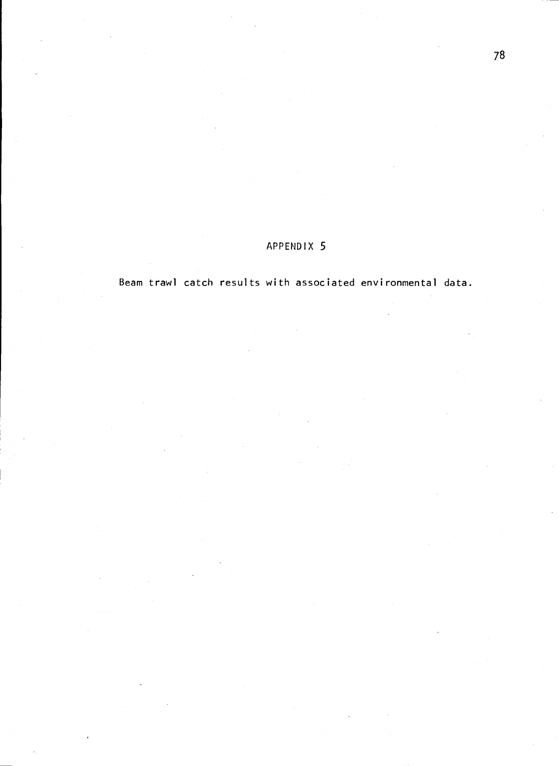Beam trawl catch results with associated environmental data.